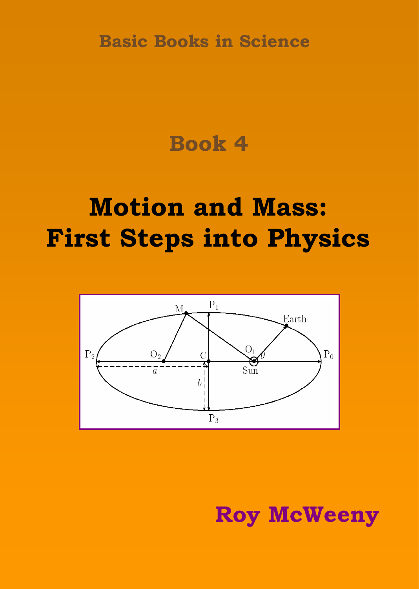**Basic Books in Science**

# **Book 4**

# **Motion and Mass: First Steps into Physics**



**Roy McWeeny**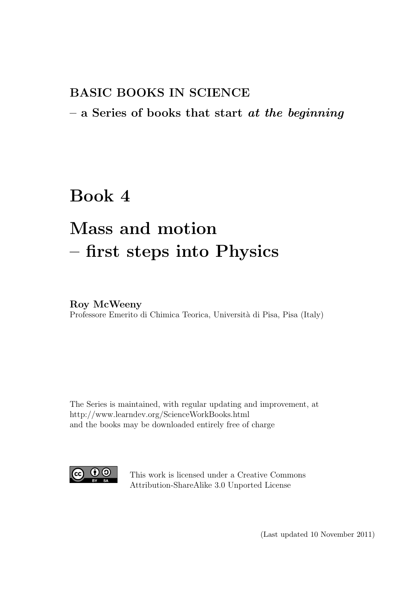# BASIC BOOKS IN SCIENCE

# $-$  a Series of books that start at the beginning

# Book 4

# Mass and motion – first steps into Physics

### Roy McWeeny

Professore Emerito di Chimica Teorica, Università di Pisa, Pisa (Italy)

The Series is maintained, with regular updating and improvement, at http://www.learndev.org/ScienceWorkBooks.html and the books may be downloaded entirely free of charge



This work is licensed under a Creative Commons Attribution-ShareAlike 3.0 Unported License

(Last updated 10 November 2011)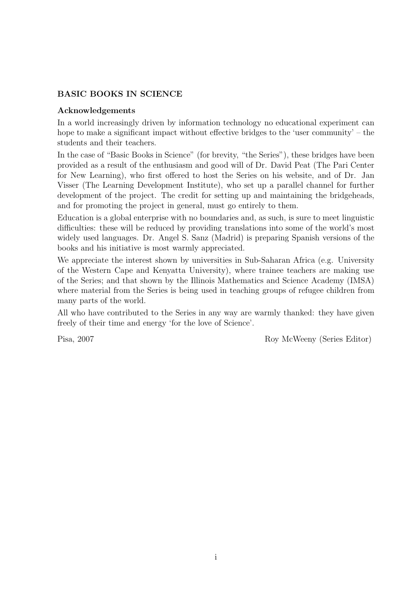### BASIC BOOKS IN SCIENCE

### Acknowledgements

In a world increasingly driven by information technology no educational experiment can hope to make a significant impact without effective bridges to the 'user community' – the students and their teachers.

In the case of "Basic Books in Science" (for brevity, "the Series"), these bridges have been provided as a result of the enthusiasm and good will of Dr. David Peat (The Pari Center for New Learning), who first offered to host the Series on his website, and of Dr. Jan Visser (The Learning Development Institute), who set up a parallel channel for further development of the project. The credit for setting up and maintaining the bridgeheads, and for promoting the project in general, must go entirely to them.

Education is a global enterprise with no boundaries and, as such, is sure to meet linguistic difficulties: these will be reduced by providing translations into some of the world's most widely used languages. Dr. Angel S. Sanz (Madrid) is preparing Spanish versions of the books and his initiative is most warmly appreciated.

We appreciate the interest shown by universities in Sub-Saharan Africa (e.g. University of the Western Cape and Kenyatta University), where trainee teachers are making use of the Series; and that shown by the Illinois Mathematics and Science Academy (IMSA) where material from the Series is being used in teaching groups of refugee children from many parts of the world.

All who have contributed to the Series in any way are warmly thanked: they have given freely of their time and energy 'for the love of Science'.

Pisa, 2007 Roy McWeeny (Series Editor)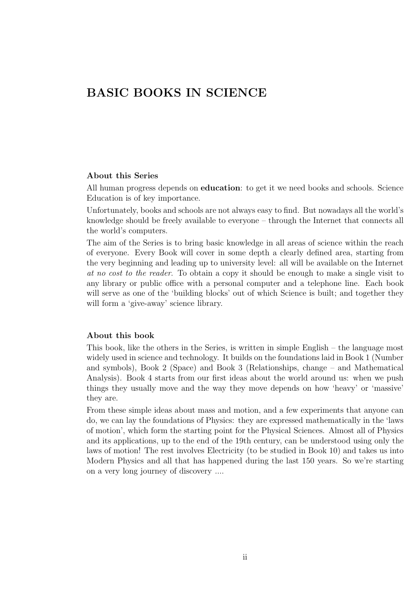# BASIC BOOKS IN SCIENCE

#### About this Series

All human progress depends on **education**: to get it we need books and schools. Science Education is of key importance.

Unfortunately, books and schools are not always easy to find. But nowadays all the world's knowledge should be freely available to everyone – through the Internet that connects all the world's computers.

The aim of the Series is to bring basic knowledge in all areas of science within the reach of everyone. Every Book will cover in some depth a clearly defined area, starting from the very beginning and leading up to university level: all will be available on the Internet at no cost to the reader. To obtain a copy it should be enough to make a single visit to any library or public office with a personal computer and a telephone line. Each book will serve as one of the 'building blocks' out of which Science is built; and together they will form a 'give-away' science library.

#### About this book

This book, like the others in the Series, is written in simple English – the language most widely used in science and technology. It builds on the foundations laid in Book 1 (Number and symbols), Book 2 (Space) and Book 3 (Relationships, change – and Mathematical Analysis). Book 4 starts from our first ideas about the world around us: when we push things they usually move and the way they move depends on how 'heavy' or 'massive' they are.

From these simple ideas about mass and motion, and a few experiments that anyone can do, we can lay the foundations of Physics: they are expressed mathematically in the 'laws of motion', which form the starting point for the Physical Sciences. Almost all of Physics and its applications, up to the end of the 19th century, can be understood using only the laws of motion! The rest involves Electricity (to be studied in Book 10) and takes us into Modern Physics and all that has happened during the last 150 years. So we're starting on a very long journey of discovery ....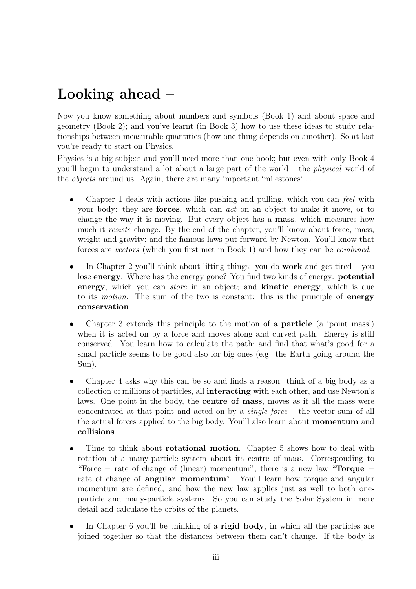# Looking ahead –

Now you know something about numbers and symbols (Book 1) and about space and geometry (Book 2); and you've learnt (in Book 3) how to use these ideas to study relationships between measurable quantities (how one thing depends on amother). So at last you're ready to start on Physics.

Physics is a big subject and you'll need more than one book; but even with only Book 4 you'll begin to understand a lot about a large part of the world – the physical world of the objects around us. Again, there are many important 'milestones'....

- Chapter 1 deals with actions like pushing and pulling, which you can feel with your body: they are forces, which can act on an object to make it move, or to change the way it is moving. But every object has a mass, which measures how much it resists change. By the end of the chapter, you'll know about force, mass, weight and gravity; and the famous laws put forward by Newton. You'll know that forces are vectors (which you first met in Book 1) and how they can be combined.
- In Chapter 2 you'll think about lifting things: you do **work** and get tired you lose energy. Where has the energy gone? You find two kinds of energy: potential energy, which you can *store* in an object; and **kinetic energy**, which is due to its *motion*. The sum of the two is constant: this is the principle of **energy** conservation.
- Chapter 3 extends this principle to the motion of a particle (a 'point mass') when it is acted on by a force and moves along and curved path. Energy is still conserved. You learn how to calculate the path; and find that what's good for a small particle seems to be good also for big ones (e.g. the Earth going around the Sun).
- Chapter 4 asks why this can be so and finds a reason: think of a big body as a collection of millions of particles, all interacting with each other, and use Newton's laws. One point in the body, the centre of mass, moves as if all the mass were concentrated at that point and acted on by a single force – the vector sum of all the actual forces applied to the big body. You'll also learn about momentum and collisions.
- Time to think about **rotational motion**. Chapter 5 shows how to deal with rotation of a many-particle system about its centre of mass. Corresponding to "Force  $=$  rate of change of (linear) momentum", there is a new law "**Torque**  $=$ rate of change of **angular momentum**". You'll learn how torque and angular momentum are defined; and how the new law applies just as well to both oneparticle and many-particle systems. So you can study the Solar System in more detail and calculate the orbits of the planets.
- In Chapter 6 you'll be thinking of a **rigid body**, in which all the particles are joined together so that the distances between them can't change. If the body is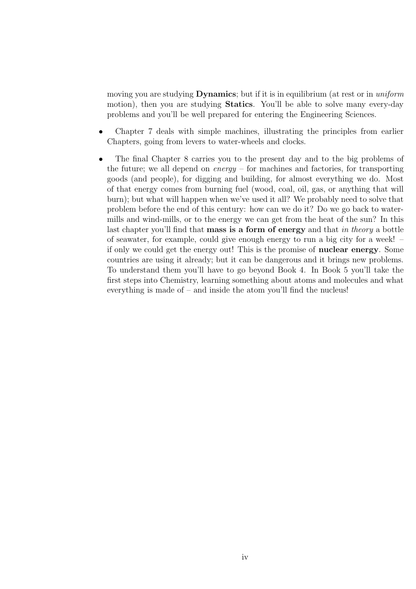moving you are studying **Dynamics**; but if it is in equilibrium (at rest or in *uniform* motion), then you are studying Statics. You'll be able to solve many every-day problems and you'll be well prepared for entering the Engineering Sciences.

- Chapter 7 deals with simple machines, illustrating the principles from earlier Chapters, going from levers to water-wheels and clocks.
- The final Chapter 8 carries you to the present day and to the big problems of the future; we all depend on  $\text{energy}$  – for machines and factories, for transporting goods (and people), for digging and building, for almost everything we do. Most of that energy comes from burning fuel (wood, coal, oil, gas, or anything that will burn); but what will happen when we've used it all? We probably need to solve that problem before the end of this century: how can we do it? Do we go back to watermills and wind-mills, or to the energy we can get from the heat of the sun? In this last chapter you'll find that **mass is a form of energy** and that *in theory* a bottle of seawater, for example, could give enough energy to run a big city for a week! – if only we could get the energy out! This is the promise of nuclear energy. Some countries are using it already; but it can be dangerous and it brings new problems. To understand them you'll have to go beyond Book 4. In Book 5 you'll take the first steps into Chemistry, learning something about atoms and molecules and what everything is made of – and inside the atom you'll find the nucleus!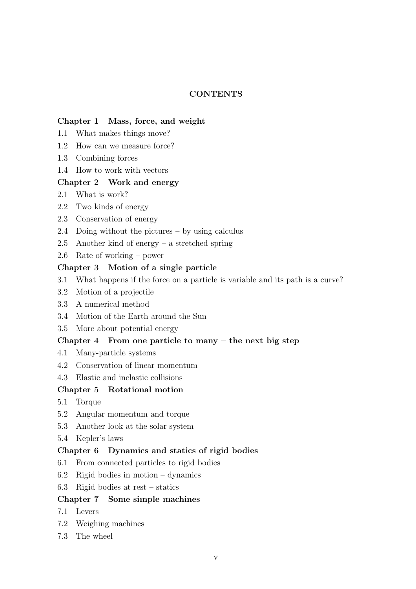### **CONTENTS**

#### Chapter 1 Mass, force, and weight

- 1.1 What makes things move?
- 1.2 How can we measure force?
- 1.3 Combining forces
- 1.4 How to work with vectors

### Chapter 2 Work and energy

- 2.1 What is work?
- 2.2 Two kinds of energy
- 2.3 Conservation of energy
- 2.4 Doing without the pictures by using calculus
- 2.5 Another kind of energy a stretched spring
- 2.6 Rate of working power

### Chapter 3 Motion of a single particle

- 3.1 What happens if the force on a particle is variable and its path is a curve?
- 3.2 Motion of a projectile
- 3.3 A numerical method
- 3.4 Motion of the Earth around the Sun
- 3.5 More about potential energy

### Chapter 4 From one particle to many  $-$  the next big step

- 4.1 Many-particle systems
- 4.2 Conservation of linear momentum
- 4.3 Elastic and inelastic collisions

### Chapter 5 Rotational motion

- 5.1 Torque
- 5.2 Angular momentum and torque
- 5.3 Another look at the solar system
- 5.4 Kepler's laws

#### Chapter 6 Dynamics and statics of rigid bodies

- 6.1 From connected particles to rigid bodies
- 6.2 Rigid bodies in motion dynamics
- 6.3 Rigid bodies at rest statics

### Chapter 7 Some simple machines

- 7.1 Levers
- 7.2 Weighing machines
- 7.3 The wheel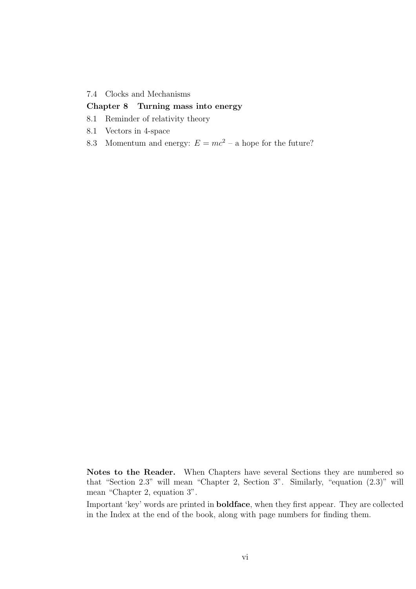#### 7.4 Clocks and Mechanisms

### Chapter 8 Turning mass into energy

- 8.1 Reminder of relativity theory
- 8.1 Vectors in 4-space
- 8.3 Momentum and energy:  $E = mc^2$  a hope for the future?

Notes to the Reader. When Chapters have several Sections they are numbered so that "Section 2.3" will mean "Chapter 2, Section 3". Similarly, "equation (2.3)" will mean "Chapter 2, equation 3".

Important 'key' words are printed in boldface, when they first appear. They are collected in the Index at the end of the book, along with page numbers for finding them.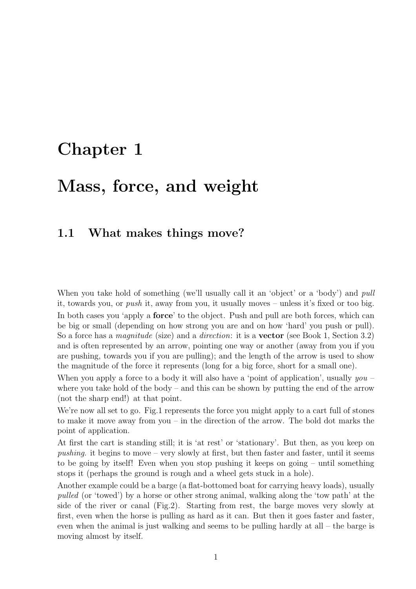# Chapter 1

# Mass, force, and weight

### 1.1 What makes things move?

When you take hold of something (we'll usually call it an 'object' or a 'body') and *pull* it, towards you, or push it, away from you, it usually moves – unless it's fixed or too big. In both cases you 'apply a **force**' to the object. Push and pull are both forces, which can be big or small (depending on how strong you are and on how 'hard' you push or pull). So a force has a *magnitude* (size) and a *direction*: it is a **vector** (see Book 1, Section 3.2) and is often represented by an arrow, pointing one way or another (away from you if you are pushing, towards you if you are pulling); and the length of the arrow is used to show the magnitude of the force it represents (long for a big force, short for a small one).

When you apply a force to a body it will also have a 'point of application', usually  $you$ where you take hold of the body – and this can be shown by putting the end of the arrow (not the sharp end!) at that point.

We're now all set to go. Fig.1 represents the force you might apply to a cart full of stones to make it move away from you – in the direction of the arrow. The bold dot marks the point of application.

At first the cart is standing still; it is 'at rest' or 'stationary'. But then, as you keep on pushing. it begins to move – very slowly at first, but then faster and faster, until it seems to be going by itself! Even when you stop pushing it keeps on going – until something stops it (perhaps the ground is rough and a wheel gets stuck in a hole).

Another example could be a barge (a flat-bottomed boat for carrying heavy loads), usually pulled (or 'towed') by a horse or other strong animal, walking along the 'tow path' at the side of the river or canal (Fig.2). Starting from rest, the barge moves very slowly at first, even when the horse is pulling as hard as it can. But then it goes faster and faster, even when the animal is just walking and seems to be pulling hardly at all – the barge is moving almost by itself.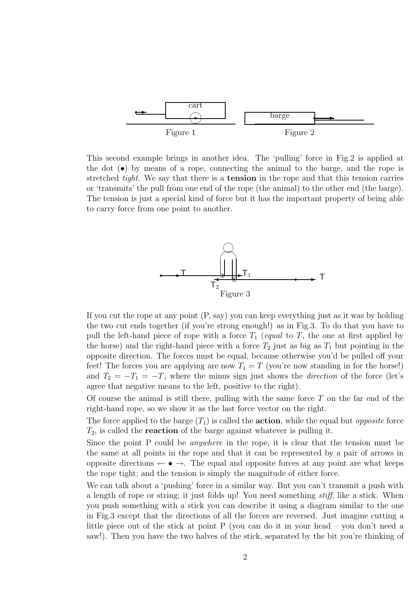

This second example brings in another idea. The 'pulling' force in Fig.2 is applied at the dot (•) by means of a rope, connecting the animal to the barge, and the rope is stretched *tight*. We say that there is a **tension** in the rope and that this tension carries or 'transmits' the pull from one end of the rope (the animal) to the other end (the barge). The tension is just a special kind of force but it has the important property of being able to carry force from one point to another.



If you cut the rope at any point (P, say) you can keep everything just as it was by holding the two cut ends together (if you're strong enough!) as in Fig.3. To do that you have to pull the left-hand piece of rope with a force  $T_1$  (equal to T, the one at first applied by the horse) and the right-hand piece with a force  $T_2$  just as big as  $T_1$  but pointing in the opposite direction. The forces must be equal, because otherwise you'd be pulled off your feet! The forces you are applying are now  $T_1 = T$  (you're now standing in for the horse!) and  $T_2 = -T_1 = -T$ , where the minus sign just shows the *direction* of the force (let's agree that negative means to the left, positive to the right).

Of course the animal is still there, pulling with the same force  $T$  on the far end of the right-hand rope, so we show it as the last force vector on the right.

The force applied to the barge  $(T_1)$  is called the **action**, while the equal but *opposite* force  $T_2$ , is called the **reaction** of the barge against whatever is pulling it.

Since the point P could be anywhere in the rope, it is clear that the tension must be the same at all points in the rope and that it can be represented by a pair of arrows in opposite directions  $\leftarrow \bullet \rightarrow$ . The equal and opposite forces at any point are what keeps the rope tight; and the tension is simply the magnitude of either force.

We can talk about a 'pushing' force in a similar way. But you can't transmit a push with a length of rope or string; it just folds up! You need something stiff, like a stick. When you push something with a stick you can describe it using a diagram similar to the one in Fig.3 except that the directions of all the forces are reversed. Just imagine cutting a little piece out of the stick at point P (you can do it in your head – you don't need a saw!). Then you have the two halves of the stick, separated by the bit you're thinking of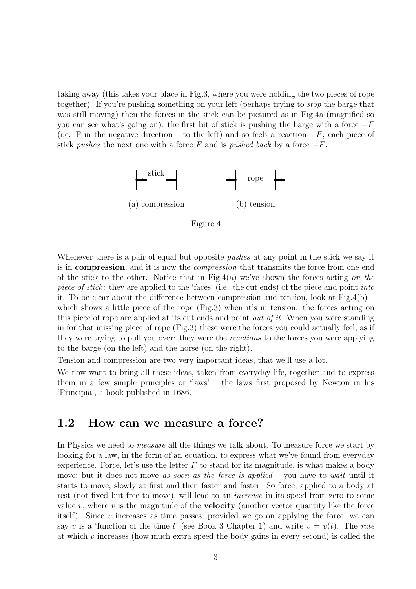taking away (this takes your place in Fig.3, where you were holding the two pieces of rope together). If you're pushing something on your left (perhaps trying to stop the barge that was still moving) then the forces in the stick can be pictured as in Fig.4a (magnified so you can see what's going on): the first bit of stick is pushing the barge with a force  $-F$ (i.e. F in the negative direction – to the left) and so feels a reaction  $+F$ ; each piece of stick pushes the next one with a force F and is pushed back by a force  $-F$ .



Figure 4

Whenever there is a pair of equal but opposite *pushes* at any point in the stick we say it is in **compression**; and it is now the *compression* that transmits the force from one end of the stick to the other. Notice that in Fig.4(a) we've shown the forces acting on the piece of stick: they are applied to the 'faces' (i.e. the cut ends) of the piece and point into it. To be clear about the difference between compression and tension, look at Fig.4(b) – which shows a little piece of the rope (Fig.3) when it's in tension: the forces acting on this piece of rope are applied at its cut ends and point out of it. When you were standing in for that missing piece of rope (Fig.3) these were the forces you could actually feel, as if they were trying to pull you over: they were the reactions to the forces you were applying to the barge (on the left) and the horse (on the right).

Tension and compression are two very important ideas, that we'll use a lot.

We now want to bring all these ideas, taken from everyday life, together and to express them in a few simple principles or 'laws' – the laws first proposed by Newton in his 'Principia', a book published in 1686.

### 1.2 How can we measure a force?

In Physics we need to *measure* all the things we talk about. To measure force we start by looking for a law, in the form of an equation, to express what we've found from everyday experience. Force, let's use the letter  $F$  to stand for its magnitude, is what makes a body move; but it does not move as soon as the force is applied  $-$  you have to wait until it starts to move, slowly at first and then faster and faster. So force, applied to a body at rest (not fixed but free to move), will lead to an increase in its speed from zero to some value v, where v is the magnitude of the **velocity** (another vector quantity like the force itself). Since  $v$  increases as time passes, provided we go on applying the force, we can say v is a 'function of the time t' (see Book 3 Chapter 1) and write  $v = v(t)$ . The rate at which  $\nu$  increases (how much extra speed the body gains in every second) is called the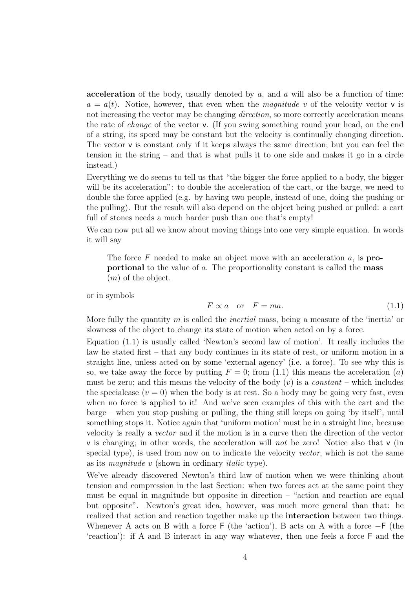acceleration of the body, usually denoted by  $a$ , and  $a$  will also be a function of time:  $a = a(t)$ . Notice, however, that even when the *magnitude v* of the velocity vector **v** is not increasing the vector may be changing *direction*, so more correctly acceleration means the rate of change of the vector v. (If you swing something round your head, on the end of a string, its speed may be constant but the velocity is continually changing direction. The vector  $\bf{v}$  is constant only if it keeps always the same direction; but you can feel the tension in the string – and that is what pulls it to one side and makes it go in a circle instead.)

Everything we do seems to tell us that "the bigger the force applied to a body, the bigger will be its acceleration": to double the acceleration of the cart, or the barge, we need to double the force applied (e.g. by having two people, instead of one, doing the pushing or the pulling). But the result will also depend on the object being pushed or pulled: a cart full of stones needs a much harder push than one that's empty!

We can now put all we know about moving things into one very simple equation. In words it will say

The force F needed to make an object move with an acceleration  $a$ , is **pro**portional to the value of a. The proportionality constant is called the mass  $(m)$  of the object.

or in symbols

$$
F \propto a \quad \text{or} \quad F = ma. \tag{1.1}
$$

More fully the quantity m is called the *inertial* mass, being a measure of the 'inertia' or slowness of the object to change its state of motion when acted on by a force.

Equation (1.1) is usually called 'Newton's second law of motion'. It really includes the law he stated first – that any body continues in its state of rest, or uniform motion in a straight line, unless acted on by some 'external agency' (i.e. a force). To see why this is so, we take away the force by putting  $F = 0$ ; from (1.1) this means the acceleration (a) must be zero; and this means the velocity of the body  $(v)$  is a constant – which includes the specialcase  $(v = 0)$  when the body is at rest. So a body may be going very fast, even when no force is applied to it! And we've seen examples of this with the cart and the barge – when you stop pushing or pulling, the thing still keeps on going 'by itself', until something stops it. Notice again that 'uniform motion' must be in a straight line, because velocity is really a vector and if the motion is in a curve then the direction of the vector  $\nu$  is changing; in other words, the acceleration will not be zero! Notice also that  $\nu$  (in special type), is used from now on to indicate the velocity vector, which is not the same as its magnitude v (shown in ordinary italic type).

We've already discovered Newton's third law of motion when we were thinking about tension and compression in the last Section: when two forces act at the same point they must be equal in magnitude but opposite in direction – "action and reaction are equal but opposite". Newton's great idea, however, was much more general than that: he realized that action and reaction together make up the interaction between two things. Whenever A acts on B with a force F (the 'action'), B acts on A with a force −F (the 'reaction'): if A and B interact in any way whatever, then one feels a force F and the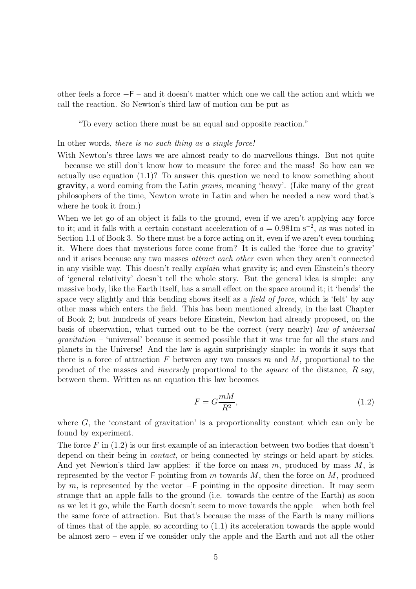other feels a force −F – and it doesn't matter which one we call the action and which we call the reaction. So Newton's third law of motion can be put as

"To every action there must be an equal and opposite reaction."

#### In other words, there is no such thing as a single force!

With Newton's three laws we are almost ready to do marvellous things. But not quite – because we still don't know how to measure the force and the mass! So how can we actually use equation (1.1)? To answer this question we need to know something about gravity, a word coming from the Latin gravis, meaning 'heavy'. (Like many of the great philosophers of the time, Newton wrote in Latin and when he needed a new word that's where he took it from.)

When we let go of an object it falls to the ground, even if we aren't applying any force to it; and it falls with a certain constant acceleration of  $a = 0.981$ m s<sup>-2</sup>, as was noted in Section 1.1 of Book 3. So there must be a force acting on it, even if we aren't even touching it. Where does that mysterious force come from? It is called the 'force due to gravity' and it arises because any two masses attract each other even when they aren't connected in any visible way. This doesn't really explain what gravity is; and even Einstein's theory of 'general relativity' doesn't tell the whole story. But the general idea is simple: any massive body, like the Earth itself, has a small effect on the space around it; it 'bends' the space very slightly and this bending shows itself as a *field of force*, which is 'felt' by any other mass which enters the field. This has been mentioned already, in the last Chapter of Book 2; but hundreds of years before Einstein, Newton had already proposed, on the basis of observation, what turned out to be the correct (very nearly) law of universal gravitation – 'universal' because it seemed possible that it was true for all the stars and planets in the Universe! And the law is again surprisingly simple: in words it says that there is a force of attraction F between any two masses  $m$  and  $M$ , proportional to the product of the masses and *inversely* proportional to the *square* of the distance,  $R$  say, between them. Written as an equation this law becomes

$$
F = G \frac{mM}{R^2},\tag{1.2}
$$

where  $G$ , the 'constant of gravitation' is a proportionality constant which can only be found by experiment.

The force F in  $(1.2)$  is our first example of an interaction between two bodies that doesn't depend on their being in *contact*, or being connected by strings or held apart by sticks. And yet Newton's third law applies: if the force on mass  $m$ , produced by mass  $M$ , is represented by the vector  $F$  pointing from m towards M, then the force on M, produced by m, is represented by the vector  $-F$  pointing in the opposite direction. It may seem strange that an apple falls to the ground (i.e. towards the centre of the Earth) as soon as we let it go, while the Earth doesn't seem to move towards the apple – when both feel the same force of attraction. But that's because the mass of the Earth is many millions of times that of the apple, so according to (1.1) its acceleration towards the apple would be almost zero – even if we consider only the apple and the Earth and not all the other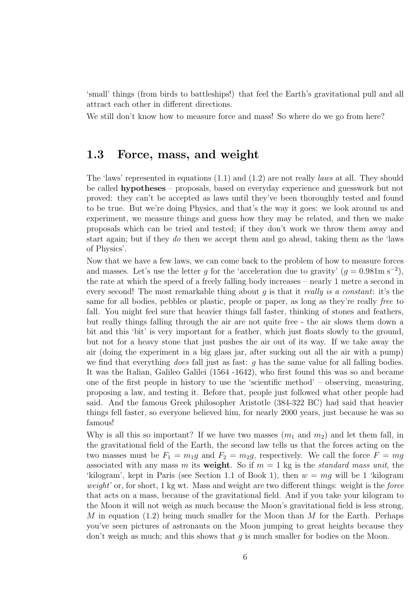'small' things (from birds to battleships!) that feel the Earth's gravitational pull and all attract each other in different directions.

We still don't know how to measure force and mass! So where do we go from here?

# 1.3 Force, mass, and weight

The 'laws' represented in equations  $(1.1)$  and  $(1.2)$  are not really *laws* at all. They should be called hypotheses – proposals, based on everyday experience and guesswork but not proved: they can't be accepted as laws until they've been thoroughly tested and found to be true. But we're doing Physics, and that's the way it goes: we look around us and experiment, we measure things and guess how they may be related, and then we make proposals which can be tried and tested; if they don't work we throw them away and start again; but if they do then we accept them and go ahead, taking them as the 'laws of Physics'.

Now that we have a few laws, we can come back to the problem of how to measure forces and masses. Let's use the letter g for the 'acceleration due to gravity'  $(g = 0.981 \text{m s}^{-2})$ , the rate at which the speed of a freely falling body increases – nearly 1 metre a second in every second! The most remarkable thing about q is that it really is a constant: it's the same for all bodies, pebbles or plastic, people or paper, as long as they're really free to fall. You might feel sure that heavier things fall faster, thinking of stones and feathers, but really things falling through the air are not quite free - the air slows them down a bit and this 'bit' is very important for a feather, which just floats slowly to the ground, but not for a heavy stone that just pushes the air out of its way. If we take away the air (doing the experiment in a big glass jar, after sucking out all the air with a pump) we find that everything *does* fall just as fast:  $g$  has the same value for all falling bodies. It was the Italian, Galileo Galilei (1564 -1642), who first found this was so and became one of the first people in history to use the 'scientific method' – observing, measuring, proposing a law, and testing it. Before that, people just followed what other people had said. And the famous Greek philosopher Aristotle (384-322 BC) had said that heavier things fell faster, so everyone believed him, for nearly 2000 years, just because he was so famous!

Why is all this so important? If we have two masses  $(m_1$  and  $m_2)$  and let them fall, in the gravitational field of the Earth, the second law tells us that the forces acting on the two masses must be  $F_1 = m_1g$  and  $F_2 = m_2g$ , respectively. We call the force  $F = mg$ associated with any mass m its weight. So if  $m = 1$  kg is the *standard mass unit*, the 'kilogram', kept in Paris (see Section 1.1 of Book 1), then  $w = mg$  will be 1 'kilogram' weight' or, for short,  $1 \text{ kg wt}$ . Mass and weight are two different things: weight is the *force* that acts on a mass, because of the gravitational field. And if you take your kilogram to the Moon it will not weigh as much because the Moon's gravitational field is less strong, M in equation  $(1.2)$  being much smaller for the Moon than M for the Earth. Perhaps you've seen pictures of astronauts on the Moon jumping to great heights because they don't weigh as much; and this shows that  $g$  is much smaller for bodies on the Moon.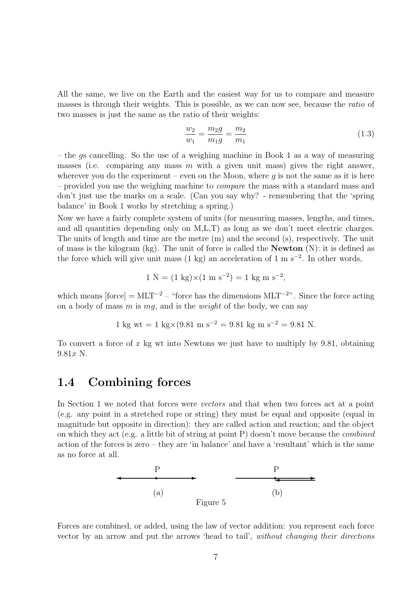All the same, we live on the Earth and the easiest way for us to compare and measure masses is through their weights. This is possible, as we can now see, because the ratio of two masses is just the same as the ratio of their weights:

$$
\frac{w_2}{w_1} = \frac{m_2 g}{m_1 g} = \frac{m_2}{m_1}
$$
\n(1.3)

– the gs cancelling. So the use of a weighing machine in Book 1 as a way of measuring masses (i.e. comparing any mass  $m$  with a given unit mass) gives the right answer, wherever you do the experiment – even on the Moon, where  $g$  is not the same as it is here – provided you use the weighing machine to compare the mass with a standard mass and don't just use the marks on a scale. (Can you say why? - remembering that the 'spring balance' in Book 1 works by stretching a spring.)

Now we have a fairly complete system of units (for measuring masses, lengths, and times, and all quantities depending only on M,L,T) as long as we don't meet electric charges. The units of length and time are the metre (m) and the second (s), respectively. The unit of mass is the kilogram (kg). The unit of force is called the Newton (N): it is defined as the force which will give unit mass  $(1 \text{ kg})$  an acceleration of  $1 \text{ m s}^{-2}$ . In other words,

$$
1 N = (1 kg) \times (1 m s^{-2}) = 1 kg m s^{-2},
$$

which means  $[force] = MLT^{-2}$  – "force has the dimensions  $MLT^{-2}$ ". Since the force acting on a body of mass m is mq, and is the *weight* of the body, we can say

$$
1 \text{ kg wt} = 1 \text{ kg} \times (9.81 \text{ m s}^{-2} = 9.81 \text{ kg m s}^{-2} = 9.81 \text{ N}.
$$

To convert a force of x kg wt into Newtons we just have to multiply by  $9.81$ , obtaining  $9.81x$  N.

### 1.4 Combining forces

In Section 1 we noted that forces were vectors and that when two forces act at a point (e.g. any point in a stretched rope or string) they must be equal and opposite (equal in magnitude but opposite in direction): they are called action and reaction; and the object on which they act (e.g. a little bit of string at point P) doesn't move because the *combined* action of the forces is zero – they are 'in balance' and have a 'resultant' which is the same as no force at all.



Forces are combined, or added, using the law of vector addition: you represent each force vector by an arrow and put the arrows 'head to tail', without changing their directions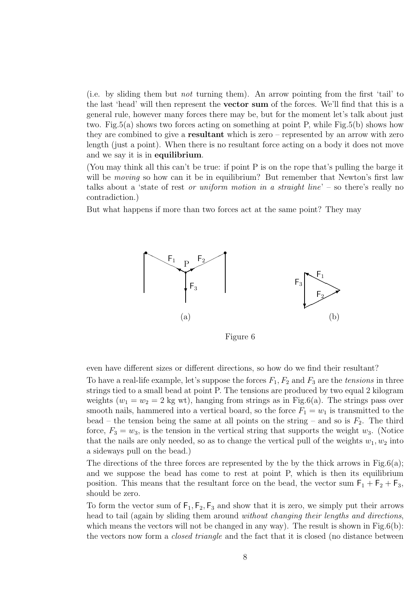(i.e. by sliding them but not turning them). An arrow pointing from the first 'tail' to the last 'head' will then represent the vector sum of the forces. We'll find that this is a general rule, however many forces there may be, but for the moment let's talk about just two. Fig.5(a) shows two forces acting on something at point P, while Fig.5(b) shows how they are combined to give a resultant which is zero – represented by an arrow with zero length (just a point). When there is no resultant force acting on a body it does not move and we say it is in equilibrium.

(You may think all this can't be true: if point P is on the rope that's pulling the barge it will be *moving* so how can it be in equilibrium? But remember that Newton's first law talks about a 'state of rest *or uniform motion in a straight line*' – so there's really no contradiction.)

But what happens if more than two forces act at the same point? They may



Figure 6

even have different sizes or different directions, so how do we find their resultant?

To have a real-life example, let's suppose the forces  $F_1, F_2$  and  $F_3$  are the tensions in three strings tied to a small bead at point P. The tensions are produced by two equal 2 kilogram weights  $(w_1 = w_2 = 2$  kg wt), hanging from strings as in Fig.6(a). The strings pass over smooth nails, hammered into a vertical board, so the force  $F_1 = w_1$  is transmitted to the bead – the tension being the same at all points on the string – and so is  $F_2$ . The third force,  $F_3 = w_3$ , is the tension in the vertical string that supports the weight  $w_3$ . (Notice that the nails are only needed, so as to change the vertical pull of the weights  $w_1, w_2$  into a sideways pull on the bead.)

The directions of the three forces are represented by the by the thick arrows in  $Fig.6(a)$ ; and we suppose the bead has come to rest at point P, which is then its equilibrium position. This means that the resultant force on the bead, the vector sum  $F_1 + F_2 + F_3$ , should be zero.

To form the vector sum of  $F_1, F_2, F_3$  and show that it is zero, we simply put their arrows head to tail (again by sliding them around without changing their lengths and directions, which means the vectors will not be changed in any way). The result is shown in Fig.6(b): the vectors now form a closed triangle and the fact that it is closed (no distance between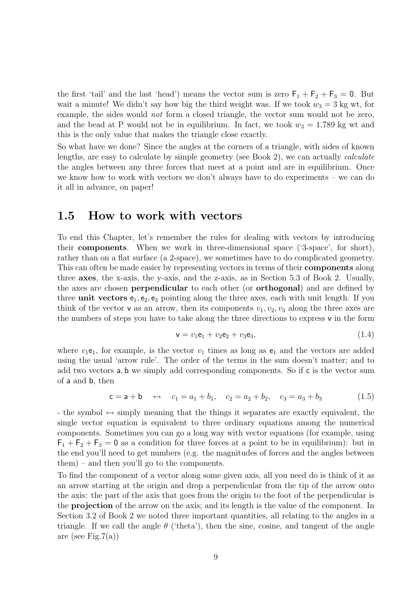the first 'tail' and the last 'head') means the vector sum is zero  $F_1 + F_2 + F_3 = 0$ . But wait a minute! We didn't say how big the third weight was. If we took  $w_3 = 3$  kg wt, for example, the sides would not form a closed triangle, the vector sum would not be zero, and the bead at P would not be in equilibrium. In fact, we took  $w_3 = 1.789$  kg wt and this is the only value that makes the triangle close exactly.

So what have we done? Since the angles at the corners of a triangle, with sides of known lengths, are easy to calculate by simple geometry (see Book 2), we can actually calculate the angles between any three forces that meet at a point and are in equilibrium. Once we know how to work with vectors we don't always have to do experiments – we can do it all in advance, on paper!

### 1.5 How to work with vectors

To end this Chapter, let's remember the rules for dealing with vectors by introducing their components. When we work in three-dimensional space ('3-space', for short), rather than on a flat surface (a 2-space), we sometimes have to do complicated geometry. This can often be made easier by representing vectors in terms of their components along three axes, the x-axis, the y-axis, and the z-axis, as in Section 5.3 of Book 2. Usually, the axes are chosen perpendicular to each other (or orthogonal) and are defined by three unit vectors  $e_1, e_2, e_3$  pointing along the three axes, each with unit length. If you think of the vector **v** as an arrow, then its components  $v_1, v_2, v_3$  along the three axes are the numbers of steps you have to take along the three directions to express v in the form

$$
\mathbf{v} = v_1 \mathbf{e}_1 + v_2 \mathbf{e}_2 + v_3 \mathbf{e}_3, \tag{1.4}
$$

where  $v_1e_1$ , for example, is the vector  $v_1$  times as long as  $e_1$  and the vectors are added using the usual 'arrow rule'. The order of the terms in the sum doesn't matter; and to add two vectors a, b we simply add corresponding components. So if c is the vector sum of a and b, then

$$
c = a + b \leftrightarrow c_1 = a_1 + b_1, \quad c_2 = a_2 + b_2, \quad c_3 = a_3 + b_3
$$
 (1.5)

- the symbol  $\leftrightarrow$  simply meaning that the things it separates are exactly equivalent, the single vector equation is equivalent to three ordinary equations among the numerical components. Sometimes you can go a long way with vector equations (for example, using  $F_1 + F_2 + F_3 = 0$  as a condition for three forces at a point to be in equilibrium): but in the end you'll need to get numbers (e.g. the magnitudes of forces and the angles between them) – and then you'll go to the components.

To find the component of a vector along some given axis, all you need do is think of it as an arrow starting at the origin and drop a perpendicular from the tip of the arrow onto the axis: the part of the axis that goes from the origin to the foot of the perpendicular is the projection of the arrow on the axis; and its length is the value of the component. In Section 3.2 of Book 2 we noted three important quantities, all relating to the angles in a triangle. If we call the angle  $\theta$  ('theta'), then the sine, cosine, and tangent of the angle are (see Fig.  $7(a)$ )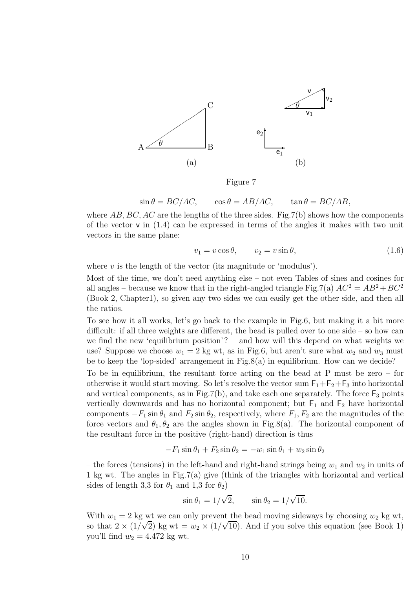

Figure 7

$$
\sin \theta = BC/AC, \qquad \cos \theta = AB/AC, \qquad \tan \theta = BC/AB,
$$

where  $AB, BC, AC$  are the lengths of the three sides. Fig.7(b) shows how the components of the vector  $v$  in  $(1.4)$  can be expressed in terms of the angles it makes with two unit vectors in the same plane:

$$
v_1 = v \cos \theta, \qquad v_2 = v \sin \theta,\tag{1.6}
$$

where  $v$  is the length of the vector (its magnitude or 'modulus').

Most of the time, we don't need anything else – not even Tables of sines and cosines for all angles – because we know that in the right-angled triangle Fig.7(a)  $AC^2 = AB^2 + BC^2$ (Book 2, Chapter1), so given any two sides we can easily get the other side, and then all the ratios.

To see how it all works, let's go back to the example in Fig.6, but making it a bit more difficult: if all three weights are different, the bead is pulled over to one side – so how can we find the new 'equilibrium position'? – and how will this depend on what weights we use? Suppose we choose  $w_1 = 2$  kg wt, as in Fig.6, but aren't sure what  $w_2$  and  $w_3$  must be to keep the 'lop-sided' arrangement in Fig.8(a) in equilibrium. How can we decide?

To be in equilibrium, the resultant force acting on the bead at P must be zero – for otherwise it would start moving. So let's resolve the vector sum  $F_1 + F_2 + F_3$  into horizontal and vertical components, as in Fig.7(b), and take each one separately. The force  $F_3$  points vertically downwards and has no horizontal component; but  $F_1$  and  $F_2$  have horizontal components  $-F_1 \sin \theta_1$  and  $F_2 \sin \theta_2$ , respectively, where  $F_1, F_2$  are the magnitudes of the force vectors and  $\theta_1, \theta_2$  are the angles shown in Fig.8(a). The horizontal component of the resultant force in the positive (right-hand) direction is thus

$$
-F_1 \sin \theta_1 + F_2 \sin \theta_2 = -w_1 \sin \theta_1 + w_2 \sin \theta_2
$$

– the forces (tensions) in the left-hand and right-hand strings being  $w_1$  and  $w_2$  in units of 1 kg wt. The angles in Fig.7(a) give (think of the triangles with horizontal and vertical sides of length 3,3 for  $\theta_1$  and 1,3 for  $\theta_2$ )

$$
\sin \theta_1 = 1/\sqrt{2}, \qquad \sin \theta_2 = 1/\sqrt{10}.
$$

With  $w_1 = 2$  kg wt we can only prevent the bead moving sideways by choosing  $w_2$  kg wt, so that  $2 \times (1/\sqrt{2})$  kg wt =  $w_2 \times (1/\sqrt{10})$ . And if you solve this equation (see Book 1) you'll find  $w_2 = 4.472$  kg wt.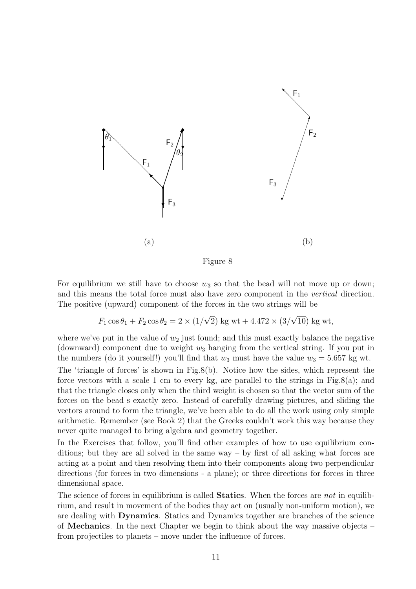

Figure 8

For equilibrium we still have to choose  $w_3$  so that the bead will not move up or down; and this means the total force must also have zero component in the vertical direction. The positive (upward) component of the forces in the two strings will be

 $F_1 \cos \theta_1 + F_2 \cos \theta_2 = 2 \times (1/\sqrt{2}) \text{ kg wt} + 4.472 \times (3/\sqrt{10}) \text{ kg wt},$ 

where we've put in the value of  $w_2$  just found; and this must exactly balance the negative (downward) component due to weight  $w_3$  hanging from the vertical string. If you put in the numbers (do it yourself!) you'll find that  $w_3$  must have the value  $w_3 = 5.657$  kg wt.

The 'triangle of forces' is shown in Fig.8(b). Notice how the sides, which represent the force vectors with a scale 1 cm to every kg, are parallel to the strings in Fig.8(a); and that the triangle closes only when the third weight is chosen so that the vector sum of the forces on the bead s exactly zero. Instead of carefully drawing pictures, and sliding the vectors around to form the triangle, we've been able to do all the work using only simple arithmetic. Remember (see Book 2) that the Greeks couldn't work this way because they never quite managed to bring algebra and geometry together.

In the Exercises that follow, you'll find other examples of how to use equilibrium conditions; but they are all solved in the same way – by first of all asking what forces are acting at a point and then resolving them into their components along two perpendicular directions (for forces in two dimensions - a plane); or three directions for forces in three dimensional space.

The science of forces in equilibrium is called **Statics**. When the forces are not in equilibrium, and result in movement of the bodies thay act on (usually non-uniform motion), we are dealing with Dynamics. Statics and Dynamics together are branches of the science of Mechanics. In the next Chapter we begin to think about the way massive objects – from projectiles to planets – move under the influence of forces.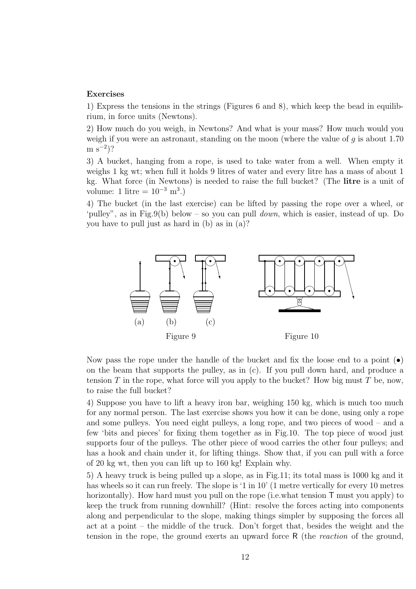#### Exercises

1) Express the tensions in the strings (Figures 6 and 8), which keep the bead in equilibrium, in force units (Newtons).

2) How much do you weigh, in Newtons? And what is your mass? How much would you weigh if you were an astronaut, standing on the moon (where the value of q is about 1.70  $\mathrm{m\ s}^{-2}$ )?

3) A bucket, hanging from a rope, is used to take water from a well. When empty it weighs 1 kg wt; when full it holds 9 litres of water and every litre has a mass of about 1 kg. What force (in Newtons) is needed to raise the full bucket? (The litre is a unit of volume: 1 litre =  $10^{-3}$  m<sup>3</sup>.)

4) The bucket (in the last exercise) can be lifted by passing the rope over a wheel, or 'pulley", as in Fig.9(b) below – so you can pull down, which is easier, instead of up. Do you have to pull just as hard in (b) as in (a)?



Now pass the rope under the handle of the bucket and fix the loose end to a point  $\left( \bullet \right)$ on the beam that supports the pulley, as in (c). If you pull down hard, and produce a tension T in the rope, what force will you apply to the bucket? How big must T be, now, to raise the full bucket?

4) Suppose you have to lift a heavy iron bar, weighing 150 kg, which is much too much for any normal person. The last exercise shows you how it can be done, using only a rope and some pulleys. You need eight pulleys, a long rope, and two pieces of wood – and a few 'bits and pieces' for fixing them together as in Fig.10. The top piece of wood just supports four of the pulleys. The other piece of wood carries the other four pulleys; and has a hook and chain under it, for lifting things. Show that, if you can pull with a force of 20 kg wt, then you can lift up to 160 kg! Explain why.

5) A heavy truck is being pulled up a slope, as in Fig.11; its total mass is 1000 kg and it has wheels so it can run freely. The slope is '1 in 10' (1 metre vertically for every 10 metres horizontally). How hard must you pull on the rope (i.e.what tension  $\mathsf T$  must you apply) to keep the truck from running downhill? (Hint: resolve the forces acting into components along and perpendicular to the slope, making things simpler by supposing the forces all act at a point – the middle of the truck. Don't forget that, besides the weight and the tension in the rope, the ground exerts an upward force R (the reaction of the ground,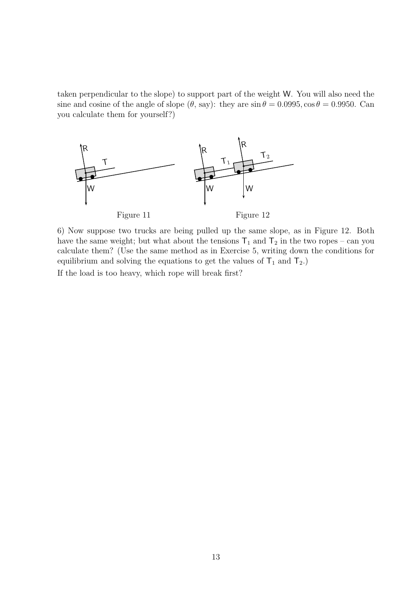taken perpendicular to the slope) to support part of the weight W. You will also need the sine and cosine of the angle of slope  $(\theta, say)$ : they are  $\sin \theta = 0.0995$ ,  $\cos \theta = 0.9950$ . Can you calculate them for yourself?)



6) Now suppose two trucks are being pulled up the same slope, as in Figure 12. Both have the same weight; but what about the tensions  $T_1$  and  $T_2$  in the two ropes – can you calculate them? (Use the same method as in Exercise 5, writing down the conditions for equilibrium and solving the equations to get the values of  $T_1$  and  $T_2$ .)

If the load is too heavy, which rope will break first?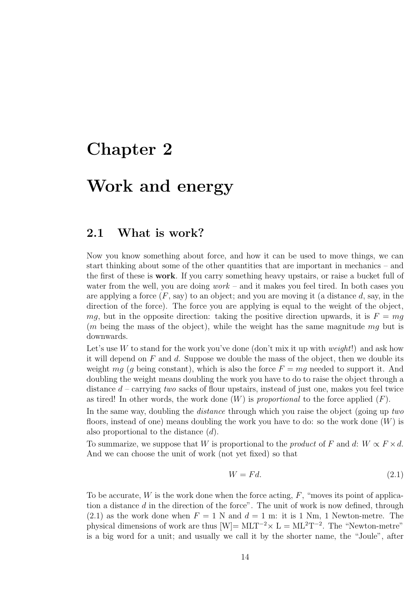# Chapter 2

# Work and energy

### 2.1 What is work?

Now you know something about force, and how it can be used to move things, we can start thinking about some of the other quantities that are important in mechanics – and the first of these is work. If you carry something heavy upstairs, or raise a bucket full of water from the well, you are doing  $work -$  and it makes you feel tired. In both cases you are applying a force  $(F, say)$  to an object; and you are moving it (a distance d, say, in the direction of the force). The force you are applying is equal to the weight of the object, mg, but in the opposite direction: taking the positive direction upwards, it is  $F = mg$  $(m)$  being the mass of the object), while the weight has the same magnitude  $mq$  but is downwards.

Let's use W to stand for the work you've done (don't mix it up with *weight*!) and ask how it will depend on  $F$  and  $d$ . Suppose we double the mass of the object, then we double its weight mg (g being constant), which is also the force  $F = mg$  needed to support it. And doubling the weight means doubling the work you have to do to raise the object through a distance  $d$  – carrying two sacks of flour upstairs, instead of just one, makes you feel twice as tired! In other words, the work done  $(W)$  is proportional to the force applied  $(F)$ .

In the same way, doubling the *distance* through which you raise the object (going up two floors, instead of one) means doubling the work you have to do: so the work done  $(W)$  is also proportional to the distance (d).

To summarize, we suppose that W is proportional to the *product* of F and d:  $W \propto F \times d$ . And we can choose the unit of work (not yet fixed) so that

$$
W = Fd. \t\t(2.1)
$$

To be accurate,  $W$  is the work done when the force acting,  $F$ , "moves its point of application a distance  $d$  in the direction of the force". The unit of work is now defined, through  $(2.1)$  as the work done when  $F = 1$  N and  $d = 1$  m: it is 1 Nm, 1 Newton-metre. The physical dimensions of work are thus  $[W] = MLT^{-2} \times L = ML^{2}T^{-2}$ . The "Newton-metre" is a big word for a unit; and usually we call it by the shorter name, the "Joule", after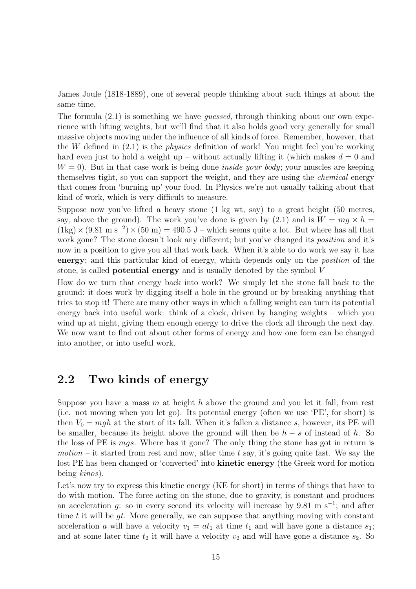James Joule (1818-1889), one of several people thinking about such things at about the same time.

The formula (2.1) is something we have guessed, through thinking about our own experience with lifting weights, but we'll find that it also holds good very generally for small massive objects moving under the influence of all kinds of force. Remember, however, that the W defined in  $(2.1)$  is the *physics* definition of work! You might feel you're working hard even just to hold a weight up – without actually lifting it (which makes  $d = 0$  and  $W = 0$ . But in that case work is being done *inside your body*; your muscles are keeping themselves tight, so you can support the weight, and they are using the chemical energy that comes from 'burning up' your food. In Physics we're not usually talking about that kind of work, which is very difficult to measure.

Suppose now you've lifted a heavy stone (1 kg wt, say) to a great height (50 metres, say, above the ground). The work you've done is given by (2.1) and is  $W = mq \times h =$  $(1\text{kg}) \times (9.81 \text{ m s}^{-2}) \times (50 \text{ m}) = 490.5 \text{ J}$  – which seems quite a lot. But where has all that work gone? The stone doesn't look any different; but you've changed its *position* and it's now in a position to give you all that work back. When it's able to do work we say it has energy; and this particular kind of energy, which depends only on the position of the stone, is called potential energy and is usually denoted by the symbol V

How do we turn that energy back into work? We simply let the stone fall back to the ground: it does work by digging itself a hole in the ground or by breaking anything that tries to stop it! There are many other ways in which a falling weight can turn its potential energy back into useful work: think of a clock, driven by hanging weights – which you wind up at night, giving them enough energy to drive the clock all through the next day. We now want to find out about other forms of energy and how one form can be changed into another, or into useful work.

### 2.2 Two kinds of energy

Suppose you have a mass  $m$  at height  $h$  above the ground and you let it fall, from rest (i.e. not moving when you let go). Its potential energy (often we use 'PE', for short) is then  $V_0 = mgh$  at the start of its fall. When it's fallen a distance s, however, its PE will be smaller, because its height above the ground will then be  $h - s$  of instead of h. So the loss of PE is mgs. Where has it gone? The only thing the stone has got in return is motion – it started from rest and now, after time t say, it's going quite fast. We say the lost PE has been changed or 'converted' into **kinetic energy** (the Greek word for motion being kinos).

Let's now try to express this kinetic energy (KE for short) in terms of things that have to do with motion. The force acting on the stone, due to gravity, is constant and produces an acceleration g: so in every second its velocity will increase by 9.81 m s<sup>-1</sup>; and after time t it will be  $gt$ . More generally, we can suppose that anything moving with constant acceleration a will have a velocity  $v_1 = at_1$  at time  $t_1$  and will have gone a distance  $s_1$ ; and at some later time  $t_2$  it will have a velocity  $v_2$  and will have gone a distance  $s_2$ . So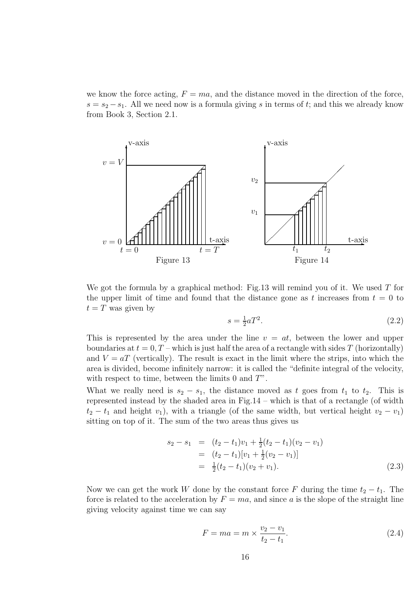we know the force acting,  $F = ma$ , and the distance moved in the direction of the force,  $s = s_2 - s_1$ . All we need now is a formula giving s in terms of t; and this we already know from Book 3, Section 2.1.



We got the formula by a graphical method: Fig.13 will remind you of it. We used  $T$  for the upper limit of time and found that the distance gone as t increases from  $t = 0$  to  $t = T$  was given by

$$
s = \frac{1}{2}aT^2.\tag{2.2}
$$

This is represented by the area under the line  $v = at$ , between the lower and upper boundaries at  $t = 0, T$  – which is just half the area of a rectangle with sides T (horizontally) and  $V = aT$  (vertically). The result is exact in the limit where the strips, into which the area is divided, become infinitely narrow: it is called the "definite integral of the velocity, with respect to time, between the limits  $0$  and  $T$ ".

What we really need is  $s_2 - s_1$ , the distance moved as t goes from  $t_1$  to  $t_2$ . This is represented instead by the shaded area in Fig.14 – which is that of a rectangle (of width  $t_2 - t_1$  and height  $v_1$ ), with a triangle (of the same width, but vertical height  $v_2 - v_1$ ) sitting on top of it. The sum of the two areas thus gives us

$$
s_2 - s_1 = (t_2 - t_1)v_1 + \frac{1}{2}(t_2 - t_1)(v_2 - v_1)
$$
  
=  $(t_2 - t_1)[v_1 + \frac{1}{2}(v_2 - v_1)]$   
=  $\frac{1}{2}(t_2 - t_1)(v_2 + v_1).$  (2.3)

Now we can get the work W done by the constant force F during the time  $t_2 - t_1$ . The force is related to the acceleration by  $F = ma$ , and since a is the slope of the straight line giving velocity against time we can say

$$
F = ma = m \times \frac{v_2 - v_1}{t_2 - t_1}.
$$
\n(2.4)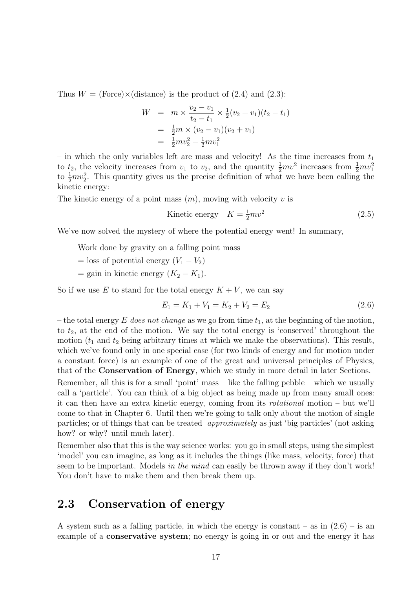Thus  $W = (Force) \times (distance)$  is the product of (2.4) and (2.3):

$$
W = m \times \frac{v_2 - v_1}{t_2 - t_1} \times \frac{1}{2}(v_2 + v_1)(t_2 - t_1)
$$
  
=  $\frac{1}{2}m \times (v_2 - v_1)(v_2 + v_1)$   
=  $\frac{1}{2}mv_2^2 - \frac{1}{2}mv_1^2$ 

– in which the only variables left are mass and velocity! As the time increases from  $t_1$ to  $t_2$ , the velocity increases from  $v_1$  to  $v_2$ , and the quantity  $\frac{1}{2}mv^2$  increases from  $\frac{1}{2}mv_1^2$ to  $\frac{1}{2}mv_2^2$ . This quantity gives us the precise definition of what we have been calling the kinetic energy:

The kinetic energy of a point mass  $(m)$ , moving with velocity v is

Kinetic energy 
$$
K = \frac{1}{2}mv^2
$$
 (2.5)

We've now solved the mystery of where the potential energy went! In summary,

Work done by gravity on a falling point mass

 $=$  loss of potential energy  $(V_1 - V_2)$ 

= gain in kinetic energy  $(K_2 - K_1)$ .

So if we use E to stand for the total energy  $K + V$ , we can say

$$
E_1 = K_1 + V_1 = K_2 + V_2 = E_2 \tag{2.6}
$$

– the total energy E does not change as we go from time  $t_1$ , at the beginning of the motion, to  $t_2$ , at the end of the motion. We say the total energy is 'conserved' throughout the motion  $(t_1$  and  $t_2$  being arbitrary times at which we make the observations). This result, which we've found only in one special case (for two kinds of energy and for motion under a constant force) is an example of one of the great and universal principles of Physics, that of the Conservation of Energy, which we study in more detail in later Sections.

Remember, all this is for a small 'point' mass – like the falling pebble – which we usually call a 'particle'. You can think of a big object as being made up from many small ones: it can then have an extra kinetic energy, coming from its rotational motion – but we'll come to that in Chapter 6. Until then we're going to talk only about the motion of single particles; or of things that can be treated approximately as just 'big particles' (not asking how? or why? until much later).

Remember also that this is the way science works: you go in small steps, using the simplest 'model' you can imagine, as long as it includes the things (like mass, velocity, force) that seem to be important. Models in the mind can easily be thrown away if they don't work! You don't have to make them and then break them up.

# 2.3 Conservation of energy

A system such as a falling particle, in which the energy is constant – as in  $(2.6)$  – is an example of a **conservative system**; no energy is going in or out and the energy it has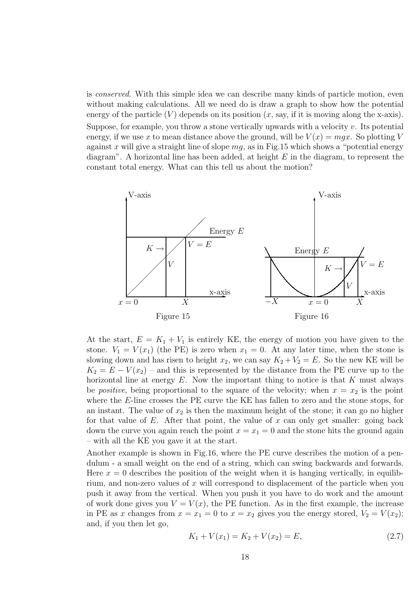is conserved. With this simple idea we can describe many kinds of particle motion, even without making calculations. All we need do is draw a graph to show how the potential energy of the particle  $(V)$  depends on its position  $(x, say, if it is moving along the x-axis)$ . Suppose, for example, you throw a stone vertically upwards with a velocity  $v$ . Its potential energy, if we use x to mean distance above the ground, will be  $V(x) = mgx$ . So plotting V against x will give a straight line of slope  $mg$ , as in Fig.15 which shows a "potential energy diagram". A horizontal line has been added, at height  $E$  in the diagram, to represent the constant total energy. What can this tell us about the motion?



At the start,  $E = K_1 + V_1$  is entirely KE, the energy of motion you have given to the stone.  $V_1 = V(x_1)$  (the PE) is zero when  $x_1 = 0$ . At any later time, when the stone is slowing down and has risen to height  $x_2$ , we can say  $K_2 + V_2 = E$ . So the new KE will be  $K_2 = E - V(x_2)$  – and this is represented by the distance from the PE curve up to the horizontal line at energy  $E$ . Now the important thing to notice is that  $K$  must always be *positive*, being proportional to the square of the velocity; when  $x = x_2$  is the point where the E-line crosses the PE curve the KE has fallen to zero and the stone stops, for an instant. The value of  $x_2$  is then the maximum height of the stone; it can go no higher for that value of  $E$ . After that point, the value of  $x$  can only get smaller: going back down the curve you again reach the point  $x = x_1 = 0$  and the stone hits the ground again – with all the KE you gave it at the start.

Another example is shown in Fig.16, where the PE curve describes the motion of a pendulum - a small weight on the end of a string, which can swing backwards and forwards. Here  $x = 0$  describes the position of the weight when it is hanging vertically, in equilibrium, and non-zero values of  $x$  will correspond to displacement of the particle when you push it away from the vertical. When you push it you have to do work and the amount of work done gives you  $V = V(x)$ , the PE function. As in the first example, the increase in PE as x changes from  $x = x_1 = 0$  to  $x = x_2$  gives you the energy stored,  $V_2 = V(x_2)$ ; and, if you then let go,

$$
K_1 + V(x_1) = K_2 + V(x_2) = E,
$$
\n(2.7)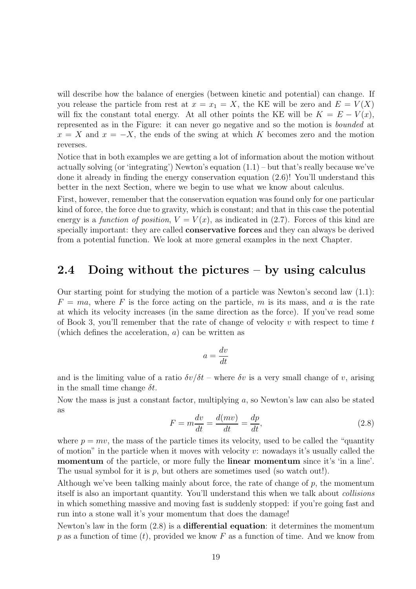will describe how the balance of energies (between kinetic and potential) can change. If you release the particle from rest at  $x = x_1 = X$ , the KE will be zero and  $E = V(X)$ will fix the constant total energy. At all other points the KE will be  $K = E - V(x)$ , represented as in the Figure: it can never go negative and so the motion is bounded at  $x = X$  and  $x = -X$ , the ends of the swing at which K becomes zero and the motion reverses.

Notice that in both examples we are getting a lot of information about the motion without actually solving (or 'integrating') Newton's equation  $(1.1)$  – but that's really because we've done it already in finding the energy conservation equation (2.6)! You'll understand this better in the next Section, where we begin to use what we know about calculus.

First, however, remember that the conservation equation was found only for one particular kind of force, the force due to gravity, which is constant; and that in this case the potential energy is a function of position,  $V = V(x)$ , as indicated in (2.7). Forces of this kind are specially important: they are called conservative forces and they can always be derived from a potential function. We look at more general examples in the next Chapter.

### 2.4 Doing without the pictures – by using calculus

Our starting point for studying the motion of a particle was Newton's second law (1.1):  $F = ma$ , where F is the force acting on the particle, m is its mass, and a is the rate at which its velocity increases (in the same direction as the force). If you've read some of Book 3, you'll remember that the rate of change of velocity  $v$  with respect to time  $t$ (which defines the acceleration,  $a$ ) can be written as

$$
a = \frac{dv}{dt}
$$

and is the limiting value of a ratio  $\delta v/\delta t$  – where  $\delta v$  is a very small change of v, arising in the small time change  $\delta t$ .

Now the mass is just a constant factor, multiplying a, so Newton's law can also be stated as

$$
F = m\frac{dv}{dt} = \frac{d(mv)}{dt} = \frac{dp}{dt},\tag{2.8}
$$

where  $p = mv$ , the mass of the particle times its velocity, used to be called the "quantity" of motion" in the particle when it moves with velocity  $v$ : nowadays it's usually called the momentum of the particle, or more fully the linear momentum since it's 'in a line'. The usual symbol for it is  $p$ , but others are sometimes used (so watch out!).

Although we've been talking mainly about force, the rate of change of  $p$ , the momentum itself is also an important quantity. You'll understand this when we talk about collisions in which something massive and moving fast is suddenly stopped: if you're going fast and run into a stone wall it's your momentum that does the damage!

Newton's law in the form (2.8) is a differential equation: it determines the momentum p as a function of time  $(t)$ , provided we know F as a function of time. And we know from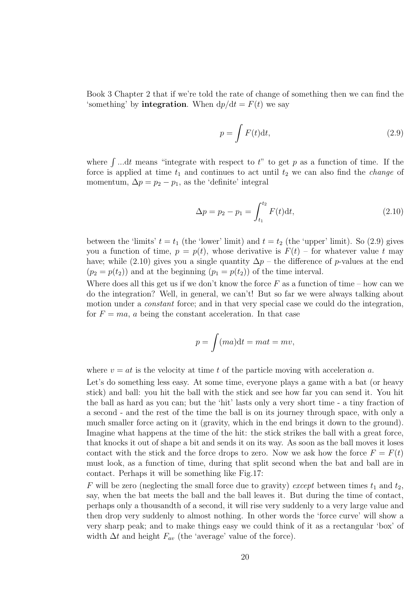Book 3 Chapter 2 that if we're told the rate of change of something then we can find the 'something' by **integration**. When  $dp/dt = F(t)$  we say

$$
p = \int F(t)dt,
$$
\n(2.9)

where  $\int$ ...dt means "integrate with respect to t" to get p as a function of time. If the force is applied at time  $t_1$  and continues to act until  $t_2$  we can also find the *change* of momentum,  $\Delta p = p_2 - p_1$ , as the 'definite' integral

$$
\Delta p = p_2 - p_1 = \int_{t_1}^{t_2} F(t) \mathrm{d}t,\tag{2.10}
$$

between the 'limits'  $t = t_1$  (the 'lower' limit) and  $t = t_2$  (the 'upper' limit). So (2.9) gives you a function of time,  $p = p(t)$ , whose derivative is  $F(t)$  – for whatever value t may have; while (2.10) gives you a single quantity  $\Delta p$  – the difference of p-values at the end  $(p_2 = p(t_2))$  and at the beginning  $(p_1 = p(t_2))$  of the time interval.

Where does all this get us if we don't know the force  $F$  as a function of time – how can we do the integration? Well, in general, we can't! But so far we were always talking about motion under a *constant* force; and in that very special case we could do the integration, for  $F = ma$ , a being the constant acceleration. In that case

$$
p = \int (ma)dt = mat = mv,
$$

where  $v = at$  is the velocity at time t of the particle moving with acceleration a.

Let's do something less easy. At some time, everyone plays a game with a bat (or heavy stick) and ball: you hit the ball with the stick and see how far you can send it. You hit the ball as hard as you can; but the 'hit' lasts only a very short time - a tiny fraction of a second - and the rest of the time the ball is on its journey through space, with only a much smaller force acting on it (gravity, which in the end brings it down to the ground). Imagine what happens at the time of the hit: the stick strikes the ball with a great force, that knocks it out of shape a bit and sends it on its way. As soon as the ball moves it loses contact with the stick and the force drops to zero. Now we ask how the force  $F = F(t)$ must look, as a function of time, during that split second when the bat and ball are in contact. Perhaps it will be something like Fig.17:

F will be zero (neglecting the small force due to gravity) except between times  $t_1$  and  $t_2$ , say, when the bat meets the ball and the ball leaves it. But during the time of contact, perhaps only a thousandth of a second, it will rise very suddenly to a very large value and then drop very suddenly to almost nothing. In other words the 'force curve' will show a very sharp peak; and to make things easy we could think of it as a rectangular 'box' of width  $\Delta t$  and height  $F_{av}$  (the 'average' value of the force).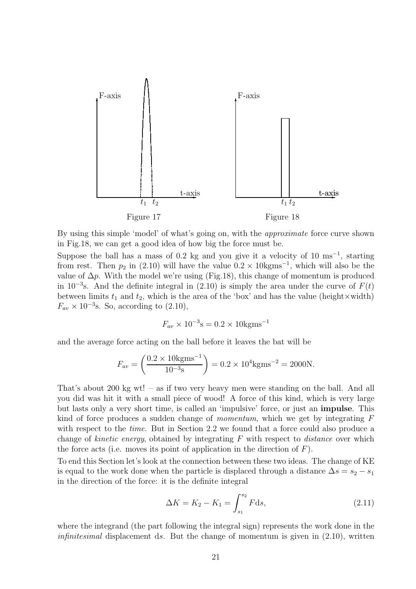

By using this simple 'model' of what's going on, with the approximate force curve shown in Fig.18, we can get a good idea of how big the force must be.

Suppose the ball has a mass of 0.2 kg and you give it a velocity of 10  $\text{ms}^{-1}$ , starting from rest. Then  $p_2$  in (2.10) will have the value  $0.2 \times 10 \text{kgms}^{-1}$ , which will also be the value of  $\Delta p$ . With the model we're using (Fig.18), this change of momentum is produced in 10<sup>-3</sup>s. And the definite integral in (2.10) is simply the area under the curve of  $F(t)$ between limits  $t_1$  and  $t_2$ , which is the area of the 'box' and has the value (height  $\times$  width)  $F_{av} \times 10^{-3}$ s. So, according to  $(2.10)$ ,

$$
F_{av} \times 10^{-3}
$$
s = 0.2 × 10kgms<sup>-1</sup>

and the average force acting on the ball before it leaves the bat will be

$$
F_{av} = \left(\frac{0.2 \times 10 \text{kgms}^{-1}}{10^{-3} \text{s}}\right) = 0.2 \times 10^4 \text{kgms}^{-2} = 2000 \text{N}.
$$

That's about 200 kg wt! – as if two very heavy men were standing on the ball. And all you did was hit it with a small piece of wood! A force of this kind, which is very large but lasts only a very short time, is called an 'impulsive' force, or just an impulse. This kind of force produces a sudden change of *momentum*, which we get by integrating  $F$ with respect to the *time*. But in Section 2.2 we found that a force could also produce a change of *kinetic energy*, obtained by integrating  $F$  with respect to *distance* over which the force acts (i.e. moves its point of application in the direction of  $F$ ).

To end this Section let's look at the connection between these two ideas. The change of KE is equal to the work done when the particle is displaced through a distance  $\Delta s = s_2 - s_1$ in the direction of the force: it is the definite integral

$$
\Delta K = K_2 - K_1 = \int_{s_1}^{s_2} F \, \mathrm{d}s,\tag{2.11}
$$

where the integrand (the part following the integral sign) represents the work done in the *infinitesimal* displacement ds. But the change of momentum is given in  $(2.10)$ , written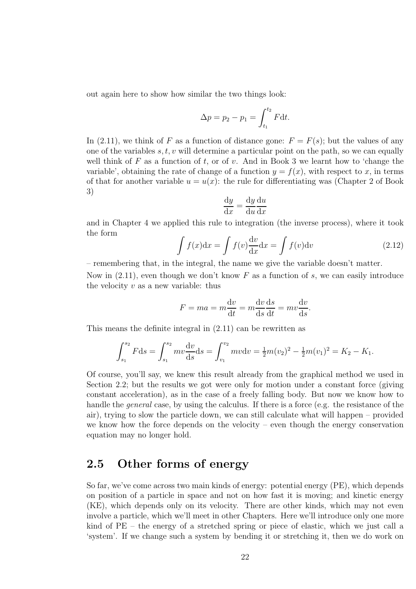out again here to show how similar the two things look:

$$
\Delta p = p_2 - p_1 = \int_{t_1}^{t_2} F \mathrm{d}t.
$$

In (2.11), we think of F as a function of distance gone:  $F = F(s)$ ; but the values of any one of the variables  $s, t, v$  will determine a particular point on the path, so we can equally well think of  $F$  as a function of  $t$ , or of  $v$ . And in Book 3 we learnt how to 'change the variable', obtaining the rate of change of a function  $y = f(x)$ , with respect to x, in terms of that for another variable  $u = u(x)$ : the rule for differentiating was (Chapter 2 of Book 3)

$$
\frac{\mathrm{d}y}{\mathrm{d}x} = \frac{\mathrm{d}y}{\mathrm{d}u} \frac{\mathrm{d}u}{\mathrm{d}x}
$$

and in Chapter 4 we applied this rule to integration (the inverse process), where it took the form

$$
\int f(x)dx = \int f(v)\frac{dv}{dx}dx = \int f(v)dv
$$
\n(2.12)

– remembering that, in the integral, the name we give the variable doesn't matter.

Now in  $(2.11)$ , even though we don't know F as a function of s, we can easily introduce the velocity  $v$  as a new variable: thus

$$
F = ma = m\frac{\mathrm{d}v}{\mathrm{d}t} = m\frac{\mathrm{d}v}{\mathrm{d}s}\frac{\mathrm{d}s}{\mathrm{d}t} = mv\frac{\mathrm{d}v}{\mathrm{d}s}.
$$

This means the definite integral in (2.11) can be rewritten as

$$
\int_{s_1}^{s_2} F ds = \int_{s_1}^{s_2} m v \frac{dv}{ds} ds = \int_{v_1}^{v_2} m v dv = \frac{1}{2} m (v_2)^2 - \frac{1}{2} m (v_1)^2 = K_2 - K_1.
$$

Of course, you'll say, we knew this result already from the graphical method we used in Section 2.2; but the results we got were only for motion under a constant force (giving constant acceleration), as in the case of a freely falling body. But now we know how to handle the *general* case, by using the calculus. If there is a force (e.g. the resistance of the air), trying to slow the particle down, we can still calculate what will happen – provided we know how the force depends on the velocity – even though the energy conservation equation may no longer hold.

## 2.5 Other forms of energy

So far, we've come across two main kinds of energy: potential energy (PE), which depends on position of a particle in space and not on how fast it is moving; and kinetic energy (KE), which depends only on its velocity. There are other kinds, which may not even involve a particle, which we'll meet in other Chapters. Here we'll introduce only one more kind of PE – the energy of a stretched spring or piece of elastic, which we just call a 'system'. If we change such a system by bending it or stretching it, then we do work on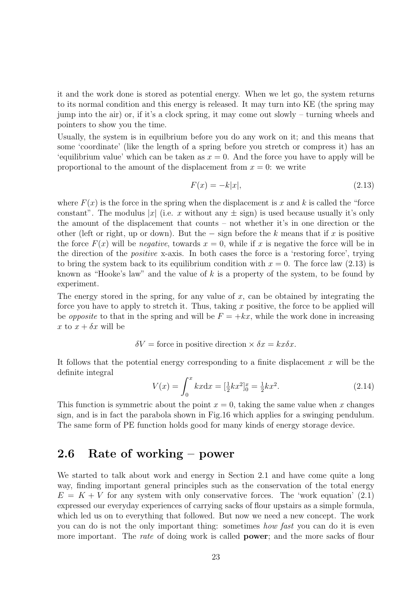it and the work done is stored as potential energy. When we let go, the system returns to its normal condition and this energy is released. It may turn into KE (the spring may jump into the air) or, if it's a clock spring, it may come out slowly – turning wheels and pointers to show you the time.

Usually, the system is in equilbrium before you do any work on it; and this means that some 'coordinate' (like the length of a spring before you stretch or compress it) has an 'equilibrium value' which can be taken as  $x = 0$ . And the force you have to apply will be proportional to the amount of the displacement from  $x = 0$ : we write

$$
F(x) = -k|x|,\t(2.13)
$$

where  $F(x)$  is the force in the spring when the displacement is x and k is called the "force" constant". The modulus |x| (i.e. x without any  $\pm$  sign) is used because usually it's only the amount of the displacement that counts – not whether it's in one direction or the other (left or right, up or down). But the  $-$  sign before the k means that if x is positive the force  $F(x)$  will be *negative*, towards  $x = 0$ , while if x is negative the force will be in the direction of the positive x-axis. In both cases the force is a 'restoring force', trying to bring the system back to its equilibrium condition with  $x = 0$ . The force law (2.13) is known as "Hooke's law" and the value of  $k$  is a property of the system, to be found by experiment.

The energy stored in the spring, for any value of  $x$ , can be obtained by integrating the force you have to apply to stretch it. Thus, taking  $x$  positive, the force to be applied will be *opposite* to that in the spring and will be  $F = +kx$ , while the work done in increasing x to  $x + \delta x$  will be

 $\delta V =$  force in positive direction  $\times \delta x = kx\delta x$ .

It follows that the potential energy corresponding to a finite displacement  $x$  will be the definite integral

$$
V(x) = \int_0^x kx \mathrm{d}x = \left[\frac{1}{2}kx^2\right]_0^x = \frac{1}{2}kx^2. \tag{2.14}
$$

This function is symmetric about the point  $x = 0$ , taking the same value when x changes sign, and is in fact the parabola shown in Fig.16 which applies for a swinging pendulum. The same form of PE function holds good for many kinds of energy storage device.

### 2.6 Rate of working – power

We started to talk about work and energy in Section 2.1 and have come quite a long way, finding important general principles such as the conservation of the total energy  $E = K + V$  for any system with only conservative forces. The 'work equation' (2.1) expressed our everyday experiences of carrying sacks of flour upstairs as a simple formula, which led us on to everything that followed. But now we need a new concept. The work you can do is not the only important thing: sometimes how fast you can do it is even more important. The *rate* of doing work is called **power**; and the more sacks of flour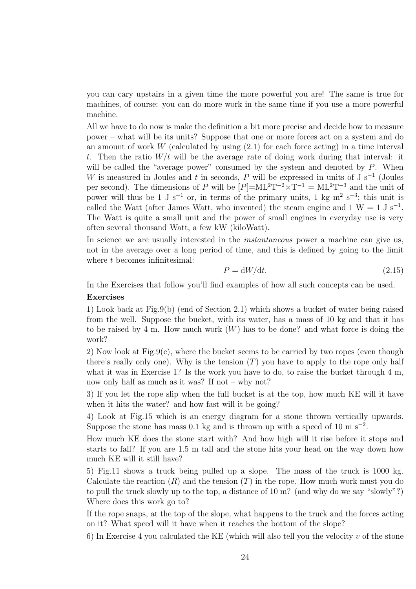you can cary upstairs in a given time the more powerful you are! The same is true for machines, of course: you can do more work in the same time if you use a more powerful machine.

All we have to do now is make the definition a bit more precise and decide how to measure power – what will be its units? Suppose that one or more forces act on a system and do an amount of work  $W$  (calculated by using  $(2.1)$  for each force acting) in a time interval t. Then the ratio  $W/t$  will be the average rate of doing work during that interval: it will be called the "average power" consumed by the system and denoted by  $P$ . When W is measured in Joules and t in seconds, P will be expressed in units of J s<sup>-1</sup> (Joules per second). The dimensions of P will be  $[P] = ML^2T^{-2} \times T^{-1} = ML^2T^{-3}$  and the unit of power will thus be 1 J s<sup>-1</sup> or, in terms of the primary units, 1 kg m<sup>2</sup> s<sup>-3</sup>; this unit is called the Watt (after James Watt, who invented) the steam engine and  $1 \text{ W} = 1 \text{ J s}^{-1}$ . The Watt is quite a small unit and the power of small engines in everyday use is very often several thousand Watt, a few kW (kiloWatt).

In science we are usually interested in the *instantaneous* power a machine can give us, not in the average over a long period of time, and this is defined by going to the limit where t becomes infinitesimal:

$$
P = dW/dt.
$$
\n<sup>(2.15)</sup>

In the Exercises that follow you'll find examples of how all such concepts can be used. Exercises

1) Look back at Fig.9(b) (end of Section 2.1) which shows a bucket of water being raised from the well. Suppose the bucket, with its water, has a mass of 10 kg and that it has to be raised by 4 m. How much work  $(W)$  has to be done? and what force is doing the work?

2) Now look at Fig.9(c), where the bucket seems to be carried by two ropes (even though there's really only one). Why is the tension  $(T)$  you have to apply to the rope only half what it was in Exercise 1? Is the work you have to do, to raise the bucket through 4 m, now only half as much as it was? If not – why not?

3) If you let the rope slip when the full bucket is at the top, how much KE will it have when it hits the water? and how fast will it be going?

4) Look at Fig.15 which is an energy diagram for a stone thrown vertically upwards. Suppose the stone has mass 0.1 kg and is thrown up with a speed of 10 m s<sup>-2</sup>.

How much KE does the stone start with? And how high will it rise before it stops and starts to fall? If you are 1.5 m tall and the stone hits your head on the way down how much KE will it still have?

5) Fig.11 shows a truck being pulled up a slope. The mass of the truck is 1000 kg. Calculate the reaction  $(R)$  and the tension  $(T)$  in the rope. How much work must you do to pull the truck slowly up to the top, a distance of 10 m? (and why do we say "slowly"?) Where does this work go to?

If the rope snaps, at the top of the slope, what happens to the truck and the forces acting on it? What speed will it have when it reaches the bottom of the slope?

6) In Exercise 4 you calculated the KE (which will also tell you the velocity  $v$  of the stone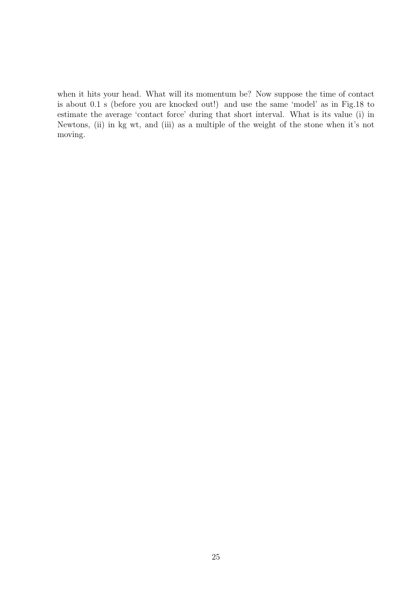when it hits your head. What will its momentum be? Now suppose the time of contact is about 0.1 s (before you are knocked out!) and use the same 'model' as in Fig.18 to estimate the average 'contact force' during that short interval. What is its value (i) in Newtons, (ii) in kg wt, and (iii) as a multiple of the weight of the stone when it's not moving.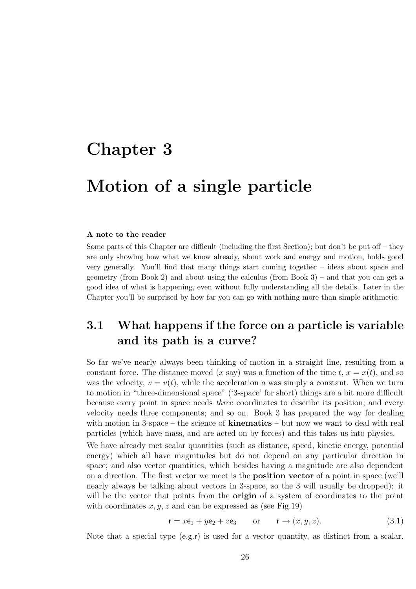# Chapter 3

# Motion of a single particle

#### A note to the reader

Some parts of this Chapter are difficult (including the first Section); but don't be put off – they are only showing how what we know already, about work and energy and motion, holds good very generally. You'll find that many things start coming together – ideas about space and geometry (from Book 2) and about using the calculus (from Book 3) – and that you can get a good idea of what is happening, even without fully understanding all the details. Later in the Chapter you'll be surprised by how far you can go with nothing more than simple arithmetic.

# 3.1 What happens if the force on a particle is variable and its path is a curve?

So far we've nearly always been thinking of motion in a straight line, resulting from a constant force. The distance moved  $(x \text{ say})$  was a function of the time  $t, x = x(t)$ , and so was the velocity,  $v = v(t)$ , while the acceleration a was simply a constant. When we turn to motion in "three-dimensional space" ('3-space' for short) things are a bit more difficult because every point in space needs three coordinates to describe its position; and every velocity needs three components; and so on. Book 3 has prepared the way for dealing with motion in 3-space – the science of **kinematics** – but now we want to deal with real particles (which have mass, and are acted on by forces) and this takes us into physics.

We have already met scalar quantities (such as distance, speed, kinetic energy, potential energy) which all have magnitudes but do not depend on any particular direction in space; and also vector quantities, which besides having a magnitude are also dependent on a direction. The first vector we meet is the position vector of a point in space (we'll nearly always be talking about vectors in 3-space, so the 3 will usually be dropped): it will be the vector that points from the **origin** of a system of coordinates to the point with coordinates  $x, y, z$  and can be expressed as (see Fig. 19)

$$
\mathbf{r} = x\mathbf{e}_1 + y\mathbf{e}_2 + z\mathbf{e}_3 \qquad \text{or} \qquad \mathbf{r} \to (x, y, z). \tag{3.1}
$$

Note that a special type  $(e.g.r)$  is used for a vector quantity, as distinct from a scalar.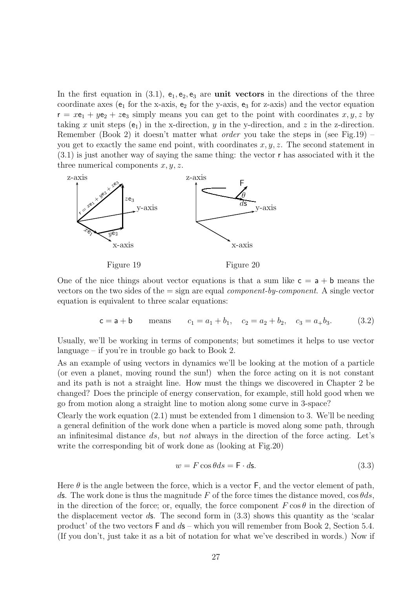In the first equation in (3.1),  $e_1, e_2, e_3$  are **unit vectors** in the directions of the three coordinate axes ( $e_1$  for the x-axis,  $e_2$  for the y-axis,  $e_3$  for z-axis) and the vector equation  $r = x e_1 + y e_2 + z e_3$  simply means you can get to the point with coordinates  $x, y, z$  by taking x unit steps  $(e_1)$  in the x-direction, y in the y-direction, and z in the z-direction. Remember (Book 2) it doesn't matter what *order* you take the steps in (see Fig.19) – you get to exactly the same end point, with coordinates  $x, y, z$ . The second statement in (3.1) is just another way of saying the same thing: the vector r has associated with it the three numerical components  $x, y, z$ .



One of the nice things about vector equations is that a sum like  $c = a + b$  means the vectors on the two sides of the  $=$  sign are equal *component-by-component*. A single vector equation is equivalent to three scalar equations:

$$
c = a + b
$$
 means  $c_1 = a_1 + b_1$ ,  $c_2 = a_2 + b_2$ ,  $c_3 = a_1 + b_3$ . (3.2)

Usually, we'll be working in terms of components; but sometimes it helps to use vector language – if you're in trouble go back to Book 2.

As an example of using vectors in dynamics we'll be looking at the motion of a particle (or even a planet, moving round the sun!) when the force acting on it is not constant and its path is not a straight line. How must the things we discovered in Chapter 2 be changed? Does the principle of energy conservation, for example, still hold good when we go from motion along a straight line to motion along some curve in 3-space?

Clearly the work equation (2.1) must be extended from 1 dimension to 3. We'll be needing a general definition of the work done when a particle is moved along some path, through an infinitesimal distance ds, but not always in the direction of the force acting. Let's write the corresponding bit of work done as (looking at Fig.20)

$$
w = F\cos\theta ds = \mathsf{F} \cdot d\mathsf{s}.\tag{3.3}
$$

Here  $\theta$  is the angle between the force, which is a vector  $\mathsf{F}$ , and the vector element of path, ds. The work done is thus the magnitude F of the force times the distance moved,  $\cos\theta ds$ , in the direction of the force; or, equally, the force component  $F \cos \theta$  in the direction of the displacement vector  $d\mathbf{s}$ . The second form in  $(3.3)$  shows this quantity as the 'scalar product' of the two vectors  $\mathsf F$  and  $d\mathsf s$  – which you will remember from Book 2, Section 5.4. (If you don't, just take it as a bit of notation for what we've described in words.) Now if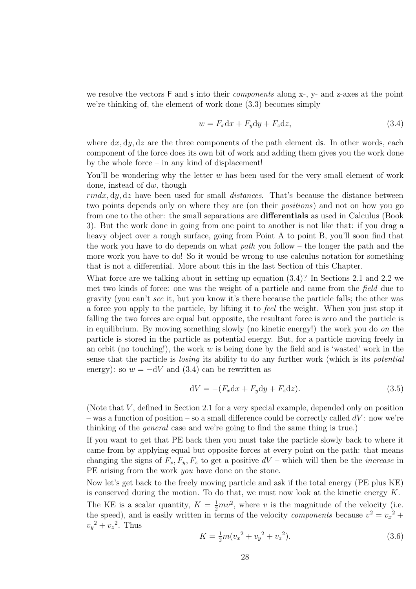we resolve the vectors  $F$  and  $\boldsymbol{s}$  into their *components* along x-, y- and z-axes at the point we're thinking of, the element of work done (3.3) becomes simply

$$
w = F_x \mathrm{d}x + F_y \mathrm{d}y + F_z \mathrm{d}z,\tag{3.4}
$$

where  $dx, dy, dz$  are the three components of the path element ds. In other words, each component of the force does its own bit of work and adding them gives you the work done by the whole force – in any kind of displacement!

You'll be wondering why the letter  $w$  has been used for the very small element of work done, instead of dw, though

 $rmdx, dy, dz$  have been used for small *distances*. That's because the distance between two points depends only on where they are (on their positions) and not on how you go from one to the other: the small separations are differentials as used in Calculus (Book 3). But the work done in going from one point to another is not like that: if you drag a heavy object over a rough surface, going from Point A to point B, you'll soon find that the work you have to do depends on what *path* you follow – the longer the path and the more work you have to do! So it would be wrong to use calculus notation for something that is not a differential. More about this in the last Section of this Chapter.

What force are we talking about in setting up equation (3.4)? In Sections 2.1 and 2.2 we met two kinds of force: one was the weight of a particle and came from the field due to gravity (you can't see it, but you know it's there because the particle falls; the other was a force you apply to the particle, by lifting it to feel the weight. When you just stop it falling the two forces are equal but opposite, the resultant force is zero and the particle is in equilibrium. By moving something slowly (no kinetic energy!) the work you do on the particle is stored in the particle as potential energy. But, for a particle moving freely in an orbit (no touching!), the work  $w$  is being done by the field and is 'wasted' work in the sense that the particle is losing its ability to do any further work (which is its potential energy): so  $w = -dV$  and (3.4) can be rewritten as

$$
dV = -(F_x dx + F_y dy + F_z dz). \tag{3.5}
$$

(Note that  $V$ , defined in Section 2.1 for a very special example, depended only on position – was a function of position – so a small difference could be correctly called  $dV$ : now we're thinking of the general case and we're going to find the same thing is true.)

If you want to get that PE back then you must take the particle slowly back to where it came from by applying equal but opposite forces at every point on the path: that means changing the signs of  $F_x, F_y, F_z$  to get a positive  $dV$  – which will then be the *increase* in PE arising from the work *you* have done on the stone.

Now let's get back to the freely moving particle and ask if the total energy (PE plus KE) is conserved during the motion. To do that, we must now look at the kinetic energy  $K$ . The KE is a scalar quantity,  $K = \frac{1}{2}mv^2$ , where v is the magnitude of the velocity (i.e. the speed), and is easily written in terms of the velocity *components* because  $v^2 = v_x^2 +$  $v_y^2 + v_z^2$ . Thus

$$
K = \frac{1}{2}m(v_x^2 + v_y^2 + v_z^2). \tag{3.6}
$$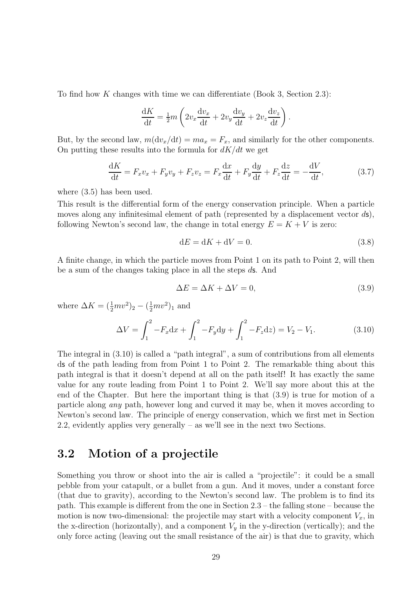To find how K changes with time we can differentiate (Book 3, Section 2.3):

$$
\frac{\mathrm{d}K}{\mathrm{d}t} = \frac{1}{2}m \left( 2v_x \frac{\mathrm{d}v_x}{\mathrm{d}t} + 2v_y \frac{\mathrm{d}v_y}{\mathrm{d}t} + 2v_z \frac{\mathrm{d}v_z}{\mathrm{d}t} \right)
$$

But, by the second law,  $m(\text{d}v_x/\text{d}t) = ma_x = F_x$ , and similarly for the other components. On putting these results into the formula for  $dK/dt$  we get

$$
\frac{\mathrm{d}K}{\mathrm{d}t} = F_x v_x + F_y v_y + F_z v_z = F_x \frac{\mathrm{d}x}{\mathrm{d}t} + F_y \frac{\mathrm{d}y}{\mathrm{d}t} + F_z \frac{\mathrm{d}z}{\mathrm{d}t} = -\frac{\mathrm{d}V}{\mathrm{d}t},\tag{3.7}
$$

where (3.5) has been used.

This result is the differential form of the energy conservation principle. When a particle moves along any infinitesimal element of path (represented by a displacement vector  $d\mathbf{s}$ ), following Newton's second law, the change in total energy  $E = K + V$  is zero:

$$
dE = dK + dV = 0.\t\t(3.8)
$$

.

A finite change, in which the particle moves from Point 1 on its path to Point 2, will then be a sum of the changes taking place in all the steps ds. And

$$
\Delta E = \Delta K + \Delta V = 0,\tag{3.9}
$$

where  $\Delta K = (\frac{1}{2}mv^2)_2 - (\frac{1}{2}mv^2)_1$  and

$$
\Delta V = \int_{1}^{2} -F_x \mathrm{d}x + \int_{1}^{2} -F_y \mathrm{d}y + \int_{1}^{2} -F_z \mathrm{d}z = V_2 - V_1. \tag{3.10}
$$

The integral in (3.10) is called a "path integral", a sum of contributions from all elements ds of the path leading from from Point 1 to Point 2. The remarkable thing about this path integral is that it doesn't depend at all on the path itself! It has exactly the same value for any route leading from Point 1 to Point 2. We'll say more about this at the end of the Chapter. But here the important thing is that (3.9) is true for motion of a particle along any path, however long and curved it may be, when it moves according to Newton's second law. The principle of energy conservation, which we first met in Section 2.2, evidently applies very generally – as we'll see in the next two Sections.

### 3.2 Motion of a projectile

Something you throw or shoot into the air is called a "projectile": it could be a small pebble from your catapult, or a bullet from a gun. And it moves, under a constant force (that due to gravity), according to the Newton's second law. The problem is to find its path. This example is different from the one in Section 2.3 – the falling stone – because the motion is now two-dimensional: the projectile may start with a velocity component  $V_x$ , in the x-direction (horizontally), and a component  $V_y$  in the y-direction (vertically); and the only force acting (leaving out the small resistance of the air) is that due to gravity, which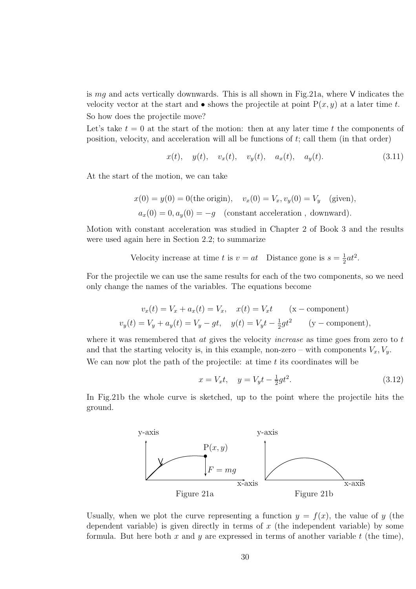is  $mg$  and acts vertically downwards. This is all shown in Fig.21a, where V indicates the velocity vector at the start and  $\bullet$  shows the projectile at point  $P(x, y)$  at a later time t. So how does the projectile move?

Let's take  $t = 0$  at the start of the motion: then at any later time t the components of position, velocity, and acceleration will all be functions of t; call them (in that order)

$$
x(t)
$$
,  $y(t)$ ,  $v_x(t)$ ,  $v_y(t)$ ,  $a_x(t)$ ,  $a_y(t)$ . (3.11)

At the start of the motion, we can take

$$
x(0) = y(0) = 0
$$
(the origin),  $v_x(0) = V_x$ ,  $v_y(0) = V_y$  (given),  
 $a_x(0) = 0$ ,  $a_y(0) = -g$  (constant acceleration, downward).

Motion with constant acceleration was studied in Chapter 2 of Book 3 and the results were used again here in Section 2.2; to summarize

> Velocity increase at time t is  $v = at$  Distance gone is  $s = \frac{1}{2}$  $\frac{1}{2}at^2$ .

For the projectile we can use the same results for each of the two components, so we need only change the names of the variables. The equations become

$$
v_x(t) = V_x + a_x(t) = V_x, \quad x(t) = V_x t \quad (\text{x - component})
$$
  

$$
v_y(t) = V_y + a_y(t) = V_y - gt, \quad y(t) = V_y t - \frac{1}{2}gt^2 \quad (\text{y - component}),
$$

where it was remembered that  $at$  gives the velocity *increase* as time goes from zero to  $t$ and that the starting velocity is, in this example, non-zero – with components  $V_x, V_y$ . We can now plot the path of the projectile: at time  $t$  its coordinates will be

$$
x = V_x t, \quad y = V_y t - \frac{1}{2}gt^2.
$$
\n(3.12)

In Fig.21b the whole curve is sketched, up to the point where the projectile hits the ground.



Usually, when we plot the curve representing a function  $y = f(x)$ , the value of y (the dependent variable) is given directly in terms of  $x$  (the independent variable) by some formula. But here both x and y are expressed in terms of another variable  $t$  (the time),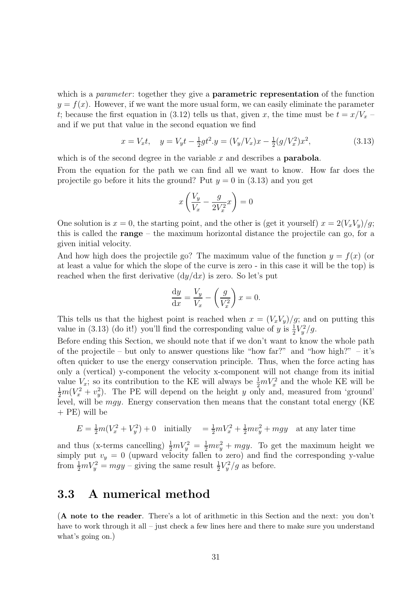which is a *parameter*: together they give a **parametric representation** of the function  $y = f(x)$ . However, if we want the more usual form, we can easily eliminate the parameter t; because the first equation in (3.12) tells us that, given x, the time must be  $t = x/V_x$ and if we put that value in the second equation we find

$$
x = V_x t, \quad y = V_y t - \frac{1}{2}gt^2. y = (V_y/V_x)x - \frac{1}{2}(g/V_x^2)x^2,
$$
\n(3.13)

which is of the second degree in the variable  $x$  and describes a **parabola**.

From the equation for the path we can find all we want to know. How far does the projectile go before it hits the ground? Put  $y = 0$  in (3.13) and you get

$$
x\left(\frac{V_y}{V_x} - \frac{g}{2V_x^2}x\right) = 0
$$

One solution is  $x = 0$ , the starting point, and the other is (get it yourself)  $x = 2(V_xV_y)/g$ ; this is called the range – the maximum horizontal distance the projectile can go, for a given initial velocity.

And how high does the projectile go? The maximum value of the function  $y = f(x)$  (or at least a value for which the slope of the curve is zero - in this case it will be the top) is reached when the first derivative  $(dy/dx)$  is zero. So let's put

$$
\frac{\mathrm{d}y}{\mathrm{d}x} = \frac{V_y}{V_x} - \left(\frac{g}{V_x^2}\right)x = 0.
$$

This tells us that the highest point is reached when  $x = (V_x V_y)/g$ ; and on putting this value in (3.13) (do it!) you'll find the corresponding value of  $y$  is  $\frac{1}{2}V_y^2/g$ .

Before ending this Section, we should note that if we don't want to know the whole path of the projectile – but only to answer questions like "how far?" and "how high?" – it's often quicker to use the energy conservation principle. Thus, when the force acting has only a (vertical) y-component the velocity x-component will not change from its initial value  $V_x$ ; so its contribution to the KE will always be  $\frac{1}{2}mV_x^2$  and the whole KE will be  $\frac{1}{2}m(V_x^2 + v_y^2)$ . The PE will depend on the height y only and, measured from 'ground' level, will be  $mgy$ . Energy conservation then means that the constant total energy (KE + PE) will be

$$
E = \frac{1}{2}m(V_x^2 + V_y^2) + 0
$$
 initially 
$$
= \frac{1}{2}mV_x^2 + \frac{1}{2}mv_y^2 + mgy
$$
 at any later time

and thus (x-terms cancelling)  $\frac{1}{2}mV_y^2 = \frac{1}{2}mv_y^2 + mgy$ . To get the maximum height we simply put  $v_y = 0$  (upward velocity fallen to zero) and find the corresponding y-value from  $\frac{1}{2}mV_y^2 = mgy -$  giving the same result  $\frac{1}{2}V_y^2/g$  as before.

### 3.3 A numerical method

(A note to the reader. There's a lot of arithmetic in this Section and the next: you don't have to work through it all – just check a few lines here and there to make sure you understand what's going on.)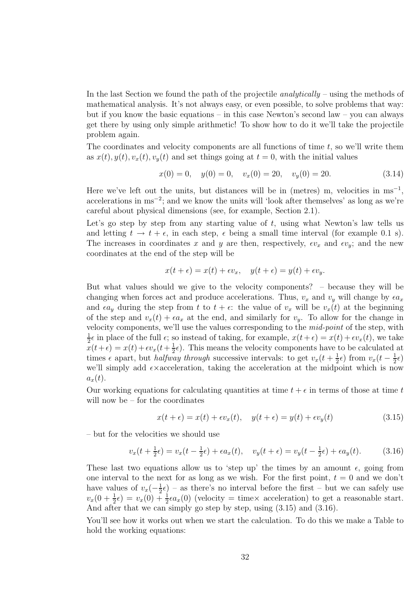In the last Section we found the path of the projectile analytically – using the methods of mathematical analysis. It's not always easy, or even possible, to solve problems that way: but if you know the basic equations – in this case Newton's second law – you can always get there by using only simple arithmetic! To show how to do it we'll take the projectile problem again.

The coordinates and velocity components are all functions of time  $t$ , so we'll write them as  $x(t)$ ,  $y(t)$ ,  $v_x(t)$ ,  $v_y(t)$  and set things going at  $t = 0$ , with the initial values

$$
x(0) = 0, \quad y(0) = 0, \quad v_x(0) = 20, \quad v_y(0) = 20.
$$
\n
$$
(3.14)
$$

Here we've left out the units, but distances will be in (metres) m, velocities in  $ms^{-1}$ , accelerations in ms<sup>−</sup><sup>2</sup> ; and we know the units will 'look after themselves' as long as we're careful about physical dimensions (see, for example, Section 2.1).

Let's go step by step from any starting value of  $t$ , using what Newton's law tells us and letting  $t \to t + \epsilon$ , in each step,  $\epsilon$  being a small time interval (for example 0.1 s). The increases in coordinates x and y are then, respectively,  $\epsilon v_x$  and  $\epsilon v_y$ ; and the new coordinates at the end of the step will be

$$
x(t+\epsilon) = x(t) + \epsilon v_x, \quad y(t+\epsilon) = y(t) + \epsilon v_y.
$$

But what values should we give to the velocity components? – because they will be changing when forces act and produce accelerations. Thus,  $v_x$  and  $v_y$  will change by  $\epsilon a_x$ and  $\epsilon a_y$  during the step from t to  $t + \epsilon$ : the value of  $v_x$  will be  $v_x(t)$  at the beginning of the step and  $v_x(t) + \epsilon a_x$  at the end, and similarly for  $v_y$ . To allow for the change in velocity components, we'll use the values corresponding to the mid-point of the step, with 1  $\frac{1}{2}\epsilon$  in place of the full  $\epsilon$ ; so instead of taking, for example,  $x(t+\epsilon) = x(t) + \epsilon v_x(t)$ , we take  $\bar{x}(t+\epsilon) = x(t) + \epsilon v_x(t+\frac{1}{2})$  $(\frac{1}{2}\epsilon)$ . This means the velocity components have to be calculated at times  $\epsilon$  apart, but *halfway through* successive intervals: to get  $v_x(t + \frac{1}{2})$  $(\frac{1}{2}\epsilon)$  from  $v_x(t-\frac{1}{2})$  $\frac{1}{2}\epsilon$ we'll simply add  $\epsilon \times \text{acceleration}$ , taking the acceleration at the midpoint which is now  $a_x(t)$ .

Our working equations for calculating quantities at time  $t + \epsilon$  in terms of those at time t will now be – for the coordinates

$$
x(t+\epsilon) = x(t) + \epsilon v_x(t), \quad y(t+\epsilon) = y(t) + \epsilon v_y(t)
$$
\n(3.15)

– but for the velocities we should use

$$
v_x(t + \frac{1}{2}\epsilon) = v_x(t - \frac{1}{2}\epsilon) + \epsilon a_x(t), \quad v_y(t + \epsilon) = v_y(t - \frac{1}{2}\epsilon) + \epsilon a_y(t). \tag{3.16}
$$

These last two equations allow us to 'step up' the times by an amount  $\epsilon$ , going from one interval to the next for as long as we wish. For the first point,  $t = 0$  and we don't have values of  $v_x(-\frac{1}{2})$  $(\frac{1}{2}\epsilon)$  – as there's no interval before the first – but we can safely use  $v_x(0+\frac{1}{2}\epsilon) = v_x(0) + \frac{1}{2}\epsilon a_x(0)$  (velocity = time× acceleration) to get a reasonable start. And after that we can simply go step by step, using (3.15) and (3.16).

You'll see how it works out when we start the calculation. To do this we make a Table to hold the working equations: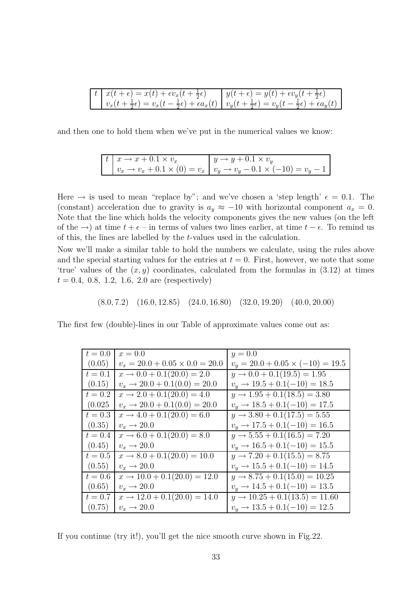$$
\begin{array}{|c|c|c|c|c|c|c|c|} \hline t & x(t+\epsilon) = x(t) + \epsilon v_x(t+\frac{1}{2}\epsilon) & y(t+\epsilon) = y(t) + \epsilon v_y(t+\frac{1}{2}\epsilon) \\ v_x(t+\frac{1}{2}\epsilon) = v_x(t-\frac{1}{2}\epsilon) + \epsilon a_x(t) & v_y(t+\frac{1}{2}\epsilon) = v_y(t-\frac{1}{2}\epsilon) + \epsilon a_y(t) \end{array}
$$

and then one to hold them when we've put in the numerical values we know:

$$
\begin{array}{|c|c|c|c|c|c|} \hline t & x \to x + 0.1 \times v_x & y \to y + 0.1 \times v_y \\ v_x \to v_x + 0.1 \times (0) = v_x & v_y \to v_y - 0.1 \times (-10) = v_y - 1 \end{array}
$$

Here  $\rightarrow$  is used to mean "replace by"; and we've chosen a 'step length'  $\epsilon = 0.1$ . The (constant) acceleration due to gravity is  $a_y \approx -10$  with horizontal component  $a_x = 0$ . Note that the line which holds the velocity components gives the new values (on the left of the →) at time  $t + \epsilon$  – in terms of values two lines earlier, at time  $t - \epsilon$ . To remind us of this, the lines are labelled by the t-values used in the calculation.

Now we'll make a similar table to hold the numbers we calculate, using the rules above and the special starting values for the entries at  $t = 0$ . First, however, we note that some 'true' values of the  $(x, y)$  coordinates, calculated from the formulas in  $(3.12)$  at times  $t = 0.4, 0.8, 1.2, 1.6, 2.0$  are (respectively)

 $(8.0, 7.2)$   $(16.0, 12.85)$   $(24.0, 16.80)$   $(32.0, 19.20)$   $(40.0, 20.00)$ 

The first few (double)-lines in our Table of approximate values come out as:

| $t=0.0$   | $x = 0.0$                                | $y = 0.0$                                 |
|-----------|------------------------------------------|-------------------------------------------|
| (0.05)    | $v_x = 20.0 + 0.05 \times 0.0 = 20.0$    | $v_y = 20.0 + 0.05 \times (-10) = 19.5$   |
| $t=0.1$   | $x \rightarrow 0.0 + 0.1(20.0) = 2.0$    | $y \rightarrow 0.0 + 0.1(19.5) = 1.95$    |
| (0.15)    | $v_x \rightarrow 20.0 + 0.1(0.0) = 20.0$ | $v_y \rightarrow 19.5 + 0.1(-10) = 18.5$  |
| $t = 0.2$ | $x \rightarrow 2.0 + 0.1(20.0) = 4.0$    | $y \rightarrow 1.95 + 0.1(18.5) = 3.80$   |
| (0.025)   | $v_x \rightarrow 20.0 + 0.1(0.0) = 20.0$ | $v_y \rightarrow 18.5 + 0.1(-10) = 17.5$  |
| $t=0.3$   | $x \rightarrow 4.0 + 0.1(20.0) = 6.0$    | $y \rightarrow 3.80 + 0.1(17.5) = 5.55$   |
| (0.35)    | $v_x \rightarrow 20.0$                   | $v_y \rightarrow 17.5 + 0.1(-10) = 16.5$  |
| $t=0.4$   | $x \rightarrow 6.0 + 0.1(20.0) = 8.0$    | $y \rightarrow 5.55 + 0.1(16.5) = 7.20$   |
| (0.45)    | $v_x \rightarrow 20.0$                   | $v_y \rightarrow 16.5 + 0.1(-10) = 15.5$  |
| $t = 0.5$ | $x \rightarrow 8.0 + 0.1(20.0) = 10.0$   | $y \rightarrow 7.20 + 0.1(15.5) = 8.75$   |
| (0.55)    | $v_x \rightarrow 20.0$                   | $v_y \rightarrow 15.5 + 0.1(-10) = 14.5$  |
| $t=0.6$   | $x \rightarrow 10.0 + 0.1(20.0) = 12.0$  | $y \rightarrow 8.75 + 0.1(15.0) = 10.25$  |
| (0.65)    | $v_x \rightarrow 20.0$                   | $v_y \rightarrow 14.5 + 0.1(-10) = 13.5$  |
| $t = 0.7$ | $x \rightarrow 12.0 + 0.1(20.0) = 14.0$  | $y \rightarrow 10.25 + 0.1(13.5) = 11.60$ |
| (0.75)    | $v_x \rightarrow 20.0$                   | $v_y \rightarrow 13.5 + 0.1(-10) = 12.5$  |

If you continue (try it!), you'll get the nice smooth curve shown in Fig.22.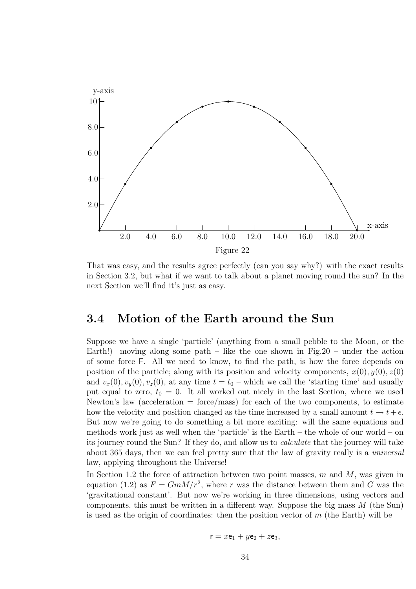

That was easy, and the results agree perfectly (can you say why?) with the exact results in Section 3.2, but what if we want to talk about a planet moving round the sun? In the next Section we'll find it's just as easy.

### 3.4 Motion of the Earth around the Sun

Suppose we have a single 'particle' (anything from a small pebble to the Moon, or the Earth!) moving along some path – like the one shown in Fig.20 – under the action of some force F. All we need to know, to find the path, is how the force depends on position of the particle; along with its position and velocity components,  $x(0), y(0), z(0)$ and  $v_x(0), v_y(0), v_z(0)$ , at any time  $t = t_0$  – which we call the 'starting time' and usually put equal to zero,  $t_0 = 0$ . It all worked out nicely in the last Section, where we used Newton's law (acceleration  $=$  force/mass) for each of the two components, to estimate how the velocity and position changed as the time increased by a small amount  $t \to t + \epsilon$ . But now we're going to do something a bit more exciting: will the same equations and methods work just as well when the 'particle' is the Earth – the whole of our world – on its journey round the Sun? If they do, and allow us to calculate that the journey will take about 365 days, then we can feel pretty sure that the law of gravity really is a universal law, applying throughout the Universe!

In Section 1.2 the force of attraction between two point masses,  $m$  and  $M$ , was given in equation (1.2) as  $F = GmM/r^2$ , where r was the distance between them and G was the 'gravitational constant'. But now we're working in three dimensions, using vectors and components, this must be written in a different way. Suppose the big mass  $M$  (the Sun) is used as the origin of coordinates: then the position vector of  $m$  (the Earth) will be

$$
\mathbf{r} = x\mathbf{e}_1 + y\mathbf{e}_2 + z\mathbf{e}_3,
$$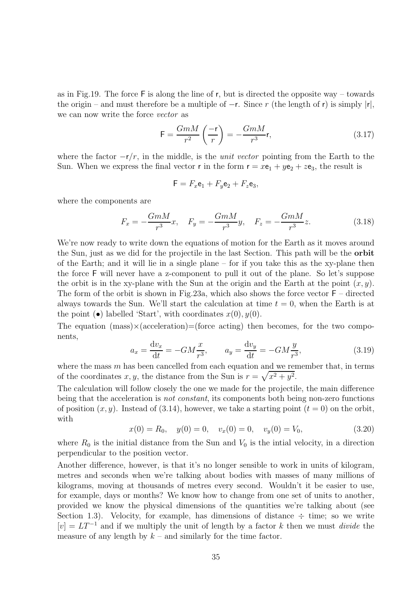as in Fig.19. The force  $\mathsf F$  is along the line of r, but is directed the opposite way – towards the origin – and must therefore be a multiple of  $-r$ . Since r (the length of r) is simply |r|, we can now write the force vector as

$$
\mathsf{F} = \frac{GmM}{r^2} \left( \frac{-\mathsf{r}}{r} \right) = -\frac{GmM}{r^3} \mathsf{r},\tag{3.17}
$$

where the factor  $-r/r$ , in the middle, is the *unit vector* pointing from the Earth to the Sun. When we express the final vector **r** in the form  $\mathbf{r} = x\mathbf{e}_1 + y\mathbf{e}_2 + z\mathbf{e}_3$ , the result is

$$
\mathsf{F} = F_x \mathsf{e}_1 + F_y \mathsf{e}_2 + F_z \mathsf{e}_3,
$$

where the components are

$$
F_x = -\frac{Gm}{r^3}x, \quad F_y = -\frac{Gm}{r^3}y, \quad F_z = -\frac{Gm}{r^3}z.
$$
 (3.18)

We're now ready to write down the equations of motion for the Earth as it moves around the Sun, just as we did for the projectile in the last Section. This path will be the orbit of the Earth; and it will lie in a single plane – for if you take this as the xy-plane then the force F will never have a z-component to pull it out of the plane. So let's suppose the orbit is in the xy-plane with the Sun at the origin and the Earth at the point  $(x, y)$ . The form of the orbit is shown in Fig.23a, which also shows the force vector  $F -$  directed always towards the Sun. We'll start the calculation at time  $t = 0$ , when the Earth is at the point  $\bullet$  labelled 'Start', with coordinates  $x(0), y(0)$ .

The equation  $(mass) \times (acceleration) = (force acting) then becomes, for the two compo$ nents,

$$
a_x = \frac{\mathrm{d}v_x}{\mathrm{d}t} = -GM\frac{x}{r^3}, \qquad a_y = \frac{\mathrm{d}v_y}{\mathrm{d}t} = -GM\frac{y}{r^3},\tag{3.19}
$$

where the mass  $m$  has been cancelled from each equation and we remember that, in terms of the coordinates x, y, the distance from the Sun is  $r = \sqrt{x^2 + y^2}$ .

The calculation will follow closely the one we made for the projectile, the main difference being that the acceleration is *not constant*, its components both being non-zero functions of position  $(x, y)$ . Instead of (3.14), however, we take a starting point  $(t = 0)$  on the orbit, with

$$
x(0) = R_0, \quad y(0) = 0, \quad v_x(0) = 0, \quad v_y(0) = V_0,
$$
\n(3.20)

where  $R_0$  is the initial distance from the Sun and  $V_0$  is the initial velocity, in a direction perpendicular to the position vector.

Another difference, however, is that it's no longer sensible to work in units of kilogram, metres and seconds when we're talking about bodies with masses of many millions of kilograms, moving at thousands of metres every second. Wouldn't it be easier to use, for example, days or months? We know how to change from one set of units to another, provided we know the physical dimensions of the quantities we're talking about (see Section 1.3). Velocity, for example, has dimensions of distance  $\div$  time; so we write  $[v] = LT^{-1}$  and if we multiply the unit of length by a factor k then we must *divide* the measure of any length by  $k$  – and similarly for the time factor.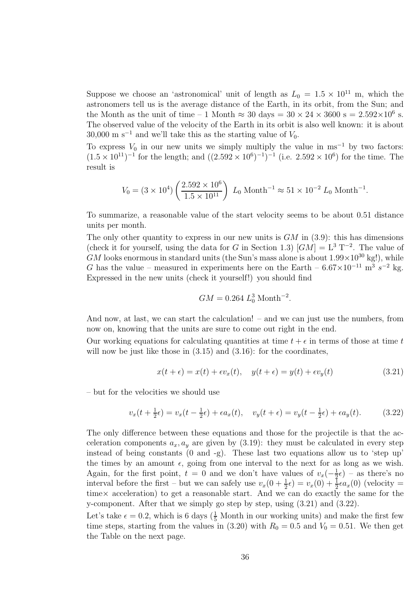Suppose we choose an 'astronomical' unit of length as  $L_0 = 1.5 \times 10^{11}$  m, which the astronomers tell us is the average distance of the Earth, in its orbit, from the Sun; and the Month as the unit of time – 1 Month  $\approx 30 \text{ days} = 30 \times 24 \times 3600 \text{ s} = 2.592 \times 10^6 \text{ s}.$ The observed value of the velocity of the Earth in its orbit is also well known: it is about 30,000 m s<sup>-1</sup> and we'll take this as the starting value of  $V_0$ .

To express  $V_0$  in our new units we simply multiply the value in ms<sup>-1</sup> by two factors:  $(1.5 \times 10^{11})^{-1}$  for the length; and  $((2.592 \times 10^6)^{-1})^{-1}$  (i.e.  $2.592 \times 10^6$ ) for the time. The result is

$$
V_0 = (3 \times 10^4) \left( \frac{2.592 \times 10^6}{1.5 \times 10^{11}} \right) L_0 \text{ Month}^{-1} \approx 51 \times 10^{-2} L_0 \text{Month}^{-1}.
$$

To summarize, a reasonable value of the start velocity seems to be about 0.51 distance units per month.

The only other quantity to express in our new units is  $GM$  in  $(3.9)$ : this has dimensions (check it for yourself, using the data for G in Section 1.3)  $[GM] = L^3 T^{-2}$ . The value of  $GM$  looks enormous in standard units (the Sun's mass alone is about  $1.99 \times 10^{30}$  kg!), while G has the value – measured in experiments here on the Earth –  $6.67 \times 10^{-11}$  m<sup>3</sup> s<sup>-2</sup> kg. Expressed in the new units (check it yourself!) you should find

$$
GM = 0.264 L_0^3 \text{ Month}^{-2}.
$$

And now, at last, we can start the calculation! – and we can just use the numbers, from now on, knowing that the units are sure to come out right in the end.

Our working equations for calculating quantities at time  $t + \epsilon$  in terms of those at time t will now be just like those in  $(3.15)$  and  $(3.16)$ : for the coordinates,

$$
x(t+\epsilon) = x(t) + \epsilon v_x(t), \quad y(t+\epsilon) = y(t) + \epsilon v_y(t)
$$
\n(3.21)

– but for the velocities we should use

$$
v_x(t + \frac{1}{2}\epsilon) = v_x(t - \frac{1}{2}\epsilon) + \epsilon a_x(t), \quad v_y(t + \epsilon) = v_y(t - \frac{1}{2}\epsilon) + \epsilon a_y(t).
$$
 (3.22)

The only difference between these equations and those for the projectile is that the acceleration components  $a_x, a_y$  are given by (3.19): they must be calculated in every step instead of being constants (0 and -g). These last two equations allow us to 'step up' the times by an amount  $\epsilon$ , going from one interval to the next for as long as we wish. Again, for the first point,  $t = 0$  and we don't have values of  $v_x(-\frac{1}{3})$  $(\frac{1}{2}\epsilon)$  – as there's no interval before the first – but we can safely use  $v_x(0 + \frac{1}{2}\epsilon) = v_x(0) + \frac{1}{2}\epsilon a_x(0)$  (velocity = time× acceleration) to get a reasonable start. And we can do exactly the same for the y-component. After that we simply go step by step, using  $(3.21)$  and  $(3.22)$ .

Let's take  $\epsilon = 0.2$ , which is 6 days ( $\frac{1}{5}$  Month in our working units) and make the first few time steps, starting from the values in (3.20) with  $R_0 = 0.5$  and  $V_0 = 0.51$ . We then get the Table on the next page.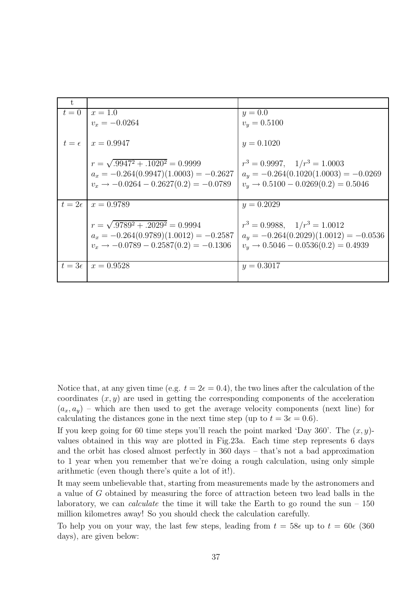| $t = 0$   $x = 1.0$                               | $y = 0.0$                                       |
|---------------------------------------------------|-------------------------------------------------|
| $v_x = -0.0264$                                   | $v_y = 0.5100$                                  |
| $t = \epsilon \mid x = 0.9947$                    | $y = 0.1020$                                    |
| $r = \sqrt{.9947^2 + .1020^2} = 0.9999$           | $r^3 = 0.9997$ , $1/r^3 = 1.0003$               |
| $a_x = -0.264(0.9947)(1.0003) = -0.2627$          | $a_y = -0.264(0.1020(1.0003)) = -0.0269$        |
| $v_x \rightarrow -0.0264 - 0.2627(0.2) = -0.0789$ | $v_y \rightarrow 0.5100 - 0.0269(0.2) = 0.5046$ |
|                                                   |                                                 |
| $t = 2\epsilon \mid x = 0.9789$                   | $y = 0.2029$                                    |
|                                                   |                                                 |
| $r = \sqrt{.9789^2 + .2029^2} = 0.9994$           | $r^3 = 0.9988, \quad 1/r^3 = 1.0012$            |
| $a_x = -0.264(0.9789)(1.0012) = -0.2587$          | $a_y = -0.264(0.2029)(1.0012) = -0.0536$        |
| $v_x \rightarrow -0.0789 - 0.2587(0.2) = -0.1306$ | $v_y \rightarrow 0.5046 - 0.0536(0.2) = 0.4939$ |
|                                                   |                                                 |
| $t = 3\epsilon$   $x = 0.9528$                    | $y = 0.3017$                                    |
|                                                   |                                                 |

Notice that, at any given time (e.g.  $t = 2\epsilon = 0.4$ ), the two lines after the calculation of the coordinates  $(x, y)$  are used in getting the corresponding components of the acceleration  $(a_x, a_y)$  – which are then used to get the average velocity components (next line) for calculating the distances gone in the next time step (up to  $t = 3\epsilon = 0.6$ ).

If you keep going for 60 time steps you'll reach the point marked 'Day 360'. The  $(x, y)$ values obtained in this way are plotted in Fig.23a. Each time step represents 6 days and the orbit has closed almost perfectly in 360 days – that's not a bad approximation to 1 year when you remember that we're doing a rough calculation, using only simple arithmetic (even though there's quite a lot of it!).

It may seem unbelievable that, starting from measurements made by the astronomers and a value of G obtained by measuring the force of attraction beteen two lead balls in the laboratory, we can *calculate* the time it will take the Earth to go round the sun –  $150$ million kilometres away! So you should check the calculation carefully.

To help you on your way, the last few steps, leading from  $t = 58\epsilon$  up to  $t = 60\epsilon$  (360) days), are given below: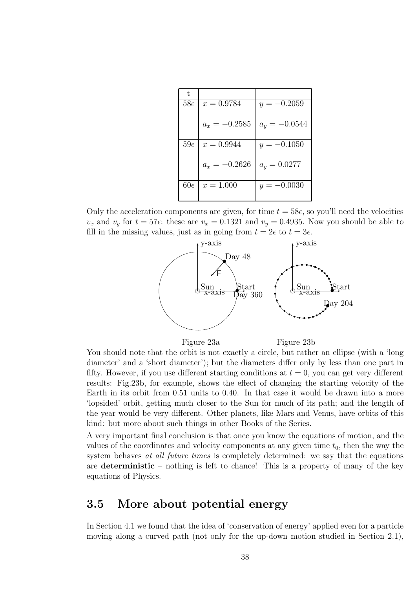| t,           |                 |                 |
|--------------|-----------------|-----------------|
| $58\epsilon$ | $x = 0.9784$    | $y = -0.2059$   |
|              | $a_x = -0.2585$ | $a_y = -0.0544$ |
| $59\epsilon$ | $x = 0.9944$    | $y = -0.1050$   |
|              | $a_x = -0.2626$ | $a_y = 0.0277$  |
| $60\epsilon$ | $x = 1.000$     | $y = -0.0030$   |

Only the acceleration components are given, for time  $t = 58\epsilon$ , so you'll need the velocities  $v_x$  and  $v_y$  for  $t = 57\epsilon$ : these are  $v_x = 0.1321$  and  $v_y = 0.4935$ . Now you should be able to fill in the missing values, just as in going from  $t = 2\epsilon$  to  $t = 3\epsilon$ .



Figure 23a

Figure 23b

You should note that the orbit is not exactly a circle, but rather an ellipse (with a 'long diameter' and a 'short diameter'); but the diameters differ only by less than one part in fifty. However, if you use different starting conditions at  $t = 0$ , you can get very different results: Fig.23b, for example, shows the effect of changing the starting velocity of the Earth in its orbit from 0.51 units to 0.40. In that case it would be drawn into a more 'lopsided' orbit, getting much closer to the Sun for much of its path; and the length of the year would be very different. Other planets, like Mars and Venus, have orbits of this kind: but more about such things in other Books of the Series.

A very important final conclusion is that once you know the equations of motion, and the values of the coordinates and velocity components at any given time  $t_0$ , then the way the system behaves at all future times is completely determined: we say that the equations are deterministic – nothing is left to chance! This is a property of many of the key equations of Physics.

### 3.5 More about potential energy

In Section 4.1 we found that the idea of 'conservation of energy' applied even for a particle moving along a curved path (not only for the up-down motion studied in Section 2.1),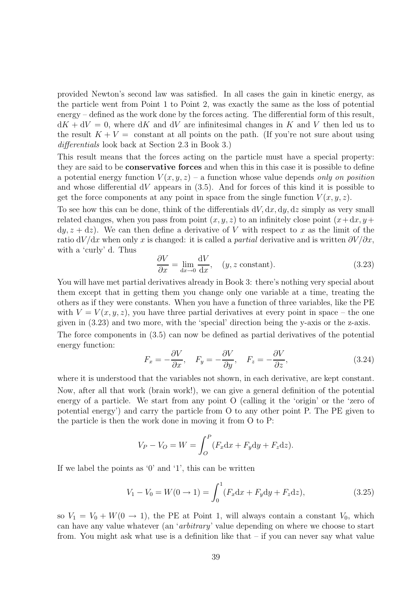provided Newton's second law was satisfied. In all cases the gain in kinetic energy, as the particle went from Point 1 to Point 2, was exactly the same as the loss of potential energy – defined as the work done by the forces acting. The differential form of this result,  $dK + dV = 0$ , where dK and dV are infinitesimal changes in K and V then led us to the result  $K + V =$  constant at all points on the path. (If you're not sure about using differentials look back at Section 2.3 in Book 3.)

This result means that the forces acting on the particle must have a special property: they are said to be conservative forces and when this in this case it is possible to define a potential energy function  $V(x, y, z)$  – a function whose value depends only on position and whose differential  $dV$  appears in (3.5). And for forces of this kind it is possible to get the force components at any point in space from the single function  $V(x, y, z)$ .

To see how this can be done, think of the differentials  $dV$ ,  $dx$ ,  $dy$ ,  $dz$  simply as very small related changes, when you pass from point  $(x, y, z)$  to an infinitely close point  $(x+dx, y+$  $dy, z + dz$ ). We can then define a derivative of V with respect to x as the limit of the ratio dV/dx when only x is changed: it is called a partial derivative and is written  $\partial V/\partial x$ , with a 'curly' d. Thus

$$
\frac{\partial V}{\partial x} = \lim_{\text{dx}\to 0} \frac{\text{d}V}{\text{d}x}, \quad (y, z \text{ constant}). \tag{3.23}
$$

You will have met partial derivatives already in Book 3: there's nothing very special about them except that in getting them you change only one variable at a time, treating the others as if they were constants. When you have a function of three variables, like the PE with  $V = V(x, y, z)$ , you have three partial derivatives at every point in space – the one given in (3.23) and two more, with the 'special' direction being the y-axis or the z-axis.

The force components in (3.5) can now be defined as partial derivatives of the potential energy function:

$$
F_x = -\frac{\partial V}{\partial x}, \quad F_y = -\frac{\partial V}{\partial y}, \quad F_z = -\frac{\partial V}{\partial z}, \tag{3.24}
$$

where it is understood that the variables not shown, in each derivative, are kept constant. Now, after all that work (brain work!), we can give a general definition of the potential energy of a particle. We start from any point O (calling it the 'origin' or the 'zero of potential energy') and carry the particle from O to any other point P. The PE given to the particle is then the work done in moving it from O to P:

$$
V_P - V_O = W = \int_O^P (F_x \mathrm{d}x + F_y \mathrm{d}y + F_z \mathrm{d}z).
$$

If we label the points as '0' and '1', this can be written

$$
V_1 - V_0 = W(0 \to 1) = \int_0^1 (F_x \mathrm{d}x + F_y \mathrm{d}y + F_z \mathrm{d}z), \tag{3.25}
$$

so  $V_1 = V_0 + W(0 \rightarrow 1)$ , the PE at Point 1, will always contain a constant  $V_0$ , which can have any value whatever (an 'arbitrary' value depending on where we choose to start from. You might ask what use is a definition like that – if you can never say what value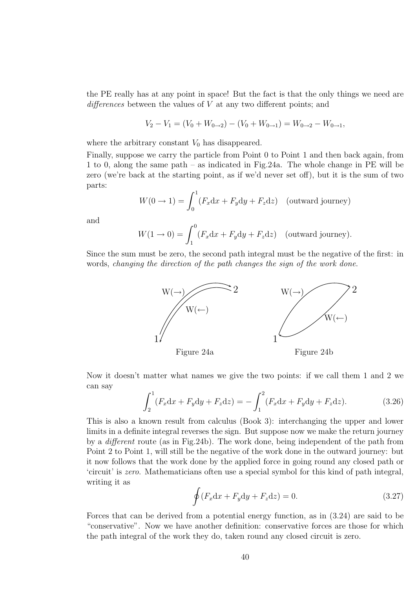the PE really has at any point in space! But the fact is that the only things we need are differences between the values of V at any two different points; and

$$
V_2 - V_1 = (V_0 + W_{0 \to 2}) - (V_0 + W_{0 \to 1}) = W_{0 \to 2} - W_{0 \to 1},
$$

where the arbitrary constant  $V_0$  has disappeared.

Finally, suppose we carry the particle from Point 0 to Point 1 and then back again, from 1 to 0, along the same path – as indicated in Fig.24a. The whole change in PE will be zero (we're back at the starting point, as if we'd never set off), but it is the sum of two parts:

$$
W(0 \to 1) = \int_0^1 (F_x \mathrm{d}x + F_y \mathrm{d}y + F_z \mathrm{d}z) \quad \text{(outward journey)}
$$

and

$$
W(1 \to 0) = \int_1^0 (F_x \mathrm{d}x + F_y \mathrm{d}y + F_z \mathrm{d}z) \quad \text{(outward journey)}.
$$

Since the sum must be zero, the second path integral must be the negative of the first: in words, changing the direction of the path changes the sign of the work done.



Now it doesn't matter what names we give the two points: if we call them 1 and 2 we can say

$$
\int_{2}^{1} (F_x \mathrm{d}x + F_y \mathrm{d}y + F_z \mathrm{d}z) = -\int_{1}^{2} (F_x \mathrm{d}x + F_y \mathrm{d}y + F_z \mathrm{d}z). \tag{3.26}
$$

This is also a known result from calculus (Book 3): interchanging the upper and lower limits in a definite integral reverses the sign. But suppose now we make the return journey by a different route (as in Fig.24b). The work done, being independent of the path from Point 2 to Point 1, will still be the negative of the work done in the outward journey: but it now follows that the work done by the applied force in going round any closed path or 'circuit' is zero. Mathematicians often use a special symbol for this kind of path integral, writing it as

$$
\oint (F_x \mathrm{d}x + F_y \mathrm{d}y + F_z \mathrm{d}z) = 0. \tag{3.27}
$$

Forces that can be derived from a potential energy function, as in (3.24) are said to be "conservative". Now we have another definition: conservative forces are those for which the path integral of the work they do, taken round any closed circuit is zero.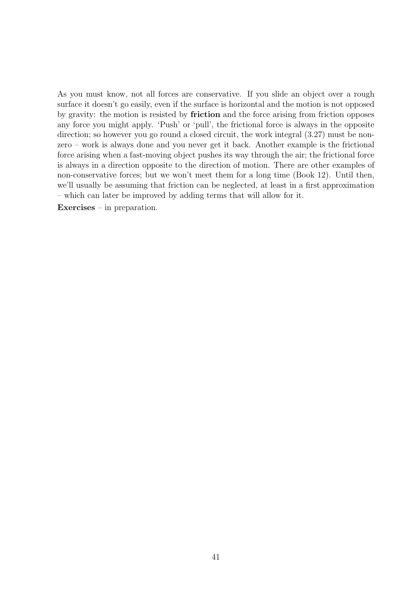As you must know, not all forces are conservative. If you slide an object over a rough surface it doesn't go easily, even if the surface is horizontal and the motion is not opposed by gravity: the motion is resisted by friction and the force arising from friction opposes any force you might apply. 'Push' or 'pull', the frictional force is always in the opposite direction; so however you go round a closed circuit, the work integral  $(3.27)$  must be nonzero – work is always done and you never get it back. Another example is the frictional force arising when a fast-moving object pushes its way through the air; the frictional force is always in a direction opposite to the direction of motion. There are other examples of non-conservative forces; but we won't meet them for a long time (Book 12). Until then, we'll usually be assuming that friction can be neglected, at least in a first approximation – which can later be improved by adding terms that will allow for it.

Exercises – in preparation.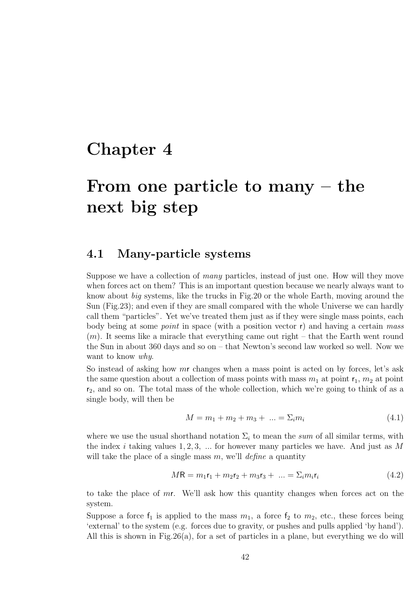### Chapter 4

# From one particle to many – the next big step

### 4.1 Many-particle systems

Suppose we have a collection of many particles, instead of just one. How will they move when forces act on them? This is an important question because we nearly always want to know about big systems, like the trucks in Fig.20 or the whole Earth, moving around the Sun (Fig.23); and even if they are small compared with the whole Universe we can hardly call them "particles". Yet we've treated them just as if they were single mass points, each body being at some *point* in space (with a position vector  $r$ ) and having a certain mass  $(m)$ . It seems like a miracle that everything came out right – that the Earth went round the Sun in about 360 days and so on – that Newton's second law worked so well. Now we want to know why.

So instead of asking how mr changes when a mass point is acted on by forces, let's ask the same question about a collection of mass points with mass  $m_1$  at point  $r_1$ ,  $m_2$  at point  $r_2$ , and so on. The total mass of the whole collection, which we're going to think of as a single body, will then be

$$
M = m_1 + m_2 + m_3 + \dots = \sum_i m_i \tag{4.1}
$$

where we use the usual shorthand notation  $\Sigma_i$  to mean the sum of all similar terms, with the index i taking values  $1, 2, 3, \ldots$  for however many particles we have. And just as M will take the place of a single mass  $m$ , we'll *define* a quantity

$$
MR = m_1 \mathbf{r}_1 + m_2 \mathbf{r}_2 + m_3 \mathbf{r}_3 + \dots = \sum_i m_i \mathbf{r}_i \tag{4.2}
$$

to take the place of  $mr$ . We'll ask how this quantity changes when forces act on the system.

Suppose a force  $f_1$  is applied to the mass  $m_1$ , a force  $f_2$  to  $m_2$ , etc., these forces being 'external' to the system (e.g. forces due to gravity, or pushes and pulls applied 'by hand'). All this is shown in Fig.26(a), for a set of particles in a plane, but everything we do will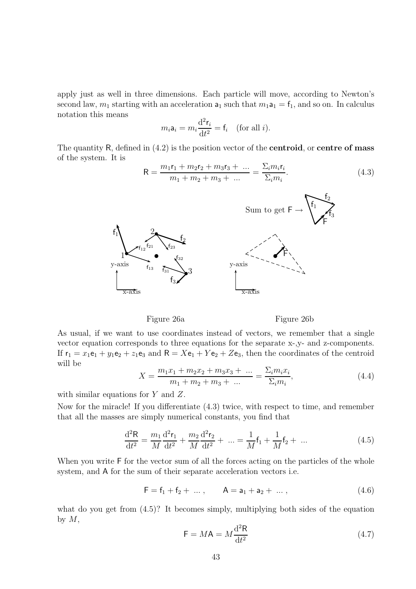apply just as well in three dimensions. Each particle will move, according to Newton's second law,  $m_1$  starting with an acceleration  $a_1$  such that  $m_1a_1 = f_1$ , and so on. In calculus notation this means

$$
m_i \mathbf{a}_i = m_i \frac{\mathrm{d}^2 \mathbf{r}_i}{\mathrm{d} t^2} = \mathbf{f}_i \quad \text{(for all } i\text{)}.
$$

The quantity  $R$ , defined in  $(4.2)$  is the position vector of the **centroid**, or **centre of mass** of the system. It is

$$
R = \frac{m_1 r_1 + m_2 r_2 + m_3 r_3 + \dots}{m_1 + m_2 + m_3 + \dots} = \frac{\sum_i m_i r_i}{\sum_i m_i}.
$$
 (4.3)



Figure 26a

Figure 26b

As usual, if we want to use coordinates instead of vectors, we remember that a single vector equation corresponds to three equations for the separate x-,y- and z-components. If  $r_1 = x_1e_1 + y_1e_2 + z_1e_3$  and  $R = Xe_1 + Ye_2 + Ze_3$ , then the coordinates of the centroid will be

$$
X = \frac{m_1 x_1 + m_2 x_2 + m_3 x_3 + \dots}{m_1 + m_2 + m_3 + \dots} = \frac{\sum_i m_i x_i}{\sum_i m_i},
$$
\n(4.4)

with similar equations for Y and Z.

Now for the miracle! If you differentiate (4.3) twice, with respect to time, and remember that all the masses are simply numerical constants, you find that

$$
\frac{d^2R}{dt^2} = \frac{m_1}{M} \frac{d^2r_1}{dt^2} + \frac{m_2}{M} \frac{d^2r_2}{dt^2} + \dots = \frac{1}{M}f_1 + \frac{1}{M}f_2 + \dots
$$
(4.5)

When you write  $\mathsf F$  for the vector sum of all the forces acting on the particles of the whole system, and A for the sum of their separate acceleration vectors i.e.

$$
F = f_1 + f_2 + \dots, \qquad A = a_1 + a_2 + \dots, \qquad (4.6)
$$

what do you get from  $(4.5)$ ? It becomes simply, multiplying both sides of the equation by  $M$ ,

$$
\mathsf{F} = M\mathsf{A} = M\frac{\mathrm{d}^2\mathsf{R}}{\mathrm{d}t^2} \tag{4.7}
$$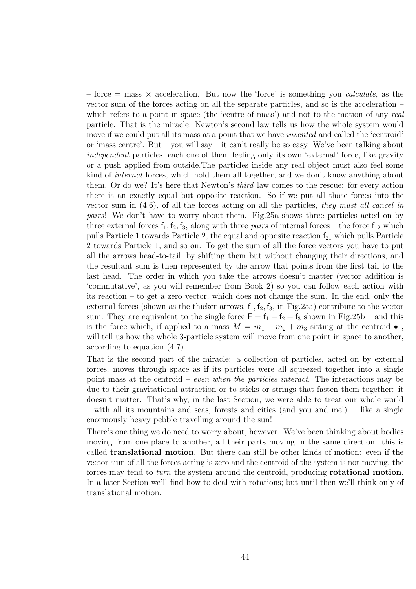– force  $=$  mass  $\times$  acceleration. But now the 'force' is something you *calculate*, as the vector sum of the forces acting on all the separate particles, and so is the acceleration – which refers to a point in space (the 'centre of mass') and not to the motion of any real particle. That is the miracle: Newton's second law tells us how the whole system would move if we could put all its mass at a point that we have invented and called the 'centroid' or 'mass centre'. But – you will say – it can't really be so easy. We've been talking about independent particles, each one of them feeling only its own 'external' force, like gravity or a push applied from outside.The particles inside any real object must also feel some kind of internal forces, which hold them all together, and we don't know anything about them. Or do we? It's here that Newton's third law comes to the rescue: for every action there is an exactly equal but opposite reaction. So if we put all those forces into the vector sum in  $(4.6)$ , of all the forces acting on all the particles, they must all cancel in pairs! We don't have to worry about them. Fig.25a shows three particles acted on by three external forces  $f_1, f_2, f_3$ , along with three *pairs* of internal forces – the force  $f_{12}$  which pulls Particle 1 towards Particle 2, the equal and opposite reaction  $f_{21}$  which pulls Particle 2 towards Particle 1, and so on. To get the sum of all the force vectors you have to put all the arrows head-to-tail, by shifting them but without changing their directions, and the resultant sum is then represented by the arrow that points from the first tail to the last head. The order in which you take the arrows doesn't matter (vector addition is 'commutative', as you will remember from Book 2) so you can follow each action with its reaction – to get a zero vector, which does not change the sum. In the end, only the external forces (shown as the thicker arrows,  $f_1, f_2, f_3$ , in Fig.25a) contribute to the vector sum. They are equivalent to the single force  $F = f_1 + f_2 + f_3$  shown in Fig.25b – and this is the force which, if applied to a mass  $M = m_1 + m_2 + m_3$  sitting at the centroid  $\bullet$ , will tell us how the whole 3-particle system will move from one point in space to another, according to equation (4.7).

That is the second part of the miracle: a collection of particles, acted on by external forces, moves through space as if its particles were all squeezed together into a single point mass at the centroid – even when the particles interact. The interactions may be due to their gravitational attraction or to sticks or strings that fasten them together: it doesn't matter. That's why, in the last Section, we were able to treat our whole world – with all its mountains and seas, forests and cities (and you and me!) – like a single enormously heavy pebble travelling around the sun!

There's one thing we do need to worry about, however. We've been thinking about bodies moving from one place to another, all their parts moving in the same direction: this is called translational motion. But there can still be other kinds of motion: even if the vector sum of all the forces acting is zero and the centroid of the system is not moving, the forces may tend to turn the system around the centroid, producing rotational motion. In a later Section we'll find how to deal with rotations; but until then we'll think only of translational motion.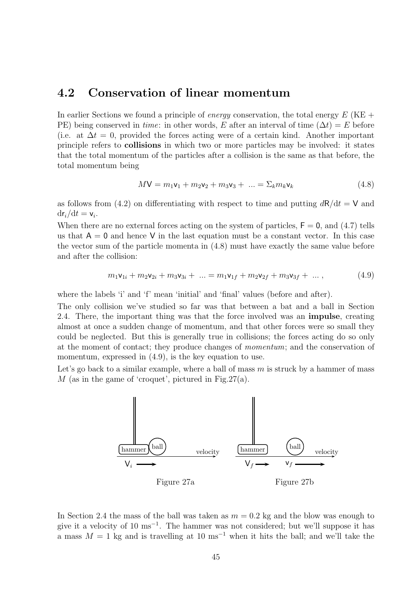### 4.2 Conservation of linear momentum

In earlier Sections we found a principle of *energy* conservation, the total energy  $E$  (KE + PE) being conserved in time: in other words, E after an interval of time  $(\Delta t) = E$  before (i.e. at  $\Delta t = 0$ , provided the forces acting were of a certain kind. Another important principle refers to collisions in which two or more particles may be involved: it states that the total momentum of the particles after a collision is the same as that before, the total momentum being

$$
M\mathbf{V} = m_1\mathbf{v}_1 + m_2\mathbf{v}_2 + m_3\mathbf{v}_3 + \dots = \Sigma_k m_k \mathbf{v}_k \tag{4.8}
$$

as follows from (4.2) on differentiating with respect to time and putting  $dR/dt = V$  and  $\mathrm{d} \mathsf{r}_i/\mathrm{d} t = \mathsf{v}_i.$ 

When there are no external forces acting on the system of particles,  $F = 0$ , and (4.7) tells us that  $A = 0$  and hence V in the last equation must be a constant vector. In this case the vector sum of the particle momenta in (4.8) must have exactly the same value before and after the collision:

$$
m_1 \mathbf{v}_{1i} + m_2 \mathbf{v}_{2i} + m_3 \mathbf{v}_{3i} + \dots = m_1 \mathbf{v}_{1f} + m_2 \mathbf{v}_{2f} + m_3 \mathbf{v}_{3f} + \dots, \tag{4.9}
$$

where the labels 'i' and 'f' mean 'initial' and 'final' values (before and after).

The only collision we've studied so far was that between a bat and a ball in Section 2.4. There, the important thing was that the force involved was an impulse, creating almost at once a sudden change of momentum, and that other forces were so small they could be neglected. But this is generally true in collisions; the forces acting do so only at the moment of contact; they produce changes of momentum; and the conservation of momentum, expressed in  $(4.9)$ , is the key equation to use.

Let's go back to a similar example, where a ball of mass  $m$  is struck by a hammer of mass  $M$  (as in the game of 'croquet', pictured in Fig. 27(a).



In Section 2.4 the mass of the ball was taken as  $m = 0.2$  kg and the blow was enough to give it a velocity of 10 ms<sup>−</sup><sup>1</sup> . The hammer was not considered; but we'll suppose it has a mass  $M = 1$  kg and is travelling at 10 ms<sup>-1</sup> when it hits the ball; and we'll take the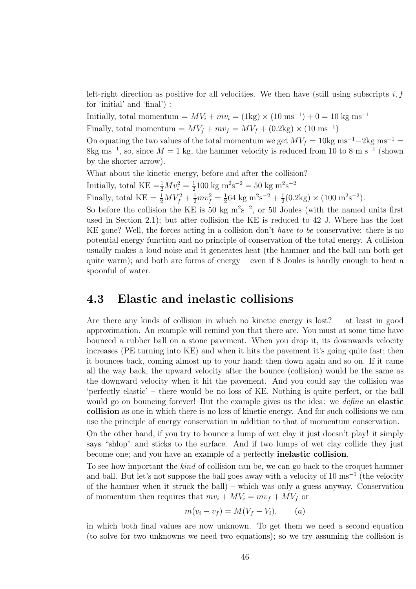left-right direction as positive for all velocities. We then have (still using subscripts  $i, f$ for 'initial' and 'final') :

Initially, total momentum =  $MV_i + mv_i = (1 \text{kg}) \times (10 \text{ ms}^{-1}) + 0 = 10 \text{ kg ms}^{-1}$ 

Finally, total momentum =  $MV_f + mv_f = MV_f + (0.2 \text{kg}) \times (10 \text{ ms}^{-1})$ 

On equating the two values of the total momentum we get  $MV_f = 10$ kg ms<sup>-1</sup> −2kg ms<sup>-1</sup> =  $8 \text{kg ms}^{-1}$ , so, since  $M = 1 \text{ kg}$ , the hammer velocity is reduced from 10 to 8 m s<sup>-1</sup> (shown by the shorter arrow).

What about the kinetic energy, before and after the collision?

Initially, total  $\text{KE} = \frac{1}{2} M v_i^2 = \frac{1}{2}$  $\frac{1}{2}$ 100 kg m<sup>2</sup>s<sup>-2</sup> = 50 kg m<sup>2</sup>s<sup>-2</sup>

Finally, total  $\text{KE} = \frac{1}{2}MV_f^2 + \frac{1}{2}mv_f^2 = \frac{1}{2}$  $\frac{1}{2}$ 64 kg m<sup>2</sup>s<sup>-2</sup> +  $\frac{1}{2}$  $\frac{1}{2}(0.2\text{kg}) \times (100 \text{ m}^2 \text{s}^{-2}).$ 

So before the collision the KE is 50 kg  $m^2s^{-2}$ , or 50 Joules (with the named units first used in Section 2.1); but after collision the KE is reduced to 42 J. Where has the lost KE gone? Well, the forces acting in a collision don't have to be conservative: there is no potential energy function and no principle of conservation of the total energy. A collision usually makes a loud noise and it generates heat (the hammer and the ball can both get quite warm); and both are forms of energy – even if  $8$  Joules is hardly enough to heat a spoonful of water.

### 4.3 Elastic and inelastic collisions

Are there any kinds of collision in which no kinetic energy is lost? – at least in good approximation. An example will remind you that there are. You must at some time have bounced a rubber ball on a stone pavement. When you drop it, its downwards velocity increases (PE turning into KE) and when it hits the pavement it's going quite fast; then it bounces back, coming almost up to your hand; then down again and so on. If it came all the way back, the upward velocity after the bounce (collision) would be the same as the downward velocity when it hit the pavement. And you could say the collision was 'perfectly elastic' – there would be no loss of KE. Nothing is quite perfect, or the ball would go on bouncing forever! But the example gives us the idea: we *define* an **elastic** collision as one in which there is no loss of kinetic energy. And for such collisions we can use the principle of energy conservation in addition to that of momentum conservation.

On the other hand, if you try to bounce a lump of wet clay it just doesn't play! it simply says "shlop" and sticks to the surface. And if two lumps of wet clay collide they just become one; and you have an example of a perfectly inelastic collision.

To see how important the kind of collision can be, we can go back to the croquet hammer and ball. But let's not suppose the ball goes away with a velocity of 10 ms<sup>-1</sup> (the velocity of the hammer when it struck the ball) – which was only a guess anyway. Conservation of momentum then requires that  $mv_i + MV_i = mv_f + MV_f$  or

$$
m(v_i - v_f) = M(V_f - V_i), \qquad (a)
$$

in which both final values are now unknown. To get them we need a second equation (to solve for two unknowns we need two equations); so we try assuming the collision is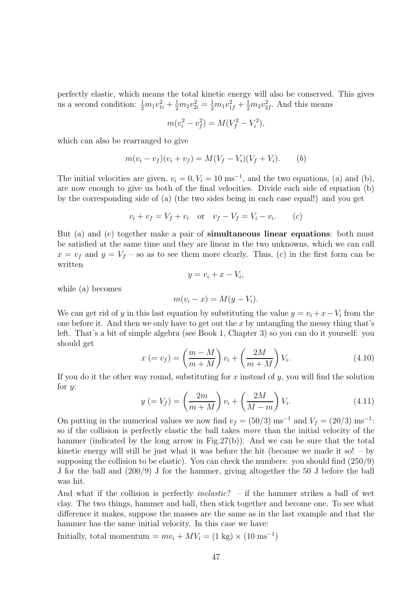perfectly elastic, which means the total kinetic energy will also be conserved. This gives us a second condition:  $\frac{1}{2}m_1v_{1i}^2 + \frac{1}{2}m_2v_{2i}^2 = \frac{1}{2}m_1v_{1f}^2 + \frac{1}{2}m_2v_{2f}^2$ . And this means

$$
m(v_i^2 - v_f^2) = M(V_f^2 - V_i^2),
$$

which can also be rearranged to give

$$
m(v_i - v_f)(v_i + v_f) = M(V_f - V_i)(V_f + V_i).
$$
 (b)

The initial velocities are given,  $v_i = 0, V_i = 10 \text{ ms}^{-1}$ , and the two equations, (a) and (b), are now enough to give us both of the final velocities. Divide each side of equation (b) by the corresponding side of (a) (the two sides being in each case equal!) and you get

$$
v_i + v_f = V_f + v_i
$$
 or  $v_f - V_f = V_i - v_i$ . (c)

But (a) and (c) together make a pair of simultaneous linear equations: both must be satisfied at the same time and they are linear in the two unknowns, which we can call  $x = v_f$  and  $y = V_f$  – so as to see them more clearly. Thus, (c) in the first form can be written

$$
y = v_i + x - V_i,
$$

while (a) becomes

$$
m(v_i - x) = M(y - V_i).
$$

We can get rid of y in this last equation by substituting the value  $y = v_i + x - V_i$  from the one before it. And then we only have to get out the x by untangling the messy thing that's left. That's a bit of simple algebra (see Book 1, Chapter 3) so you can do it yourself: you should get

$$
x (= v_f) = \left(\frac{m - M}{m + M}\right)v_i + \left(\frac{2M}{m + M}\right)V_i.
$$
\n(4.10)

If you do it the other way round, substituting for x instead of  $\gamma$ , you will find the solution for *:* 

$$
y (= V_f) = \left(\frac{2m}{m+M}\right)v_i + \left(\frac{2M}{M-m}\right)V_i.
$$
\n(4.11)

On putting in the numerical values we now find  $v_f = (50/3) \text{ ms}^{-1}$  and  $V_f = (20/3) \text{ ms}^{-1}$ : so if the collision is perfectly elastic the ball takes more than the initial velocity of the hammer (indicated by the long arrow in Fig.27(b)). And we can be sure that the total kinetic energy will still be just what it was before the hit (because we made it so!  $-$  by supposing the collision to be elastic). You can check the numbers: you should find (250/9) J for the ball and (200/9) J for the hammer, giving altogether the 50 J before the ball was hit.

And what if the collision is perfectly *inelastic*? – if the hammer strikes a ball of wet clay. The two things, hammer and ball, then stick together and become one. To see what difference it makes, suppose the masses are the same as in the last example and that the hammer has the same initial velocity. In this case we have:

Initially, total momentum =  $mv_i + MV_i = (1 \text{ kg}) \times (10 \text{ ms}^{-1})$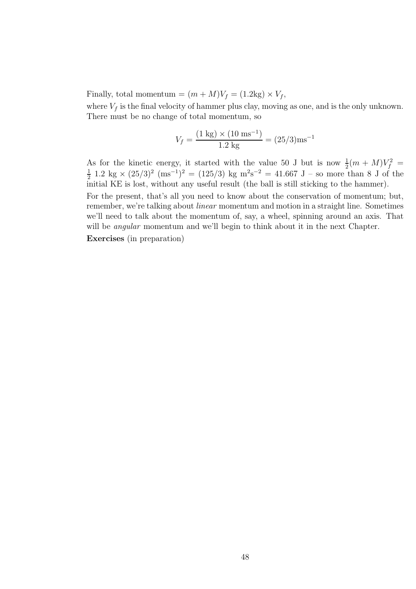Finally, total momentum =  $(m + M)V_f = (1.2 \text{kg}) \times V_f$ ,

where  $V_f$  is the final velocity of hammer plus clay, moving as one, and is the only unknown. There must be no change of total momentum, so

$$
V_f = \frac{(1 \text{ kg}) \times (10 \text{ ms}^{-1})}{1.2 \text{ kg}} = (25/3) \text{ms}^{-1}
$$

As for the kinetic energy, it started with the value 50 J but is now  $\frac{1}{2}(m + M)V_f^2 =$ <br> $\frac{1}{2} 1.2 \text{ kg} \times (25/3)^2 \text{ (me}^{-1})^2 = (125/3) \text{ kg} \text{ m}^2 \text{s}^{-2} = 41.667 \text{ J}$  so more than 8 L of the  $\frac{1}{2}$  1.2 kg × (25/3)<sup>2</sup> (ms<sup>-1</sup>)<sup>2</sup> = (125/3) kg m<sup>2</sup>s<sup>-2</sup> = 41.667 J – so more than 8 J of the initial KE is lost, without any useful result (the ball is still sticking to the hammer).

For the present, that's all you need to know about the conservation of momentum; but, remember, we're talking about *linear* momentum and motion in a straight line. Sometimes we'll need to talk about the momentum of, say, a wheel, spinning around an axis. That will be *angular* momentum and we'll begin to think about it in the next Chapter.

Exercises (in preparation)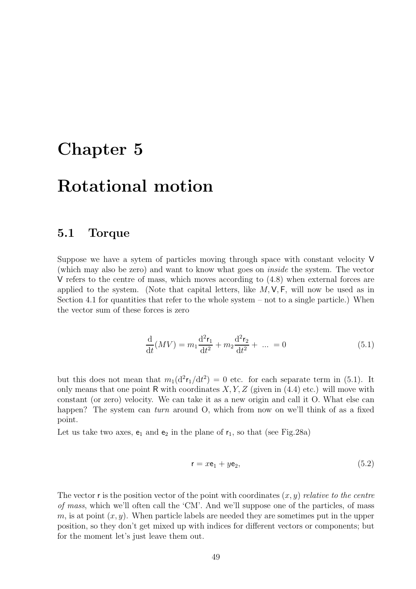## Chapter 5

# Rotational motion

#### 5.1 Torque

Suppose we have a sytem of particles moving through space with constant velocity V (which may also be zero) and want to know what goes on inside the system. The vector V refers to the centre of mass, which moves according to (4.8) when external forces are applied to the system. (Note that capital letters, like  $M, V, F$ , will now be used as in Section 4.1 for quantities that refer to the whole system  $-$  not to a single particle.) When the vector sum of these forces is zero

$$
\frac{\mathrm{d}}{\mathrm{d}t}(MV) = m_1 \frac{\mathrm{d}^2 \mathsf{r}_1}{\mathrm{d}t^2} + m_2 \frac{\mathrm{d}^2 \mathsf{r}_2}{\mathrm{d}t^2} + \dots = 0 \tag{5.1}
$$

but this does not mean that  $m_1(d^2r_1/dt^2) = 0$  etc. for each separate term in (5.1). It only means that one point R with coordinates  $X, Y, Z$  (given in (4.4) etc.) will move with constant (or zero) velocity. We can take it as a new origin and call it O. What else can happen? The system can *turn* around O, which from now on we'll think of as a fixed point.

Let us take two axes,  $e_1$  and  $e_2$  in the plane of  $r_1$ , so that (see Fig.28a)

$$
\mathbf{r} = x\mathbf{e}_1 + y\mathbf{e}_2,\tag{5.2}
$$

The vector r is the position vector of the point with coordinates  $(x, y)$  relative to the centre of mass, which we'll often call the 'CM'. And we'll suppose one of the particles, of mass m, is at point  $(x, y)$ . When particle labels are needed they are sometimes put in the upper position, so they don't get mixed up with indices for different vectors or components; but for the moment let's just leave them out.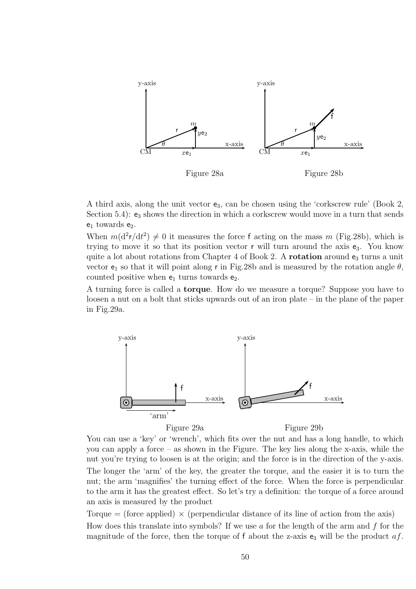

A third axis, along the unit vector  $e_3$ , can be chosen using the 'corkscrew rule' (Book 2, Section 5.4):  $e_3$  shows the direction in which a corkscrew would move in a turn that sends  $e_1$  towards  $e_2$ .

When  $m(d^2r/dt^2) \neq 0$  it measures the force f acting on the mass m (Fig.28b), which is trying to move it so that its position vector  $r$  will turn around the axis  $e_3$ . You know quite a lot about rotations from Chapter 4 of Book 2. A rotation around  $e_3$  turns a unit vector  $e_1$  so that it will point along r in Fig.28b and is measured by the rotation angle  $\theta$ , counted positive when  $e_1$  turns towards  $e_2$ .

A turning force is called a torque. How do we measure a torque? Suppose you have to loosen a nut on a bolt that sticks upwards out of an iron plate – in the plane of the paper in Fig.29a.



You can use a 'key' or 'wrench', which fits over the nut and has a long handle, to which you can apply a force – as shown in the Figure. The key lies along the x-axis, while the nut you're trying to loosen is at the origin; and the force is in the direction of the y-axis. The longer the 'arm' of the key, the greater the torque, and the easier it is to turn the nut; the arm 'magnifies' the turning effect of the force. When the force is perpendicular to the arm it has the greatest effect. So let's try a definition: the torque of a force around an axis is measured by the product

Torque  $=$  (force applied)  $\times$  (perpendicular distance of its line of action from the axis) How does this translate into symbols? If we use a for the length of the arm and  $f$  for the magnitude of the force, then the torque of f about the z-axis  $e_3$  will be the product  $af$ .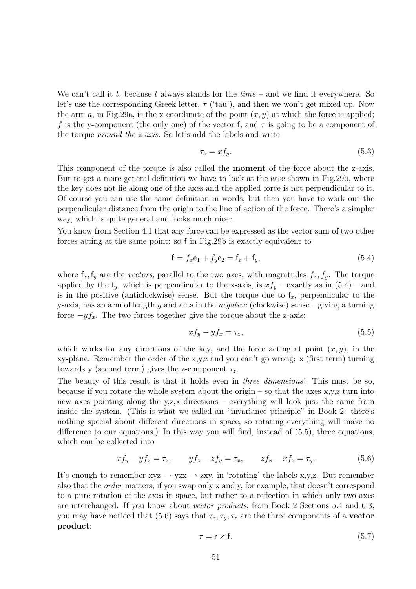We can't call it t, because t always stands for the  $time -$  and we find it everywhere. So let's use the corresponding Greek letter,  $\tau$  ('tau'), and then we won't get mixed up. Now the arm a, in Fig. 29a, is the x-coordinate of the point  $(x, y)$  at which the force is applied; f is the y-component (the only one) of the vector f; and  $\tau$  is going to be a component of the torque around the z-axis. So let's add the labels and write

$$
\tau_z = x f_y. \tag{5.3}
$$

This component of the torque is also called the **moment** of the force about the z-axis. But to get a more general definition we have to look at the case shown in Fig.29b, where the key does not lie along one of the axes and the applied force is not perpendicular to it. Of course you can use the same definition in words, but then you have to work out the perpendicular distance from the origin to the line of action of the force. There's a simpler way, which is quite general and looks much nicer.

You know from Section 4.1 that any force can be expressed as the vector sum of two other forces acting at the same point: so f in Fig.29b is exactly equivalent to

$$
\mathbf{f} = f_x \mathbf{e}_1 + f_y \mathbf{e}_2 = \mathbf{f}_x + \mathbf{f}_y,\tag{5.4}
$$

where  $f_x, f_y$  are the *vectors*, parallel to the two axes, with magnitudes  $f_x, f_y$ . The torque applied by the  $f_y$ , which is perpendicular to the x-axis, is  $xf_y$  – exactly as in  $(5.4)$  – and is in the positive (anticlockwise) sense. But the torque due to  $f<sub>x</sub>$ , perpendicular to the y-axis, has an arm of length y and acts in the *negative* (clockwise) sense  $-$  giving a turning force  $-yf_x$ . The two forces together give the torque about the z-axis:

$$
xf_y - yf_x = \tau_z,\tag{5.5}
$$

which works for any directions of the key, and the force acting at point  $(x, y)$ , in the xy-plane. Remember the order of the x,y,z and you can't go wrong: x (first term) turning towards y (second term) gives the z-component  $\tau_z$ .

The beauty of this result is that it holds even in three dimensions! This must be so, because if you rotate the whole system about the origin – so that the axes  $x,y,z$  turn into new axes pointing along the y,z,x directions – everything will look just the same from inside the system. (This is what we called an "invariance principle" in Book 2: there's nothing special about different directions in space, so rotating everything will make no difference to our equations.) In this way you will find, instead of (5.5), three equations, which can be collected into

$$
xf_y - yf_x = \tau_z, \qquad yf_z - zf_y = \tau_x, \qquad zf_x - xf_z = \tau_y.
$$
 (5.6)

It's enough to remember  $xyz \rightarrow yzx \rightarrow zxy$ , in 'rotating' the labels x,y,z. But remember also that the order matters; if you swap only x and y, for example, that doesn't correspond to a pure rotation of the axes in space, but rather to a reflection in which only two axes are interchanged. If you know about vector products, from Book 2 Sections 5.4 and 6.3, you may have noticed that (5.6) says that  $\tau_x, \tau_y, \tau_z$  are the three components of a **vector** product:

$$
\tau = \mathbf{r} \times \mathbf{f}.\tag{5.7}
$$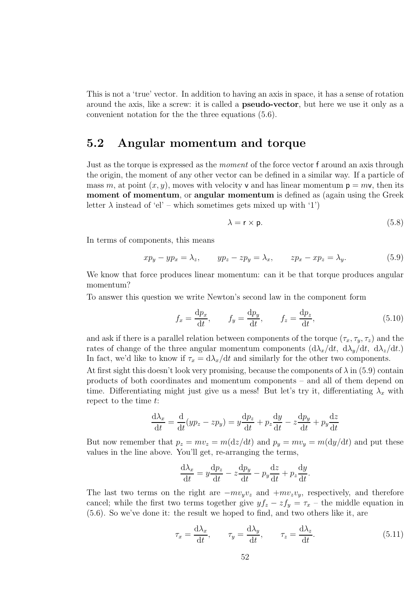This is not a 'true' vector. In addition to having an axis in space, it has a sense of rotation around the axis, like a screw: it is called a pseudo-vector, but here we use it only as a convenient notation for the the three equations (5.6).

### 5.2 Angular momentum and torque

Just as the torque is expressed as the *moment* of the force vector f around an axis through the origin, the moment of any other vector can be defined in a similar way. If a particle of mass m, at point  $(x, y)$ , moves with velocity v and has linear momentum  $p = m\nu$ , then its moment of momentum, or angular momentum is defined as (again using the Greek letter  $\lambda$  instead of 'el' – which sometimes gets mixed up with '1')

$$
\lambda = \mathsf{r} \times \mathsf{p}.\tag{5.8}
$$

In terms of components, this means

$$
xp_y - yp_x = \lambda_z, \qquad yp_z - zp_y = \lambda_x, \qquad zp_x - xp_z = \lambda_y.
$$
 (5.9)

We know that force produces linear momentum: can it be that torque produces angular momentum?

To answer this question we write Newton's second law in the component form

$$
f_x = \frac{dp_x}{dt}, \qquad f_y = \frac{dp_y}{dt}, \qquad f_z = \frac{dp_z}{dt}, \tag{5.10}
$$

and ask if there is a parallel relation between components of the torque  $(\tau_x, \tau_y, \tau_z)$  and the rates of change of the three angular momentum components  $(d\lambda_x/dt, d\lambda_y/dt, d\lambda_z/dt)$ . In fact, we'd like to know if  $\tau_x = d\lambda_x/dt$  and similarly for the other two components.

At first sight this doesn't look very promising, because the components of  $\lambda$  in (5.9) contain products of both coordinates and momentum components – and all of them depend on time. Differentiating might just give us a mess! But let's try it, differentiating  $\lambda_x$  with repect to the time t:

$$
\frac{d\lambda_x}{dt} = \frac{d}{dt}(yp_z - zp_y) = y\frac{dp_z}{dt} + p_z\frac{dy}{dt} - z\frac{dp_y}{dt} + p_y\frac{dz}{dt}
$$

But now remember that  $p_z = mv_z = m(\mathrm{d}z/\mathrm{d}t)$  and  $p_y = mv_y = m(\mathrm{d}y/\mathrm{d}t)$  and put these values in the line above. You'll get, re-arranging the terms,

$$
\frac{\mathrm{d}\lambda_x}{\mathrm{d}t} = y\frac{\mathrm{d}p_z}{\mathrm{d}t} - z\frac{\mathrm{d}p_y}{\mathrm{d}t} - p_y\frac{\mathrm{d}z}{\mathrm{d}t} + p_z\frac{\mathrm{d}y}{\mathrm{d}t}.
$$

The last two terms on the right are  $-mv_yv_z$  and  $+mv_zv_y$ , respectively, and therefore cancel; while the first two terms together give  $y f_z - z f_y = \tau_x$  – the middle equation in (5.6). So we've done it: the result we hoped to find, and two others like it, are

$$
\tau_x = \frac{d\lambda_x}{dt}, \qquad \tau_y = \frac{d\lambda_y}{dt}, \qquad \tau_z = \frac{d\lambda_z}{dt}.
$$
\n(5.11)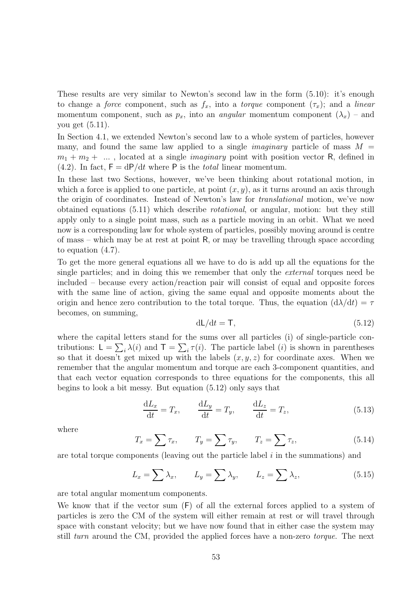These results are very similar to Newton's second law in the form (5.10): it's enough to change a *force* component, such as  $f_x$ , into a *torque* component  $(\tau_x)$ ; and a *linear* momentum component, such as  $p_x$ , into an *angular* momentum component  $(\lambda_x)$  – and you get (5.11).

In Section 4.1, we extended Newton's second law to a whole system of particles, however many, and found the same law applied to a single *imaginary* particle of mass  $M =$  $m_1 + m_2 + \ldots$ , located at a single *imaginary* point with position vector R, defined in (4.2). In fact,  $F = dP/dt$  where P is the *total* linear momentum.

In these last two Sections, however, we've been thinking about rotational motion, in which a force is applied to one particle, at point  $(x, y)$ , as it turns around an axis through the origin of coordinates. Instead of Newton's law for translational motion, we've now obtained equations (5.11) which describe rotational, or angular, motion: but they still apply only to a single point mass, such as a particle moving in an orbit. What we need now is a corresponding law for whole system of particles, possibly moving around is centre of mass – which may be at rest at point R, or may be travelling through space according to equation (4.7).

To get the more general equations all we have to do is add up all the equations for the single particles; and in doing this we remember that only the external torques need be included – because every action/reaction pair will consist of equal and opposite forces with the same line of action, giving the same equal and opposite moments about the origin and hence zero contribution to the total torque. Thus, the equation  $(d\lambda/dt) = \tau$ becomes, on summing,

$$
dL/dt = T, \t\t(5.12)
$$

where the capital letters stand for the sums over all particles (i) of single-particle contributions:  $\mathsf{L} = \sum_i \lambda(i)$  and  $\mathsf{T} = \sum_i \tau(i)$ . The particle label (*i*) is shown in parentheses so that it doesn't get mixed up with the labels  $(x, y, z)$  for coordinate axes. When we remember that the angular momentum and torque are each 3-component quantities, and that each vector equation corresponds to three equations for the components, this all begins to look a bit messy. But equation (5.12) only says that

$$
\frac{dL_x}{dt} = T_x, \qquad \frac{dL_y}{dt} = T_y, \qquad \frac{dL_z}{dt} = T_z,
$$
\n(5.13)

where

$$
T_x = \sum \tau_x, \qquad T_y = \sum \tau_y, \qquad T_z = \sum \tau_z,
$$
\n(5.14)

are total torque components (leaving out the particle label  $i$  in the summations) and

$$
L_x = \sum \lambda_x, \qquad L_y = \sum \lambda_y, \qquad L_z = \sum \lambda_z,\tag{5.15}
$$

are total angular momentum components.

We know that if the vector sum (F) of all the external forces applied to a system of particles is zero the CM of the system will either remain at rest or will travel through space with constant velocity; but we have now found that in either case the system may still *turn* around the CM, provided the applied forces have a non-zero *torque*. The next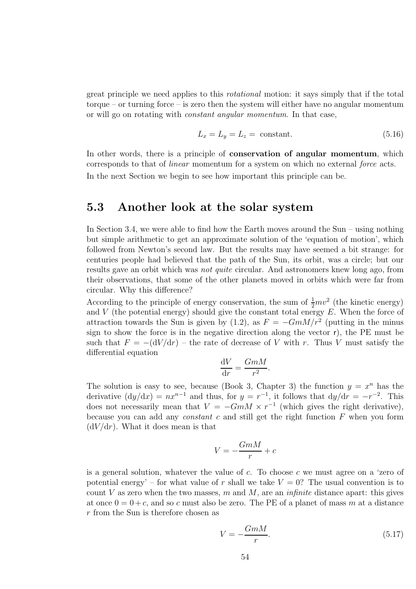great principle we need applies to this rotational motion: it says simply that if the total torque – or turning force – is zero then the system will either have no angular momentum or will go on rotating with constant angular momentum. In that case,

$$
L_x = L_y = L_z = \text{constant.} \tag{5.16}
$$

In other words, there is a principle of **conservation of angular momentum**, which corresponds to that of linear momentum for a system on which no external force acts. In the next Section we begin to see how important this principle can be.

### 5.3 Another look at the solar system

In Section 3.4, we were able to find how the Earth moves around the Sun – using nothing but simple arithmetic to get an approximate solution of the 'equation of motion', which followed from Newton's second law. But the results may have seemed a bit strange: for centuries people had believed that the path of the Sun, its orbit, was a circle; but our results gave an orbit which was not quite circular. And astronomers knew long ago, from their observations, that some of the other planets moved in orbits which were far from circular. Why this difference?

According to the principle of energy conservation, the sum of  $\frac{1}{2}mv^2$  (the kinetic energy) and V (the potential energy) should give the constant total energy  $E$ . When the force of attraction towards the Sun is given by (1.2), as  $F = -GmM/r^2$  (putting in the minus sign to show the force is in the negative direction along the vector r), the PE must be such that  $F = -\frac{dV}{dr}$  – the rate of decrease of V with r. Thus V must satisfy the differential equation

$$
\frac{\mathrm{d}V}{\mathrm{d}r} = \frac{GmM}{r^2}.
$$

The solution is easy to see, because (Book 3, Chapter 3) the function  $y = x^n$  has the derivative  $(dy/dx) = nx^{n-1}$  and thus, for  $y = r^{-1}$ , it follows that  $dy/dr = -r^{-2}$ . This does not necessarily mean that  $V = -GmM \times r^{-1}$  (which gives the right derivative), because you can add any *constant*  $c$  and still get the right function  $F$  when you form  $(dV/dr)$ . What it does mean is that

$$
V = -\frac{GmM}{r} + c
$$

is a general solution, whatever the value of c. To choose c we must agree on a 'zero of potential energy' – for what value of r shall we take  $V = 0$ ? The usual convention is to count V as zero when the two masses, m and M, are an *infinite* distance apart: this gives at once  $0 = 0 + c$ , and so c must also be zero. The PE of a planet of mass m at a distance r from the Sun is therefore chosen as

$$
V = -\frac{GmM}{r}.\tag{5.17}
$$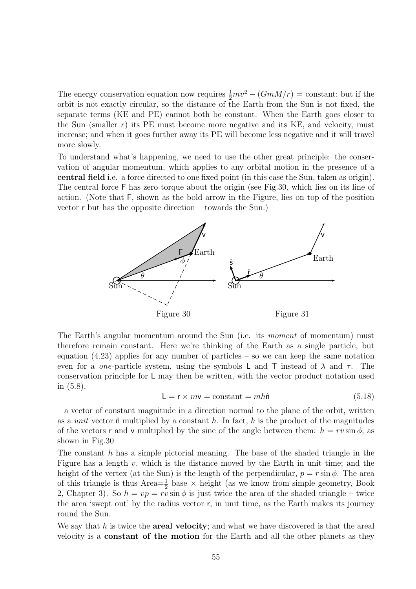The energy conservation equation now requires  $\frac{1}{2}mv^2 - (GmM/r) = \text{constant}$ ; but if the orbit is not exactly circular, so the distance of the Earth from the Sun is not fixed, the separate terms (KE and PE) cannot both be constant. When the Earth goes closer to the Sun (smaller  $r$ ) its PE must become more negative and its KE, and velocity, must increase; and when it goes further away its PE will become less negative and it will travel more slowly.

To understand what's happening, we need to use the other great principle: the conservation of angular momentum, which applies to any orbital motion in the presence of a central field i.e. a force directed to one fixed point (in this case the Sun, taken as origin). The central force F has zero torque about the origin (see Fig.30, which lies on its line of action. (Note that F, shown as the bold arrow in the Figure, lies on top of the position vector r but has the opposite direction – towards the Sun.)



The Earth's angular momentum around the Sun (i.e. its moment of momentum) must therefore remain constant. Here we're thinking of the Earth as a single particle, but equation  $(4.23)$  applies for any number of particles – so we can keep the same notation even for a *one*-particle system, using the symbols L and T instead of  $\lambda$  and  $\tau$ . The conservation principle for L may then be written, with the vector product notation used in (5.8),

$$
L = r \times mv = \text{constant} = mh\hat{n}
$$
 (5.18)

– a vector of constant magnitude in a direction normal to the plane of the orbit, written as a *unit* vector  $\hat{\bf{n}}$  multiplied by a constant h. In fact, h is the product of the magnitudes of the vectors r and v multiplied by the sine of the angle between them:  $h = rv \sin \phi$ , as shown in Fig.30

The constant  $h$  has a simple pictorial meaning. The base of the shaded triangle in the Figure has a length  $v$ , which is the distance moved by the Earth in unit time; and the height of the vertex (at the Sun) is the length of the perpendicular,  $p = r \sin \phi$ . The area of this triangle is thus  $Area = \frac{1}{2}$  base  $\times$  height (as we know from simple geometry, Book 2, Chapter 3). So  $h = vp = rv \sin \phi$  is just twice the area of the shaded triangle – twice the area 'swept out' by the radius vector r, in unit time, as the Earth makes its journey round the Sun.

We say that  $h$  is twice the **areal velocity**; and what we have discovered is that the areal velocity is a constant of the motion for the Earth and all the other planets as they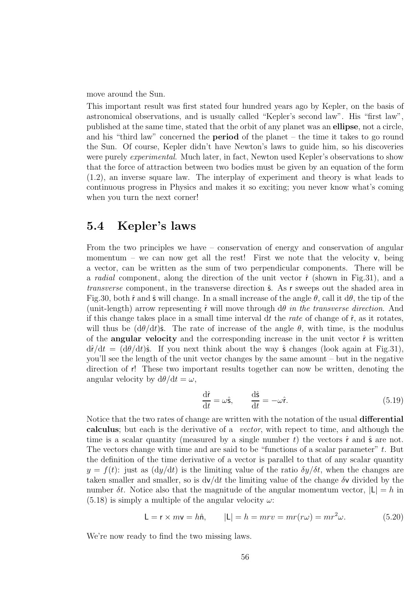move around the Sun.

This important result was first stated four hundred years ago by Kepler, on the basis of astronomical observations, and is usually called "Kepler's second law". His "first law", published at the same time, stated that the orbit of any planet was an ellipse, not a circle, and his "third law" concerned the period of the planet – the time it takes to go round the Sun. Of course, Kepler didn't have Newton's laws to guide him, so his discoveries were purely *experimental*. Much later, in fact, Newton used Kepler's observations to show that the force of attraction between two bodies must be given by an equation of the form (1.2), an inverse square law. The interplay of experiment and theory is what leads to continuous progress in Physics and makes it so exciting; you never know what's coming when you turn the next corner!

### 5.4 Kepler's laws

From the two principles we have – conservation of energy and conservation of angular momentum – we can now get all the rest! First we note that the velocity  $v$ , being a vector, can be written as the sum of two perpendicular components. There will be a *radial* component, along the direction of the unit vector  $\hat{r}$  (shown in Fig.31), and a transverse component, in the transverse direction  $\hat{\mathsf{s}}$ . As r sweeps out the shaded area in Fig.30, both  $\hat{r}$  and  $\hat{s}$  will change. In a small increase of the angle  $\theta$ , call it d $\theta$ , the tip of the (unit-length) arrow representing  $\hat{r}$  will move through  $d\theta$  in the transverse direction. And if this change takes place in a small time interval dt the rate of change of  $\hat{r}$ , as it rotates, will thus be  $(d\theta/dt)\hat{\mathbf{s}}$ . The rate of increase of the angle  $\theta$ , with time, is the modulus of the **angular velocity** and the corresponding increase in the unit vector  $\hat{r}$  is written  $d\hat{r}/dt = (d\theta/dt)\hat{\mathbf{s}}$ . If you next think about the way  $\hat{\mathbf{s}}$  changes (look again at Fig. 31), you'll see the length of the unit vector changes by the same amount – but in the negative direction of r! These two important results together can now be written, denoting the angular velocity by  $d\theta/dt = \omega$ ,

$$
\frac{\mathrm{d}\hat{\mathbf{r}}}{\mathrm{d}t} = \omega \hat{\mathbf{s}}, \qquad \frac{\mathrm{d}\hat{\mathbf{s}}}{\mathrm{d}t} = -\omega \hat{\mathbf{r}}.
$$
\n(5.19)

Notice that the two rates of change are written with the notation of the usual differential calculus; but each is the derivative of a vector, with repect to time, and although the time is a scalar quantity (measured by a single number t) the vectors  $\hat{r}$  and  $\hat{s}$  are not. The vectors change with time and are said to be "functions of a scalar parameter"  $t$ . But the definition of the time derivative of a vector is parallel to that of any scalar quantity  $y = f(t)$ : just as  $(dy/dt)$  is the limiting value of the ratio  $\delta y/\delta t$ , when the changes are taken smaller and smaller, so is  $\frac{dv}{dt}$  the limiting value of the change  $\delta v$  divided by the number  $\delta t$ . Notice also that the magnitude of the angular momentum vector,  $|L| = h$  in  $(5.18)$  is simply a multiple of the angular velocity  $\omega$ :

$$
\mathsf{L} = \mathsf{r} \times m\mathsf{v} = h\hat{\mathsf{n}}, \qquad |\mathsf{L}| = h = mrv = mr(r\omega) = mr^2\omega.
$$
 (5.20)

We're now ready to find the two missing laws.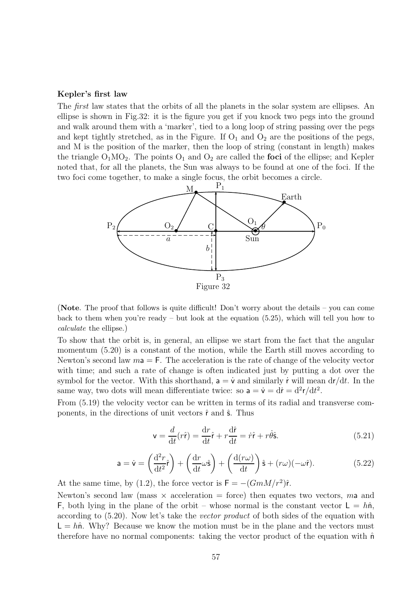#### Kepler's first law

The *first* law states that the orbits of all the planets in the solar system are ellipses. An ellipse is shown in Fig.32: it is the figure you get if you knock two pegs into the ground and walk around them with a 'marker', tied to a long loop of string passing over the pegs and kept tightly stretched, as in the Figure. If  $O_1$  and  $O_2$  are the positions of the pegs, and M is the position of the marker, then the loop of string (constant in length) makes the triangle  $O_1MO_2$ . The points  $O_1$  and  $O_2$  are called the **foci** of the ellipse; and Kepler noted that, for all the planets, the Sun was always to be found at one of the foci. If the two foci come together, to make a single focus, the orbit becomes a circle.



(Note. The proof that follows is quite difficult! Don't worry about the details – you can come back to them when you're ready – but look at the equation  $(5.25)$ , which will tell you how to calculate the ellipse.)

To show that the orbit is, in general, an ellipse we start from the fact that the angular momentum (5.20) is a constant of the motion, while the Earth still moves according to Newton's second law  $m = F$ . The acceleration is the rate of change of the velocity vector with time; and such a rate of change is often indicated just by putting a dot over the symbol for the vector. With this shorthand,  $a = \dot{v}$  and similarly r will mean  $dr/dt$ . In the same way, two dots will mean differentiate twice: so  $a = \dot{v} = d\dot{r} = d^2r/dt^2$ .

From (5.19) the velocity vector can be written in terms of its radial and transverse components, in the directions of unit vectors  $\hat{r}$  and  $\hat{s}$ . Thus

$$
\mathbf{v} = \frac{d}{dt}(r\hat{\mathbf{r}}) = \frac{dr}{dt}\hat{\mathbf{r}} + r\frac{d\hat{\mathbf{r}}}{dt} = \dot{r}\hat{\mathbf{r}} + r\dot{\theta}\hat{\mathbf{s}}.
$$
 (5.21)

$$
\mathbf{a} = \dot{\mathbf{v}} = \left(\frac{\mathrm{d}^2 r}{\mathrm{d}t^2} \hat{\mathbf{r}}\right) + \left(\frac{\mathrm{d}r}{\mathrm{d}t}\omega\hat{\mathbf{s}}\right) + \left(\frac{\mathrm{d}(r\omega)}{\mathrm{d}t}\right)\hat{\mathbf{s}} + (r\omega)(-\omega\hat{\mathbf{r}}). \tag{5.22}
$$

At the same time, by (1.2), the force vector is  $F = -(GmM/r^2)\hat{r}$ .

Newton's second law (mass  $\times$  acceleration = force) then equates two vectors, ma and F, both lying in the plane of the orbit – whose normal is the constant vector  $L = h\hat{n}$ , according to (5.20). Now let's take the vector product of both sides of the equation with  $L = h\hat{n}$ . Why? Because we know the motion must be in the plane and the vectors must therefore have no normal components: taking the vector product of the equation with  $\hat{n}$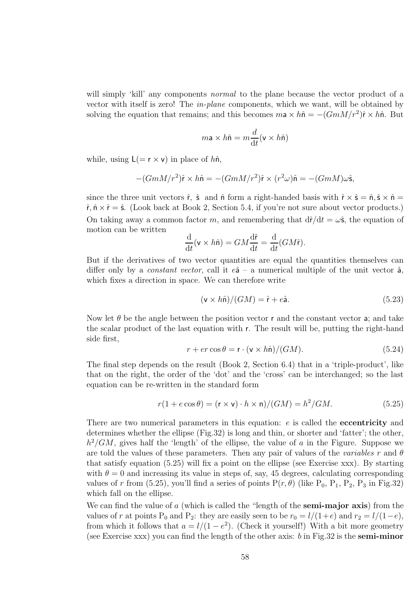will simply 'kill' any components *normal* to the plane because the vector product of a vector with itself is zero! The in-plane components, which we want, will be obtained by solving the equation that remains; and this becomes  $m\mathbf{a} \times h\hat{\mathbf{n}} = -(GmM/r^2)\hat{\mathbf{r}} \times h\hat{\mathbf{n}}$ . But

$$
m\mathbf{a} \times h\hat{\mathbf{n}} = m\frac{d}{dt}(\mathbf{v} \times h\hat{\mathbf{n}})
$$

while, using  $L(= r \times v)$  in place of  $h\hat{n}$ ,

$$
-(GmM/r^2)\hat{\mathbf{r}} \times h\hat{\mathbf{n}} = -(GmM/r^2)\hat{\mathbf{r}} \times (r^2\omega)\hat{\mathbf{n}} = -(GmM)\omega\hat{\mathbf{s}},
$$

since the three unit vectors  $\hat{r}$ ,  $\hat{s}$  and  $\hat{n}$  form a right-handed basis with  $\hat{r} \times \hat{s} = \hat{n}, \hat{s} \times \hat{n} =$  $\hat{r}, \hat{n} \times \hat{r} = \hat{s}$ . (Look back at Book 2, Section 5.4, if you're not sure about vector products.) On taking away a common factor m, and remembering that  $d\hat{r}/dt = \omega\hat{s}$ , the equation of motion can be written

$$
\frac{\mathrm{d}}{\mathrm{d}t}(\mathsf{v}\times h\hat{\mathsf{n}}) = GM\frac{\mathrm{d}\hat{\mathsf{r}}}{\mathrm{d}t} = \frac{\mathrm{d}}{\mathrm{d}t}(GM\hat{\mathsf{r}}).
$$

But if the derivatives of two vector quantities are equal the quantities themselves can differ only by a *constant vector*, call it  $e\hat{a}$  – a numerical multiple of the unit vector  $\hat{a}$ , which fixes a direction in space. We can therefore write

$$
(\mathsf{v} \times h\hat{\mathsf{n}})/(GM) = \hat{\mathsf{r}} + e\hat{\mathsf{a}}.\tag{5.23}
$$

Now let  $\theta$  be the angle between the position vector r and the constant vector a; and take the scalar product of the last equation with r. The result will be, putting the right-hand side first,

$$
r + er \cos \theta = \mathbf{r} \cdot (\mathbf{v} \times h\dot{\mathbf{n}})/(GM). \tag{5.24}
$$

The final step depends on the result (Book 2, Section 6.4) that in a 'triple-product', like that on the right, the order of the 'dot' and the 'cross' can be interchanged; so the last equation can be re-written in the standard form

$$
r(1 + e \cos \theta) = (r \times v) \cdot h \times n)/(GM) = h^2/GM.
$$
 (5.25)

There are two numerical parameters in this equation:  $e$  is called the **eccentricity** and determines whether the ellipse (Fig.32) is long and thin, or shorter and 'fatter'; the other,  $h^2/GM$ , gives half the 'length' of the ellipse, the value of a in the Figure. Suppose we are told the values of these parameters. Then any pair of values of the variables r and  $\theta$ that satisfy equation (5.25) will fix a point on the ellipse (see Exercise xxx). By starting with  $\theta = 0$  and increasing its value in steps of, say, 45 degrees, calculating corresponding values of r from (5.25), you'll find a series of points  $P(r, \theta)$  (like  $P_0$ ,  $P_1$ ,  $P_2$ ,  $P_3$  in Fig.32) which fall on the ellipse.

We can find the value of a (which is called the "length of the **semi-major axis**) from the values of r at points P<sub>0</sub> and P<sub>2</sub>: they are easily seen to be  $r_0 = l/(1+e)$  and  $r_2 = l/(1-e)$ , from which it follows that  $a = l/(1 - e^2)$ . (Check it yourself!) With a bit more geometry (see Exercise xxx) you can find the length of the other axis: b in Fig.32 is the **semi-minor**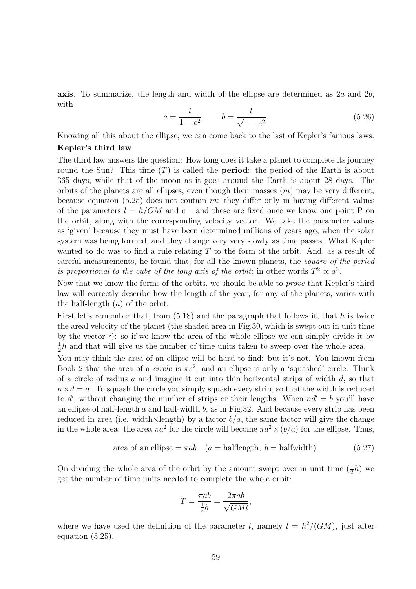**axis**. To summarize, the length and width of the ellipse are determined as  $2a$  and  $2b$ , with

$$
a = \frac{l}{1 - e^2}, \qquad b = \frac{l}{\sqrt{1 - e^2}}.
$$
\n(5.26)

Knowing all this about the ellipse, we can come back to the last of Kepler's famous laws. Kepler's third law

The third law answers the question: How long does it take a planet to complete its journey round the Sun? This time  $(T)$  is called the **period**: the period of the Earth is about 365 days, while that of the moon as it goes around the Earth is about 28 days. The orbits of the planets are all ellipses, even though their masses  $(m)$  may be very different, because equation (5.25) does not contain m: they differ only in having different values of the parameters  $l = h/GM$  and  $e$  – and these are fixed once we know one point P on the orbit, along with the corresponding velocity vector. We take the parameter values as 'given' because they must have been determined millions of years ago, when the solar system was being formed, and they change very very slowly as time passes. What Kepler wanted to do was to find a rule relating T to the form of the orbit. And, as a result of careful measurements, he found that, for all the known planets, the square of the period is proportional to the cube of the long axis of the orbit; in other words  $T^2 \propto a^3$ .

Now that we know the forms of the orbits, we should be able to prove that Kepler's third law will correctly describe how the length of the year, for any of the planets, varies with the half-length  $(a)$  of the orbit.

First let's remember that, from  $(5.18)$  and the paragraph that follows it, that h is twice the areal velocity of the planet (the shaded area in Fig.30, which is swept out in unit time by the vector r): so if we know the area of the whole ellipse we can simply divide it by 1  $\frac{1}{2}h$  and that will give us the number of time units taken to sweep over the whole area.

You may think the area of an ellipse will be hard to find: but it's not. You known from Book 2 that the area of a *circle* is  $\pi r^2$ ; and an ellipse is only a 'squashed' circle. Think of a circle of radius a and imagine it cut into thin horizontal strips of width  $d$ , so that  $n \times d = a$ . To squash the circle you simply squash every strip, so that the width is reduced to d', without changing the number of strips or their lengths. When  $nd' = b$  you'll have an ellipse of half-length  $a$  and half-width  $b$ , as in Fig.32. And because every strip has been reduced in area (i.e. width $\times$ length) by a factor  $b/a$ , the same factor will give the change in the whole area: the area  $\pi a^2$  for the circle will become  $\pi a^2 \times (b/a)$  for the ellipse. Thus,

area of an ellipse = 
$$
\pi ab
$$
 (*a* = halflength, *b* = halfwidth). (5.27)

On dividing the whole area of the orbit by the amount swept over in unit time  $(\frac{1}{2}h)$  we get the number of time units needed to complete the whole orbit:

$$
T = \frac{\pi ab}{\frac{1}{2}h} = \frac{2\pi ab}{\sqrt{GMl}},
$$

where we have used the definition of the parameter l, namely  $l = h^2/(GM)$ , just after equation (5.25).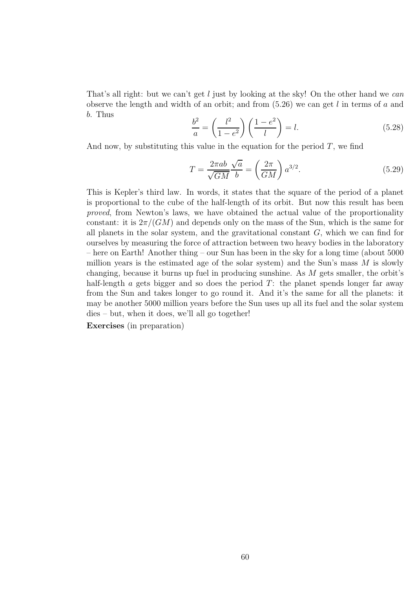That's all right: but we can't get l just by looking at the sky! On the other hand we can observe the length and width of an orbit; and from  $(5.26)$  we can get l in terms of a and b. Thus

$$
\frac{b^2}{a} = \left(\frac{l^2}{1 - e^2}\right) \left(\frac{1 - e^2}{l}\right) = l.
$$
\n
$$
(5.28)
$$

And now, by substituting this value in the equation for the period  $T$ , we find

$$
T = \frac{2\pi ab}{\sqrt{GM}} \frac{\sqrt{a}}{b} = \left(\frac{2\pi}{GM}\right) a^{3/2}.
$$
 (5.29)

This is Kepler's third law. In words, it states that the square of the period of a planet is proportional to the cube of the half-length of its orbit. But now this result has been proved, from Newton's laws, we have obtained the actual value of the proportionality constant: it is  $2\pi/(GM)$  and depends only on the mass of the Sun, which is the same for all planets in the solar system, and the gravitational constant  $G$ , which we can find for ourselves by measuring the force of attraction between two heavy bodies in the laboratory – here on Earth! Another thing – our Sun has been in the sky for a long time (about 5000 million years is the estimated age of the solar system) and the Sun's mass  $M$  is slowly changing, because it burns up fuel in producing sunshine. As M gets smaller, the orbit's half-length  $\alpha$  gets bigger and so does the period  $T$ : the planet spends longer far away from the Sun and takes longer to go round it. And it's the same for all the planets: it may be another 5000 million years before the Sun uses up all its fuel and the solar system dies – but, when it does, we'll all go together!

Exercises (in preparation)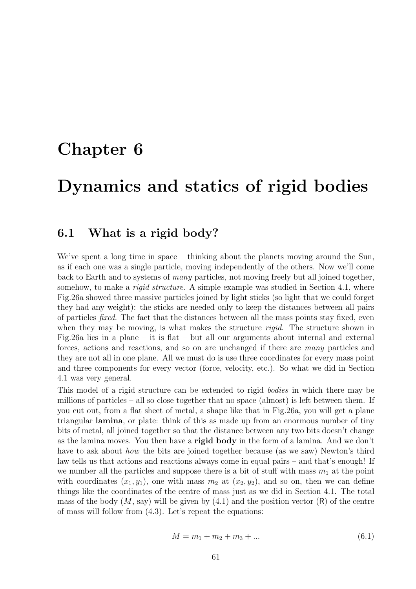## Chapter 6

# Dynamics and statics of rigid bodies

### 6.1 What is a rigid body?

We've spent a long time in space – thinking about the planets moving around the Sun, as if each one was a single particle, moving independently of the others. Now we'll come back to Earth and to systems of many particles, not moving freely but all joined together, somehow, to make a *rigid structure*. A simple example was studied in Section 4.1, where Fig.26a showed three massive particles joined by light sticks (so light that we could forget they had any weight): the sticks are needed only to keep the distances between all pairs of particles fixed. The fact that the distances between all the mass points stay fixed, even when they may be moving, is what makes the structure *rigid*. The structure shown in Fig.26a lies in a plane – it is flat – but all our arguments about internal and external forces, actions and reactions, and so on are unchanged if there are many particles and they are not all in one plane. All we must do is use three coordinates for every mass point and three components for every vector (force, velocity, etc.). So what we did in Section 4.1 was very general.

This model of a rigid structure can be extended to rigid bodies in which there may be millions of particles – all so close together that no space (almost) is left between them. If you cut out, from a flat sheet of metal, a shape like that in Fig.26a, you will get a plane triangular lamina, or plate: think of this as made up from an enormous number of tiny bits of metal, all joined together so that the distance between any two bits doesn't change as the lamina moves. You then have a rigid body in the form of a lamina. And we don't have to ask about *how* the bits are joined together because (as we saw) Newton's third law tells us that actions and reactions always come in equal pairs – and that's enough! If we number all the particles and suppose there is a bit of stuff with mass  $m_1$  at the point with coordinates  $(x_1, y_1)$ , one with mass  $m_2$  at  $(x_2, y_2)$ , and so on, then we can define things like the coordinates of the centre of mass just as we did in Section 4.1. The total mass of the body  $(M, \text{say})$  will be given by  $(4.1)$  and the position vector  $(R)$  of the centre of mass will follow from (4.3). Let's repeat the equations:

$$
M = m_1 + m_2 + m_3 + \dots \tag{6.1}
$$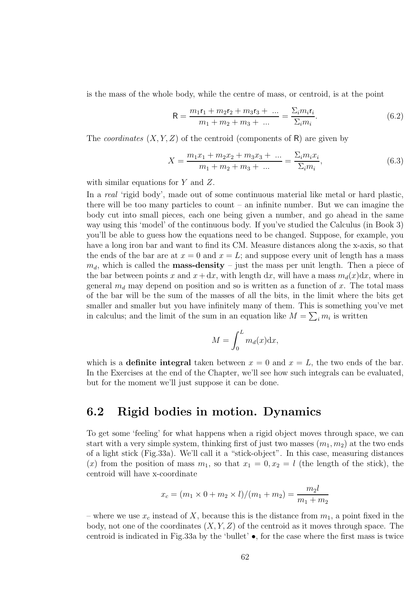is the mass of the whole body, while the centre of mass, or centroid, is at the point

$$
R = \frac{m_1r_1 + m_2r_2 + m_3r_3 + \dots}{m_1 + m_2 + m_3 + \dots} = \frac{\sum_i m_i r_i}{\sum_i m_i}.
$$
 (6.2)

The *coordinates*  $(X, Y, Z)$  of the centroid (components of R) are given by

$$
X = \frac{m_1 x_1 + m_2 x_2 + m_3 x_3 + \dots}{m_1 + m_2 + m_3 + \dots} = \frac{\sum_i m_i x_i}{\sum_i m_i},
$$
\n(6.3)

with similar equations for Y and Z.

In a *real* 'rigid body', made out of some continuous material like metal or hard plastic, there will be too many particles to count – an infinite number. But we can imagine the body cut into small pieces, each one being given a number, and go ahead in the same way using this 'model' of the continuous body. If you've studied the Calculus (in Book 3) you'll be able to guess how the equations need to be changed. Suppose, for example, you have a long iron bar and want to find its CM. Measure distances along the x-axis, so that the ends of the bar are at  $x = 0$  and  $x = L$ ; and suppose every unit of length has a mass  $m_d$ , which is called the **mass-density** – just the mass per unit length. Then a piece of the bar between points x and  $x + dx$ , with length dx, will have a mass  $m_d(x)dx$ , where in general  $m_d$  may depend on position and so is written as a function of x. The total mass of the bar will be the sum of the masses of all the bits, in the limit where the bits get smaller and smaller but you have infinitely many of them. This is something you've met in calculus; and the limit of the sum in an equation like  $M = \sum_i m_i$  is written

$$
M = \int_0^L m_d(x) \mathrm{d}x,
$$

which is a **definite integral** taken between  $x = 0$  and  $x = L$ , the two ends of the bar. In the Exercises at the end of the Chapter, we'll see how such integrals can be evaluated, but for the moment we'll just suppose it can be done.

### 6.2 Rigid bodies in motion. Dynamics

To get some 'feeling' for what happens when a rigid object moves through space, we can start with a very simple system, thinking first of just two masses  $(m_1, m_2)$  at the two ends of a light stick (Fig.33a). We'll call it a "stick-object". In this case, measuring distances (x) from the position of mass  $m_1$ , so that  $x_1 = 0, x_2 = l$  (the length of the stick), the centroid will have x-coordinate

$$
x_c = (m_1 \times 0 + m_2 \times l)/(m_1 + m_2) = \frac{m_2 l}{m_1 + m_2}
$$

– where we use  $x_c$  instead of X, because this is the distance from  $m_1$ , a point fixed in the body, not one of the coordinates  $(X, Y, Z)$  of the centroid as it moves through space. The centroid is indicated in Fig.33a by the 'bullet' •, for the case where the first mass is twice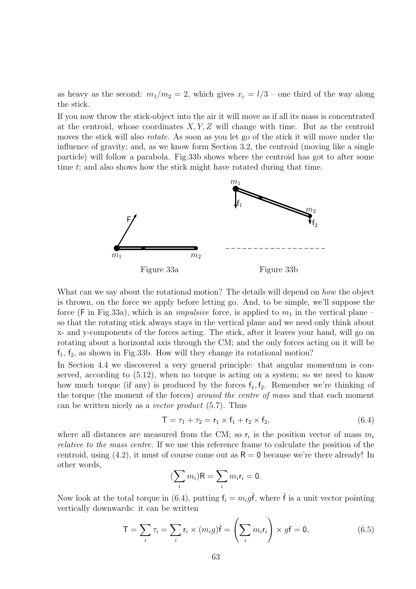as heavy as the second:  $m_1/m_2 = 2$ , which gives  $x_c = l/3$  – one third of the way along the stick.

If you now throw the stick-object into the air it will move as if all its mass is concentrated at the centroid, whose coordinates  $X, Y, Z$  will change with time. But as the centroid moves the stick will also rotate. As soon as you let go of the stick it will move under the influence of gravity; and, as we know form Section 3.2, the centroid (moving like a single particle) will follow a parabola. Fig.33b shows where the centroid has got to after some time t; and also shows how the stick might have rotated during that time.



What can we say about the rotational motion? The details will depend on how the object is thrown, on the force we apply before letting go. And, to be simple, we'll suppose the force (F in Fig.33a), which is an *impulsive* force, is applied to  $m_1$  in the vertical plane – so that the rotating stick always stays in the vertical plane and we need only think about x- and y-components of the forces acting. The stick, after it leaves your hand, will go on rotating about a horizontal axis through the CM; and the only forces acting on it will be  $f_1, f_2$ , as shown in Fig.33b. How will they change its rotational motion?

In Section 4.4 we discovered a very general principle: that angular momentum is conserved, according to (5.12), when no torque is acting on a system; so we need to know how much torque (if any) is produced by the forces  $f_1, f_2$ . Remember we're thinking of the torque (the moment of the forces) around the centre of mass and that each moment can be written nicely as a vector product (5.7). Thus

$$
\mathsf{T} = \tau_1 + \tau_2 = \mathsf{r}_1 \times \mathsf{f}_1 + \mathsf{r}_2 \times \mathsf{f}_2,\tag{6.4}
$$

where all distances are measured from the CM; so  $r_i$  is the position vector of mass  $m_i$ relative to the mass centre. If we use this reference frame to calculate the position of the centroid, using (4.2), it must of course come out as  $R = 0$  because we're there already! In other words,

$$
(\sum_i m_i)R = \sum_i m_i r_i = 0.
$$

Now look at the total torque in (6.4), putting  $f_i = m_i g \hat{f}$ , where  $\hat{f}$  is a unit vector pointing vertically downwards: it can be written

$$
\mathsf{T} = \sum_{i} \tau_i = \sum_{i} \mathsf{r}_i \times (m_i g) \hat{\mathsf{f}} = \left(\sum_{i} m_i \mathsf{r}_i\right) \times g \mathsf{f} = \mathsf{0},\tag{6.5}
$$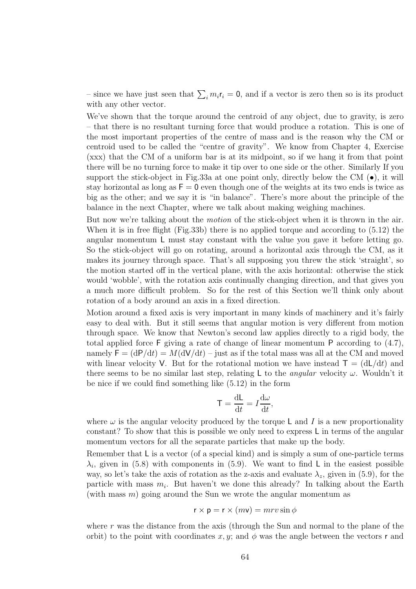– since we have just seen that  $\sum_i m_i \mathbf{r}_i = \mathbf{0}$ , and if a vector is zero then so is its product with any other vector.

We've shown that the torque around the centroid of any object, due to gravity, is zero – that there is no resultant turning force that would produce a rotation. This is one of the most important properties of the centre of mass and is the reason why the CM or centroid used to be called the "centre of gravity". We know from Chapter 4, Exercise (xxx) that the CM of a uniform bar is at its midpoint, so if we hang it from that point there will be no turning force to make it tip over to one side or the other. Similarly If you support the stick-object in Fig.33a at one point only, directly below the CM  $(\bullet)$ , it will stay horizontal as long as  $F = 0$  even though one of the weights at its two ends is twice as big as the other; and we say it is "in balance". There's more about the principle of the balance in the next Chapter, where we talk about making weighing machines.

But now we're talking about the motion of the stick-object when it is thrown in the air. When it is in free flight (Fig.33b) there is no applied torque and according to (5.12) the angular momentum L must stay constant with the value you gave it before letting go. So the stick-object will go on rotating, around a horizontal axis through the CM, as it makes its journey through space. That's all supposing you threw the stick 'straight', so the motion started off in the vertical plane, with the axis horizontal: otherwise the stick would 'wobble', with the rotation axis continually changing direction, and that gives you a much more difficult problem. So for the rest of this Section we'll think only about rotation of a body around an axis in a fixed direction.

Motion around a fixed axis is very important in many kinds of machinery and it's fairly easy to deal with. But it still seems that angular motion is very different from motion through space. We know that Newton's second law applies directly to a rigid body, the total applied force F giving a rate of change of linear momentum P according to (4.7), namely  $F = (dP/dt) = M(dV/dt) -$  just as if the total mass was all at the CM and moved with linear velocity V. But for the rotational motion we have instead  $T = (dL/dt)$  and there seems to be no similar last step, relating L to the *angular* velocity  $\omega$ . Wouldn't it be nice if we could find something like (5.12) in the form

$$
\mathsf{T} = \frac{\mathrm{d}\mathsf{L}}{\mathrm{d}t} = I \frac{\mathrm{d}\omega}{\mathrm{d}t},
$$

where  $\omega$  is the angular velocity produced by the torque L and I is a new proportionality constant? To show that this is possible we only need to express L in terms of the angular momentum vectors for all the separate particles that make up the body.

Remember that L is a vector (of a special kind) and is simply a sum of one-particle terms  $\lambda_i$ , given in (5.8) with components in (5.9). We want to find L in the easiest possible way, so let's take the axis of rotation as the z-axis and evaluate  $\lambda_z$ , given in (5.9), for the particle with mass  $m_i$ . But haven't we done this already? In talking about the Earth (with mass  $m$ ) going around the Sun we wrote the angular momentum as

$$
\mathsf{r} \times \mathsf{p} = \mathsf{r} \times (m\mathsf{v}) = mrv \sin \phi
$$

where r was the distance from the axis (through the Sun and normal to the plane of the orbit) to the point with coordinates x, y; and  $\phi$  was the angle between the vectors r and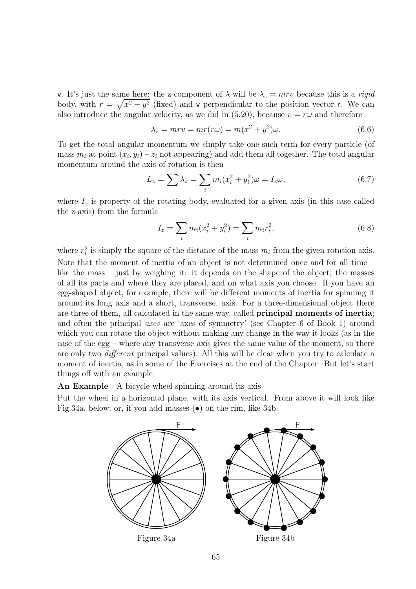v. It's just the same here: the z-component of  $\lambda$  will be  $\lambda_z = mrv$  because this is a *rigid* body, with  $r = \sqrt{x^2 + y^2}$  (fixed) and v perpendicular to the position vector r. We can also introduce the angular velocity, as we did in (5.20), because  $v = r\omega$  and therefore

$$
\lambda_z = mrv = mr(r\omega) = m(x^2 + y^2)\omega.
$$
\n(6.6)

To get the total angular momentum we simply take one such term for every particle (of mass  $m_i$  at point  $(x_i, y_i) - z_i$  not appearing) and add them all together. The total angular momentum around the axis of rotation is then

$$
L_z = \sum \lambda_z = \sum_i m_i (x_i^2 + y_i^2) \omega = I_z \omega,
$$
\n(6.7)

where  $I_z$  is property of the rotating body, evaluated for a given axis (in this case called the z-axis) from the formula

$$
I_z = \sum_i m_i (x_i^2 + y_i^2) = \sum_i m_i r_i^2,
$$
\n(6.8)

where  $r_i^2$  is simply the square of the distance of the mass  $m_i$  from the given rotation axis. Note that the moment of inertia of an object is not determined once and for all time – like the mass – just by weighing it: it depends on the shape of the object, the masses of all its parts and where they are placed, and on what axis you choose. If you have an egg-shaped object, for example, there will be different moments of inertia for spinning it around its long axis and a short, transverse, axis. For a three-dimensional object there are three of them, all calculated in the same way, called principal moments of inertia; and often the principal axes are 'axes of symmetry' (see Chapter 6 of Book 1) around which you can rotate the object without making any change in the way it looks (as in the case of the egg – where any transverse axis gives the same value of the moment, so there are only two different principal values). All this will be clear when you try to calculate a moment of inertia, as in some of the Exercises at the end of the Chapter. But let's start things off with an example –

An Example A bicycle wheel spinning around its axis

Put the wheel in a horizontal plane, with its axis vertical. From above it will look like Fig.34a, below; or, if you add masses (•) on the rim, like 34b.

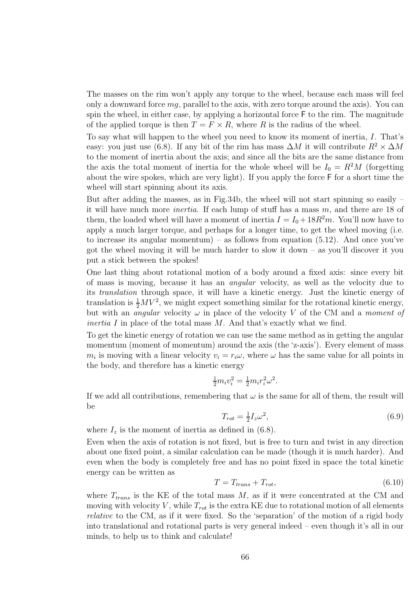The masses on the rim won't apply any torque to the wheel, because each mass will feel only a downward force  $mq$ , parallel to the axis, with zero torque around the axis). You can spin the wheel, in either case, by applying a horizontal force F to the rim. The magnitude of the applied torque is then  $T = F \times R$ , where R is the radius of the wheel.

To say what will happen to the wheel you need to know its moment of inertia, I. That's easy: you just use (6.8). If any bit of the rim has mass  $\Delta M$  it will contribute  $R^2 \times \Delta M$ to the moment of inertia about the axis; and since all the bits are the same distance from the axis the total moment of inertia for the whole wheel will be  $I_0 = R^2M$  (forgetting about the wire spokes, which are very light). If you apply the force F for a short time the wheel will start spinning about its axis.

But after adding the masses, as in Fig.34b, the wheel will not start spinning so easily – it will have much more *inertia*. If each lump of stuff has a mass  $m$ , and there are 18 of them, the loaded wheel will have a moment of inertia  $I = I_0 + 18R^2m$ . You'll now have to apply a much larger torque, and perhaps for a longer time, to get the wheel moving (i.e. to increase its angular momentum) – as follows from equation  $(5.12)$ . And once you've got the wheel moving it will be much harder to slow it down – as you'll discover it you put a stick between the spokes!

One last thing about rotational motion of a body around a fixed axis: since every bit of mass is moving, because it has an angular velocity, as well as the velocity due to its translation through space, it will have a kinetic energy. Just the kinetic energy of translation is  $\frac{1}{2}MV^2$ , we might expect something similar for the rotational kinetic energy, but with an *angular* velocity  $\omega$  in place of the velocity V of the CM and a *moment of inertia I* in place of the total mass  $M$ . And that's exactly what we find.

To get the kinetic energy of rotation we can use the same method as in getting the angular momentum (moment of momentum) around the axis (the 'z-axis'). Every element of mass  $m_i$  is moving with a linear velocity  $v_i = r_i \omega$ , where  $\omega$  has the same value for all points in the body, and therefore has a kinetic energy

$$
\frac{1}{2}m_i v_i^2 = \frac{1}{2}m_i r_i^2 \omega^2.
$$

If we add all contributions, remembering that  $\omega$  is the same for all of them, the result will be

$$
T_{rot} = \frac{1}{2} I_z \omega^2,\tag{6.9}
$$

where  $I_z$  is the moment of inertia as defined in (6.8).

Even when the axis of rotation is not fixed, but is free to turn and twist in any direction about one fixed point, a similar calculation can be made (though it is much harder). And even when the body is completely free and has no point fixed in space the total kinetic energy can be written as

$$
T = T_{trans} + T_{rot},\tag{6.10}
$$

where  $T_{trans}$  is the KE of the total mass  $M$ , as if it were concentrated at the CM and moving with velocity  $V$ , while  $T_{rot}$  is the extra KE due to rotational motion of all elements relative to the CM, as if it were fixed. So the 'separation' of the motion of a rigid body into translational and rotational parts is very general indeed – even though it's all in our minds, to help us to think and calculate!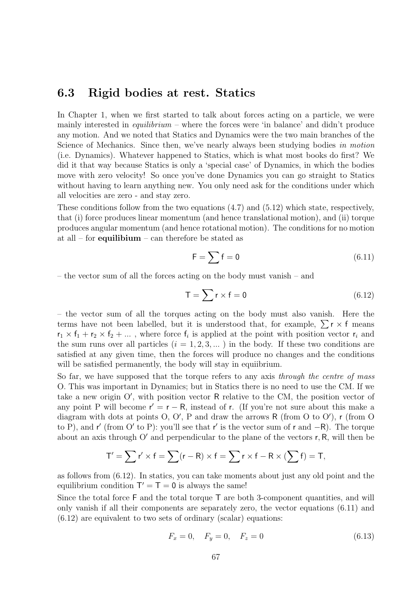### 6.3 Rigid bodies at rest. Statics

In Chapter 1, when we first started to talk about forces acting on a particle, we were mainly interested in *equilibrium –* where the forces were 'in balance' and didn't produce any motion. And we noted that Statics and Dynamics were the two main branches of the Science of Mechanics. Since then, we've nearly always been studying bodies in motion (i.e. Dynamics). Whatever happened to Statics, which is what most books do first? We did it that way because Statics is only a 'special case' of Dynamics, in which the bodies move with zero velocity! So once you've done Dynamics you can go straight to Statics without having to learn anything new. You only need ask for the conditions under which all velocities are zero - and stay zero.

These conditions follow from the two equations (4.7) and (5.12) which state, respectively, that (i) force produces linear momentum (and hence translational motion), and (ii) torque produces angular momentum (and hence rotational motion). The conditions for no motion at all – for **equilibium** – can therefore be stated as

$$
\mathsf{F} = \sum \mathsf{f} = \mathsf{0} \tag{6.11}
$$

– the vector sum of all the forces acting on the body must vanish – and

$$
T = \sum r \times f = 0 \tag{6.12}
$$

– the vector sum of all the torques acting on the body must also vanish. Here the terms have not been labelled, but it is understood that, for example,  $\sum r \times f$  means  $r_1 \times f_1 + r_2 \times f_2 + \dots$ , where force  $f_i$  is applied at the point with position vector  $r_i$  and the sum runs over all particles  $(i = 1, 2, 3, ...)$  in the body. If these two conditions are satisfied at any given time, then the forces will produce no changes and the conditions will be satisfied permanently, the body will stay in equiibrium.

So far, we have supposed that the torque refers to any axis through the centre of mass O. This was important in Dynamics; but in Statics there is no need to use the CM. If we take a new origin O′ , with position vector R relative to the CM, the position vector of any point P will become  $r' = r - R$ , instead of r. (If you're not sure about this make a diagram with dots at points O, O', P and draw the arrows R (from O to O'), r (from O to P), and r' (from O' to P): you'll see that r' is the vector sum of r and −R). The torque about an axis through  $O'$  and perpendicular to the plane of the vectors  $r, R$ , will then be

$$
T' = \sum r' \times f = \sum (r - R) \times f = \sum r \times f - R \times (\sum f) = T,
$$

as follows from (6.12). In statics, you can take moments about just any old point and the equilibrium condition  $T' = T = 0$  is always the same!

Since the total force F and the total torque T are both 3-component quantities, and will only vanish if all their components are separately zero, the vector equations (6.11) and  $(6.12)$  are equivalent to two sets of ordinary (scalar) equations:

$$
F_x = 0, \quad F_y = 0, \quad F_z = 0 \tag{6.13}
$$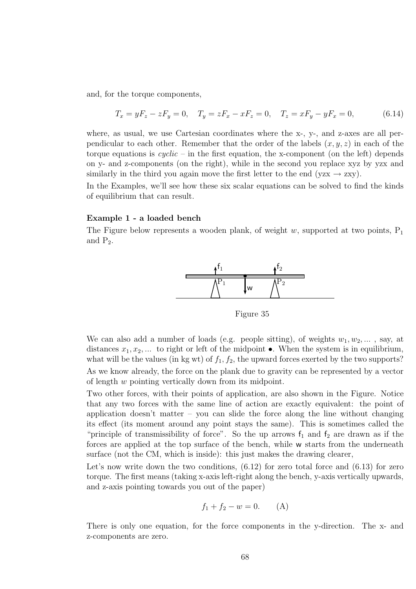and, for the torque components,

$$
T_x = yF_z - zF_y = 0, \quad T_y = zF_x - xF_z = 0, \quad T_z = xF_y - yF_x = 0,
$$
\n(6.14)

where, as usual, we use Cartesian coordinates where the x-, y-, and z-axes are all perpendicular to each other. Remember that the order of the labels  $(x, y, z)$  in each of the torque equations is  $cyclic$  – in the first equation, the x-component (on the left) depends on y- and z-components (on the right), while in the second you replace xyz by yzx and similarly in the third you again move the first letter to the end (yzx  $\rightarrow$  zxy).

In the Examples, we'll see how these six scalar equations can be solved to find the kinds of equilibrium that can result.

#### Example 1 - a loaded bench

The Figure below represents a wooden plank, of weight w, supported at two points,  $P_1$ and  $P_2$ .



Figure 35

We can also add a number of loads (e.g. people sitting), of weights  $w_1, w_2, \ldots$ , say, at distances  $x_1, x_2, \ldots$  to right or left of the midpoint  $\bullet$ . When the system is in equilibrium, what will be the values (in kg wt) of  $f_1, f_2$ , the upward forces exerted by the two supports? As we know already, the force on the plank due to gravity can be represented by a vector of length w pointing vertically down from its midpoint.

Two other forces, with their points of application, are also shown in the Figure. Notice that any two forces with the same line of action are exactly equivalent: the point of application doesn't matter – you can slide the force along the line without changing its effect (its moment around any point stays the same). This is sometimes called the "principle of transmissibility of force". So the up arrows  $f_1$  and  $f_2$  are drawn as if the forces are applied at the top surface of the bench, while w starts from the underneath surface (not the CM, which is inside): this just makes the drawing clearer,

Let's now write down the two conditions,  $(6.12)$  for zero total force and  $(6.13)$  for zero torque. The first means (taking x-axis left-right along the bench, y-axis vertically upwards, and z-axis pointing towards you out of the paper)

$$
f_1 + f_2 - w = 0. \t(A)
$$

There is only one equation, for the force components in the y-direction. The x- and z-components are zero.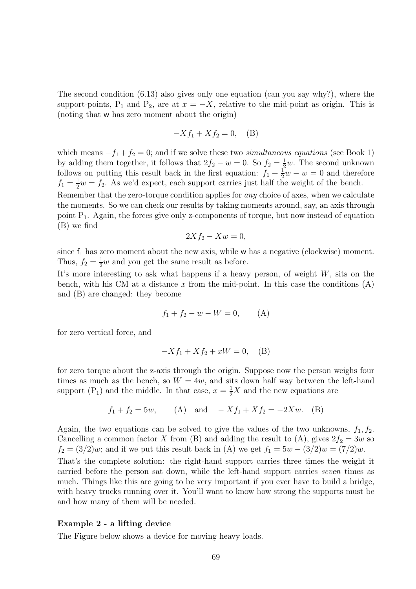The second condition (6.13) also gives only one equation (can you say why?), where the support-points, P<sub>1</sub> and P<sub>2</sub>, are at  $x = -X$ , relative to the mid-point as origin. This is (noting that w has zero moment about the origin)

$$
-Xf_1 + Xf_2 = 0, \quad (B)
$$

which means  $-f_1 + f_2 = 0$ ; and if we solve these two simultaneous equations (see Book 1) by adding them together, it follows that  $2f_2 - w = 0$ . So  $f_2 = \frac{1}{2}$  $\frac{1}{2}w$ . The second unknown follows on putting this result back in the first equation:  $f_1 + \frac{1}{2}w - w = 0$  and therefore  $f_1 = \frac{1}{2}w = f_2$ . As we'd expect, each support carries just half the weight of the bench.

Remember that the zero-torque condition applies for any choice of axes, when we calculate the moments. So we can check our results by taking moments around, say, an axis through point P1. Again, the forces give only z-components of torque, but now instead of equation (B) we find

$$
2Xf_2 - Xw = 0,
$$

since  $f_1$  has zero moment about the new axis, while w has a negative (clockwise) moment. Thus,  $f_2 = \frac{1}{2}w$  and you get the same result as before.

It's more interesting to ask what happens if a heavy person, of weight  $W$ , sits on the bench, with his CM at a distance x from the mid-point. In this case the conditions  $(A)$ and (B) are changed: they become

$$
f_1 + f_2 - w - W = 0, \qquad (A)
$$

for zero vertical force, and

$$
-Xf_1 + Xf_2 + xW = 0, \quad (B)
$$

for zero torque about the z-axis through the origin. Suppose now the person weighs four times as much as the bench, so  $W = 4w$ , and sits down half way between the left-hand support (P<sub>1</sub>) and the middle. In that case,  $x = \frac{1}{2}X$  and the new equations are

$$
f_1 + f_2 = 5w
$$
, (A) and  $-Xf_1 + Xf_2 = -2Xw$ . (B)

Again, the two equations can be solved to give the values of the two unknowns,  $f_1, f_2$ . Cancelling a common factor X from (B) and adding the result to (A), gives  $2f_2 = 3w$  so  $f_2 = (3/2)w$ ; and if we put this result back in (A) we get  $f_1 = 5w - (3/2)w = (7/2)w$ .

That's the complete solution: the right-hand support carries three times the weight it carried before the person sat down, while the left-hand support carries seven times as much. Things like this are going to be very important if you ever have to build a bridge, with heavy trucks running over it. You'll want to know how strong the supports must be and how many of them will be needed.

#### Example 2 - a lifting device

The Figure below shows a device for moving heavy loads.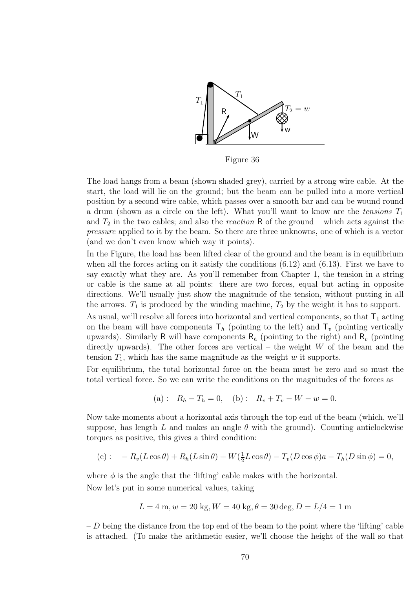

Figure 36

The load hangs from a beam (shown shaded grey), carried by a strong wire cable. At the start, the load will lie on the ground; but the beam can be pulled into a more vertical position by a second wire cable, which passes over a smooth bar and can be wound round a drum (shown as a circle on the left). What you'll want to know are the tensions  $T_1$ and  $T_2$  in the two cables; and also the *reaction* R of the ground – which acts against the pressure applied to it by the beam. So there are three unknowns, one of which is a vector (and we don't even know which way it points).

In the Figure, the load has been lifted clear of the ground and the beam is in equilibrium when all the forces acting on it satisfy the conditions  $(6.12)$  and  $(6.13)$ . First we have to say exactly what they are. As you'll remember from Chapter 1, the tension in a string or cable is the same at all points: there are two forces, equal but acting in opposite directions. We'll usually just show the magnitude of the tension, without putting in all the arrows.  $T_1$  is produced by the winding machine,  $T_2$  by the weight it has to support.

As usual, we'll resolve all forces into horizontal and vertical components, so that  $T_1$  acting on the beam will have components  $\mathsf{T}_h$  (pointing to the left) and  $\mathsf{T}_v$  (pointing vertically upwards). Similarly R will have components  $R_h$  (pointing to the right) and  $R_v$  (pointing directly upwards). The other forces are vertical – the weight  $W$  of the beam and the tension  $T_1$ , which has the same magnitude as the weight w it supports.

For equilibrium, the total horizontal force on the beam must be zero and so must the total vertical force. So we can write the conditions on the magnitudes of the forces as

(a): 
$$
R_h - T_h = 0
$$
, (b):  $R_v + T_v - W - w = 0$ .

Now take moments about a horizontal axis through the top end of the beam (which, we'll suppose, has length L and makes an angle  $\theta$  with the ground). Counting anticlockwise torques as positive, this gives a third condition:

(c): 
$$
-R_v(L\cos\theta) + R_h(L\sin\theta) + W(\frac{1}{2}L\cos\theta) - T_v(D\cos\phi)a - T_h(D\sin\phi) = 0,
$$

where  $\phi$  is the angle that the 'lifting' cable makes with the horizontal. Now let's put in some numerical values, taking

$$
L = 4 \text{ m}, w = 20 \text{ kg}, W = 40 \text{ kg}, \theta = 30 \text{ deg}, D = L/4 = 1 \text{ m}
$$

 $-D$  being the distance from the top end of the beam to the point where the 'lifting' cable is attached. (To make the arithmetic easier, we'll choose the height of the wall so that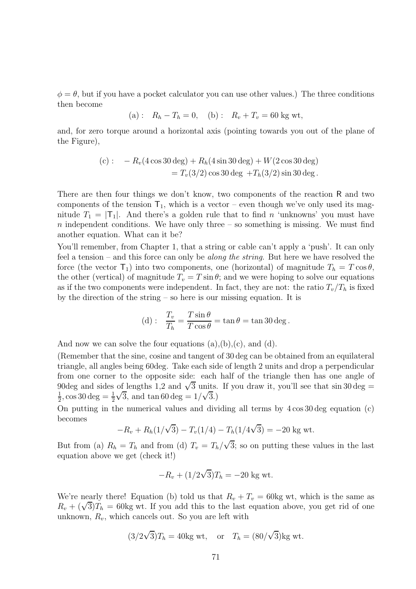$\phi = \theta$ , but if you have a pocket calculator you can use other values.) The three conditions then become

(a): 
$$
R_h - T_h = 0
$$
, (b):  $R_v + T_v = 60$  kg wt,

and, for zero torque around a horizontal axis (pointing towards you out of the plane of the Figure),

(c): 
$$
-R_v(4\cos 30 \text{ deg}) + R_h(4\sin 30 \text{ deg}) + W(2\cos 30 \text{ deg})
$$
  
=  $T_v(3/2)\cos 30 \text{ deg} + T_h(3/2)\sin 30 \text{ deg}.$ 

There are then four things we don't know, two components of the reaction R and two components of the tension  $T_1$ , which is a vector – even though we've only used its magnitude  $T_1 = |T_1|$ . And there's a golden rule that to find n 'unknowns' you must have  $n$  independent conditions. We have only three – so something is missing. We must find another equation. What can it be?

You'll remember, from Chapter 1, that a string or cable can't apply a 'push'. It can only feel a tension – and this force can only be *along the string*. But here we have resolved the force (the vector  $T_1$ ) into two components, one (horizontal) of magnitude  $T_h = T \cos \theta$ , the other (vertical) of magnitude  $T_v = T \sin \theta$ ; and we were hoping to solve our equations as if the two components were independent. In fact, they are not: the ratio  $T_v/T_h$  is fixed by the direction of the string – so here is our missing equation. It is

(d): 
$$
\frac{T_v}{T_h} = \frac{T \sin \theta}{T \cos \theta} = \tan \theta = \tan 30 \deg.
$$

And now we can solve the four equations  $(a), (b), (c),$  and  $(d)$ .

(Remember that the sine, cosine and tangent of 30 deg can be obtained from an equilateral triangle, all angles being 60deg. Take each side of length 2 units and drop a perpendicular from one corner to the opposite side: each half of the triangle then has one angle of 90deg and sides of lengths 1,2 and  $\sqrt{3}$  units. If you draw it, you'll see that sin 30 deg = 1  $\frac{1}{2}$ , cos 30 deg =  $\frac{1}{2}$  $\sqrt{3}$ , and  $\tan 60 \text{ deg} = 1/\sqrt{3}$ .

On putting in the numerical values and dividing all terms by 4 cos 30 deg equation (c) becomes

$$
-R_v + R_h(1/\sqrt{3}) - T_v(1/4) - T_h(1/4\sqrt{3}) = -20 \text{ kg wt}.
$$

But from (a)  $R_h = T_h$  and from (d)  $T_v = T_h/\sqrt{3}$ ; so on putting these values in the last equation above we get (check it!)

$$
-R_v + (1/2\sqrt{3})T_h = -20
$$
 kg wt.

We're nearly there! Equation (b) told us that  $R_v + T_v = 60 \text{kg wt}$ , which is the same as  $R_v + (\sqrt{3})T_h = 60$ kg wt. If you add this to the last equation above, you get rid of one unknown,  $R_v$ , which cancels out. So you are left with

$$
(3/2\sqrt{3})T_h = 40
$$
kg wt, or  $T_h = (80/\sqrt{3})$ kg wt.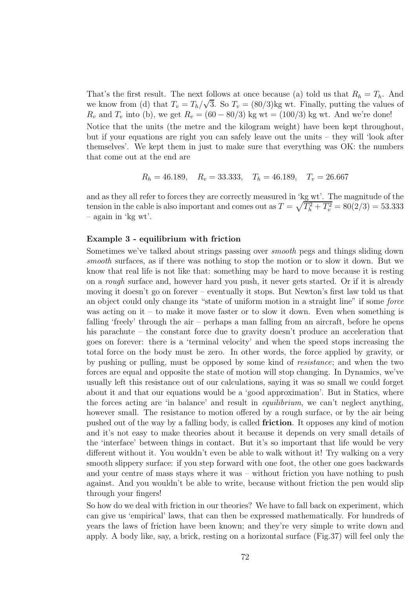That's the first result. The next follows at once because (a) told us that  $R_h = T_h$ . And we know from (d) that  $T_v = T_h/\sqrt{3}$ . So  $T_v = (80/3)$ kg wt. Finally, putting the values of  $R_v$  and  $T_v$  into (b), we get  $R_v = (60 - 80/3)$  kg wt = (100/3) kg wt. And we're done! Notice that the units (the metre and the kilogram weight) have been kept throughout, but if your equations are right you can safely leave out the units – they will 'look after themselves'. We kept them in just to make sure that everything was OK: the numbers that come out at the end are

$$
R_h = 46.189
$$
,  $R_v = 33.333$ ,  $T_h = 46.189$ ,  $T_v = 26.667$ 

and as they all refer to forces they are correctly measured in 'kg wt'. The magnitude of the tension in the cable is also important and comes out as  $T = \sqrt{T_h^2 + T_v^2} = 80(2/3) = 53.333$ – again in 'kg wt'.

#### Example 3 - equilibrium with friction

Sometimes we've talked about strings passing over smooth pegs and things sliding down smooth surfaces, as if there was nothing to stop the motion or to slow it down. But we know that real life is not like that: something may be hard to move because it is resting on a rough surface and, however hard you push, it never gets started. Or if it is already moving it doesn't go on forever – eventually it stops. But Newton's first law told us that an object could only change its "state of uniform motion in a straight line" if some force was acting on it – to make it move faster or to slow it down. Even when something is falling 'freely' through the air – perhaps a man falling from an aircraft, before he opens his parachute – the constant force due to gravity doesn't produce an acceleration that goes on forever: there is a 'terminal velocity' and when the speed stops increasing the total force on the body must be zero. In other words, the force applied by gravity, or by pushing or pulling, must be opposed by some kind of resistance; and when the two forces are equal and opposite the state of motion will stop changing. In Dynamics, we've usually left this resistance out of our calculations, saying it was so small we could forget about it and that our equations would be a 'good approximation'. But in Statics, where the forces acting are 'in balance' and result in equilibrium, we can't neglect anything, however small. The resistance to motion offered by a rough surface, or by the air being pushed out of the way by a falling body, is called friction. It opposes any kind of motion and it's not easy to make theories about it because it depends on very small details of the 'interface' between things in contact. But it's so important that life would be very different without it. You wouldn't even be able to walk without it! Try walking on a very smooth slippery surface: if you step forward with one foot, the other one goes backwards and your centre of mass stays where it was – without friction you have nothing to push against. And you wouldn't be able to write, because without friction the pen would slip through your fingers!

So how do we deal with friction in our theories? We have to fall back on experiment, which can give us 'empirical' laws, that can then be expressed mathematically. For hundreds of years the laws of friction have been known; and they're very simple to write down and apply. A body like, say, a brick, resting on a horizontal surface (Fig.37) will feel only the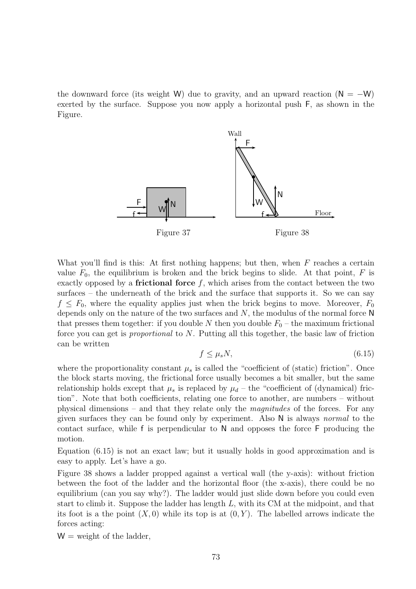the downward force (its weight W) due to gravity, and an upward reaction ( $N = -W$ ) exerted by the surface. Suppose you now apply a horizontal push F, as shown in the Figure.



What you'll find is this: At first nothing happens; but then, when  $F$  reaches a certain value  $F_0$ , the equilibrium is broken and the brick begins to slide. At that point, F is exactly opposed by a **frictional force**  $f$ , which arises from the contact between the two surfaces – the underneath of the brick and the surface that supports it. So we can say  $f \n\leq F_0$ , where the equality applies just when the brick begins to move. Moreover,  $F_0$ depends only on the nature of the two surfaces and  $N$ , the modulus of the normal force  $N$ that presses them together: if you double N then you double  $F_0$  – the maximum frictional force you can get is proportional to N. Putting all this together, the basic law of friction can be written

$$
f \le \mu_s N,\tag{6.15}
$$

where the proportionality constant  $\mu_s$  is called the "coefficient of (static) friction". Once the block starts moving, the frictional force usually becomes a bit smaller, but the same relationship holds except that  $\mu_s$  is replaced by  $\mu_d$  – the "coefficient of (dynamical) friction". Note that both coefficients, relating one force to another, are numbers – without physical dimensions – and that they relate only the magnitudes of the forces. For any given surfaces they can be found only by experiment. Also N is always normal to the contact surface, while f is perpendicular to N and opposes the force F producing the motion.

Equation (6.15) is not an exact law; but it usually holds in good approximation and is easy to apply. Let's have a go.

Figure 38 shows a ladder propped against a vertical wall (the y-axis): without friction between the foot of the ladder and the horizontal floor (the x-axis), there could be no equilibrium (can you say why?). The ladder would just slide down before you could even start to climb it. Suppose the ladder has length L, with its CM at the midpoint, and that its foot is a the point  $(X, 0)$  while its top is at  $(0, Y)$ . The labelled arrows indicate the forces acting:

 $W =$  weight of the ladder,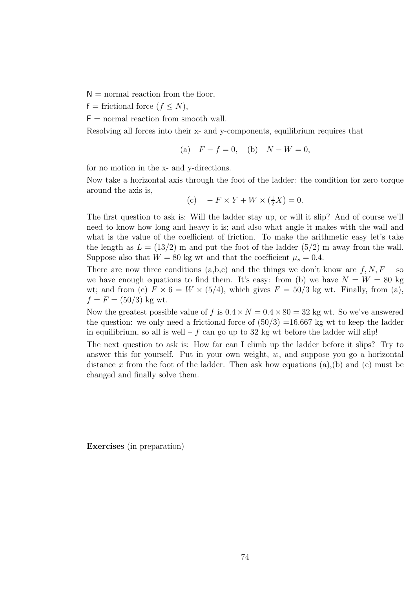$N =$  normal reaction from the floor,

 $f =$  frictional force  $(f \leq N)$ ,

 $F =$  normal reaction from smooth wall.

Resolving all forces into their x- and y-components, equilibrium requires that

(a) 
$$
F - f = 0
$$
, (b)  $N - W = 0$ ,

for no motion in the x- and y-directions.

Now take a horizontal axis through the foot of the ladder: the condition for zero torque around the axis is,

(c) 
$$
-F \times Y + W \times (\frac{1}{2}X) = 0.
$$

The first question to ask is: Will the ladder stay up, or will it slip? And of course we'll need to know how long and heavy it is; and also what angle it makes with the wall and what is the value of the coefficient of friction. To make the arithmetic easy let's take the length as  $L = (13/2)$  m and put the foot of the ladder  $(5/2)$  m away from the wall. Suppose also that  $W = 80$  kg wt and that the coefficient  $\mu_s = 0.4$ .

There are now three conditions  $(a,b,c)$  and the things we don't know are  $f, N, F$  – so we have enough equations to find them. It's easy: from (b) we have  $N = W = 80$  kg wt; and from (c)  $F \times 6 = W \times (5/4)$ , which gives  $F = 50/3$  kg wt. Finally, from (a),  $f = F = (50/3)$  kg wt.

Now the greatest possible value of f is  $0.4 \times N = 0.4 \times 80 = 32$  kg wt. So we've answered the question: we only need a frictional force of  $(50/3)$  =16.667 kg wt to keep the ladder in equilibrium, so all is well – f can go up to 32 kg wt before the ladder will slip!

The next question to ask is: How far can I climb up the ladder before it slips? Try to answer this for yourself. Put in your own weight,  $w$ , and suppose you go a horizontal distance x from the foot of the ladder. Then ask how equations  $(a)$ ,  $(b)$  and  $(c)$  must be changed and finally solve them.

Exercises (in preparation)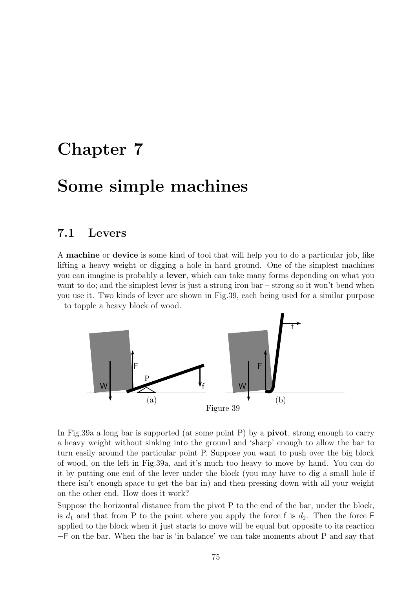## Chapter 7

## Some simple machines

#### 7.1 Levers

A machine or device is some kind of tool that will help you to do a particular job, like lifting a heavy weight or digging a hole in hard ground. One of the simplest machines you can imagine is probably a lever, which can take many forms depending on what you want to do; and the simplest lever is just a strong iron bar – strong so it won't bend when you use it. Two kinds of lever are shown in Fig.39, each being used for a similar purpose – to topple a heavy block of wood.



In Fig.39a a long bar is supported (at some point P) by a **pivot**, strong enough to carry a heavy weight without sinking into the ground and 'sharp' enough to allow the bar to turn easily around the particular point P. Suppose you want to push over the big block of wood, on the left in Fig.39a, and it's much too heavy to move by hand. You can do it by putting one end of the lever under the block (you may have to dig a small hole if there isn't enough space to get the bar in) and then pressing down with all your weight on the other end. How does it work?

Suppose the horizontal distance from the pivot P to the end of the bar, under the block, is  $d_1$  and that from P to the point where you apply the force f is  $d_2$ . Then the force F applied to the block when it just starts to move will be equal but opposite to its reaction −F on the bar. When the bar is 'in balance' we can take moments about P and say that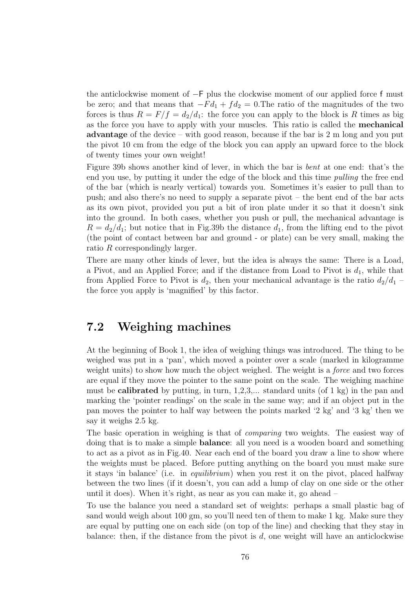the anticlockwise moment of −F plus the clockwise moment of our applied force f must be zero; and that means that  $-Fd_1 + fd_2 = 0$ . The ratio of the magnitudes of the two forces is thus  $R = F/f = d_2/d_1$ : the force you can apply to the block is R times as big as the force you have to apply with your muscles. This ratio is called the mechanical advantage of the device – with good reason, because if the bar is 2 m long and you put the pivot 10 cm from the edge of the block you can apply an upward force to the block of twenty times your own weight!

Figure 39b shows another kind of lever, in which the bar is bent at one end: that's the end you use, by putting it under the edge of the block and this time pulling the free end of the bar (which is nearly vertical) towards you. Sometimes it's easier to pull than to push; and also there's no need to supply a separate pivot – the bent end of the bar acts as its own pivot, provided you put a bit of iron plate under it so that it doesn't sink into the ground. In both cases, whether you push or pull, the mechanical advantage is  $R = d_2/d_1$ ; but notice that in Fig.39b the distance  $d_1$ , from the lifting end to the pivot (the point of contact between bar and ground - or plate) can be very small, making the ratio R correspondingly larger.

There are many other kinds of lever, but the idea is always the same: There is a Load, a Pivot, and an Applied Force; and if the distance from Load to Pivot is  $d_1$ , while that from Applied Force to Pivot is  $d_2$ , then your mechanical advantage is the ratio  $d_2/d_1$  – the force you apply is 'magnified' by this factor.

### 7.2 Weighing machines

At the beginning of Book 1, the idea of weighing things was introduced. The thing to be weighed was put in a 'pan', which moved a pointer over a scale (marked in kilogramme weight units) to show how much the object weighed. The weight is a *force* and two forces are equal if they move the pointer to the same point on the scale. The weighing machine must be **calibrated** by putting, in turn,  $1,2,3,...$  standard units (of 1 kg) in the pan and marking the 'pointer readings' on the scale in the same way; and if an object put in the pan moves the pointer to half way between the points marked '2 kg' and '3 kg' then we say it weighs 2.5 kg.

The basic operation in weighing is that of *comparing* two weights. The easiest way of doing that is to make a simple balance: all you need is a wooden board and something to act as a pivot as in Fig.40. Near each end of the board you draw a line to show where the weights must be placed. Before putting anything on the board you must make sure it stays 'in balance' (i.e. in equilibrium) when you rest it on the pivot, placed halfway between the two lines (if it doesn't, you can add a lump of clay on one side or the other until it does). When it's right, as near as you can make it, go ahead –

To use the balance you need a standard set of weights: perhaps a small plastic bag of sand would weigh about 100 gm, so you'll need ten of them to make 1 kg. Make sure they are equal by putting one on each side (on top of the line) and checking that they stay in balance: then, if the distance from the pivot is  $d$ , one weight will have an anticlockwise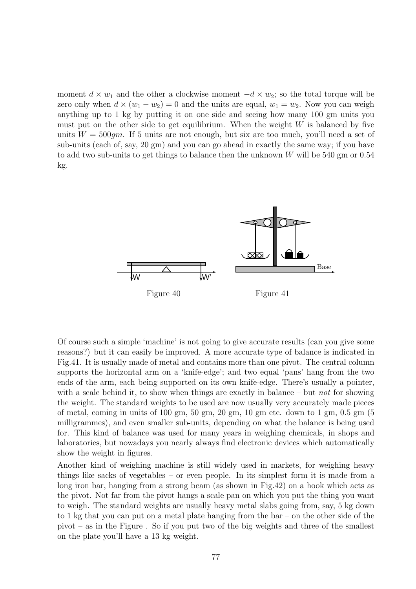moment  $d \times w_1$  and the other a clockwise moment  $-d \times w_2$ ; so the total torque will be zero only when  $d \times (w_1 - w_2) = 0$  and the units are equal,  $w_1 = w_2$ . Now you can weigh anything up to 1 kg by putting it on one side and seeing how many 100 gm units you must put on the other side to get equilibrium. When the weight  $W$  is balanced by five units  $W = 500$ qm. If 5 units are not enough, but six are too much, you'll need a set of sub-units (each of, say, 20 gm) and you can go ahead in exactly the same way; if you have to add two sub-units to get things to balance then the unknown W will be 540 gm or 0.54 kg.



Of course such a simple 'machine' is not going to give accurate results (can you give some reasons?) but it can easily be improved. A more accurate type of balance is indicated in Fig.41. It is usually made of metal and contains more than one pivot. The central column supports the horizontal arm on a 'knife-edge'; and two equal 'pans' hang from the two ends of the arm, each being supported on its own knife-edge. There's usually a pointer, with a scale behind it, to show when things are exactly in balance – but not for showing the weight. The standard weights to be used are now usually very accurately made pieces of metal, coming in units of 100 gm,  $50 \text{ gm}$ ,  $20 \text{ gm}$ ,  $10 \text{ gm}$  etc. down to  $1 \text{ gm}$ ,  $0.5 \text{ gm}$  ( $5$ ) milligrammes), and even smaller sub-units, depending on what the balance is being used for. This kind of balance was used for many years in weighing chemicals, in shops and laboratories, but nowadays you nearly always find electronic devices which automatically show the weight in figures.

Another kind of weighing machine is still widely used in markets, for weighing heavy things like sacks of vegetables – or even people. In its simplest form it is made from a long iron bar, hanging from a strong beam (as shown in Fig.42) on a hook which acts as the pivot. Not far from the pivot hangs a scale pan on which you put the thing you want to weigh. The standard weights are usually heavy metal slabs going from, say, 5 kg down to 1 kg that you can put on a metal plate hanging from the bar – on the other side of the pivot – as in the Figure . So if you put two of the big weights and three of the smallest on the plate you'll have a 13 kg weight.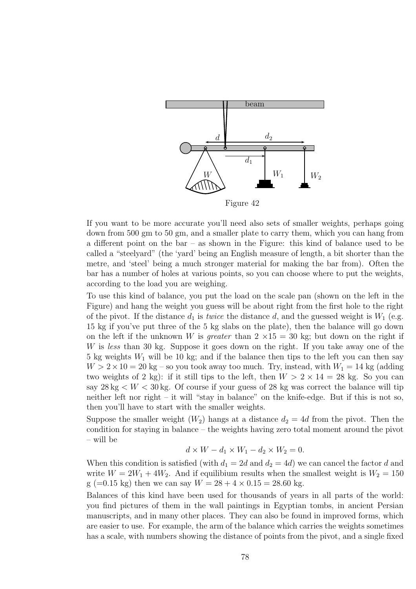

Figure 42

If you want to be more accurate you'll need also sets of smaller weights, perhaps going down from 500 gm to 50 gm, and a smaller plate to carry them, which you can hang from a different point on the bar – as shown in the Figure: this kind of balance used to be called a "steelyard" (the 'yard' being an English measure of length, a bit shorter than the metre, and 'steel' being a much stronger material for making the bar from). Often the bar has a number of holes at various points, so you can choose where to put the weights, according to the load you are weighing.

To use this kind of balance, you put the load on the scale pan (shown on the left in the Figure) and hang the weight you guess will be about right from the first hole to the right of the pivot. If the distance  $d_1$  is twice the distance d, and the guessed weight is  $W_1$  (e.g. 15 kg if you've put three of the 5 kg slabs on the plate), then the balance will go down on the left if the unknown W is greater than  $2 \times 15 = 30$  kg; but down on the right if W is less than 30 kg. Suppose it goes down on the right. If you take away one of the 5 kg weights  $W_1$  will be 10 kg; and if the balance then tips to the left you can then say  $W > 2 \times 10 = 20$  kg – so you took away too much. Try, instead, with  $W_1 = 14$  kg (adding two weights of 2 kg): if it still tips to the left, then  $W > 2 \times 14 = 28$  kg. So you can say  $28 \text{ kg} < W < 30 \text{ kg}$ . Of course if your guess of 28 kg was correct the balance will tip neither left nor right – it will "stay in balance" on the knife-edge. But if this is not so, then you'll have to start with the smaller weights.

Suppose the smaller weight  $(W_2)$  hangs at a distance  $d_2 = 4d$  from the pivot. Then the condition for staying in balance – the weights having zero total moment around the pivot – will be

$$
d \times W - d_1 \times W_1 - d_2 \times W_2 = 0.
$$

When this condition is satisfied (with  $d_1 = 2d$  and  $d_2 = 4d$ ) we can cancel the factor d and write  $W = 2W_1 + 4W_2$ . And if equilibium results when the smallest weight is  $W_2 = 150$ g (=0.15 kg) then we can say  $W = 28 + 4 \times 0.15 = 28.60$  kg.

Balances of this kind have been used for thousands of years in all parts of the world: you find pictures of them in the wall paintings in Egyptian tombs, in ancient Persian manuscripts, and in many other places. They can also be found in improved forms, which are easier to use. For example, the arm of the balance which carries the weights sometimes has a scale, with numbers showing the distance of points from the pivot, and a single fixed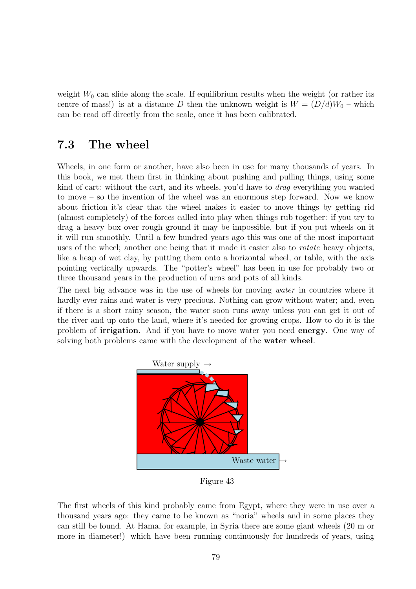weight  $W_0$  can slide along the scale. If equilibrium results when the weight (or rather its centre of mass!) is at a distance D then the unknown weight is  $W = (D/d)W_0$  – which can be read off directly from the scale, once it has been calibrated.

### 7.3 The wheel

Wheels, in one form or another, have also been in use for many thousands of years. In this book, we met them first in thinking about pushing and pulling things, using some kind of cart: without the cart, and its wheels, you'd have to drag everything you wanted to move – so the invention of the wheel was an enormous step forward. Now we know about friction it's clear that the wheel makes it easier to move things by getting rid (almost completely) of the forces called into play when things rub together: if you try to drag a heavy box over rough ground it may be impossible, but if you put wheels on it it will run smoothly. Until a few hundred years ago this was one of the most important uses of the wheel; another one being that it made it easier also to rotate heavy objects, like a heap of wet clay, by putting them onto a horizontal wheel, or table, with the axis pointing vertically upwards. The "potter's wheel" has been in use for probably two or three thousand years in the production of urns and pots of all kinds.

The next big advance was in the use of wheels for moving water in countries where it hardly ever rains and water is very precious. Nothing can grow without water; and, even if there is a short rainy season, the water soon runs away unless you can get it out of the river and up onto the land, where it's needed for growing crops. How to do it is the problem of irrigation. And if you have to move water you need energy. One way of solving both problems came with the development of the water wheel.



Figure 43

The first wheels of this kind probably came from Egypt, where they were in use over a thousand years ago: they came to be known as "noria" wheels and in some places they can still be found. At Hama, for example, in Syria there are some giant wheels (20 m or more in diameter!) which have been running continuously for hundreds of years, using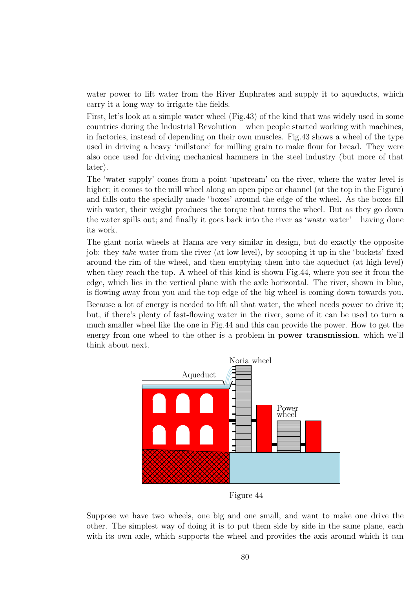water power to lift water from the River Euphrates and supply it to aqueducts, which carry it a long way to irrigate the fields.

First, let's look at a simple water wheel (Fig.43) of the kind that was widely used in some countries during the Industrial Revolution – when people started working with machines, in factories, instead of depending on their own muscles. Fig.43 shows a wheel of the type used in driving a heavy 'millstone' for milling grain to make flour for bread. They were also once used for driving mechanical hammers in the steel industry (but more of that later).

The 'water supply' comes from a point 'upstream' on the river, where the water level is higher; it comes to the mill wheel along an open pipe or channel (at the top in the Figure) and falls onto the specially made 'boxes' around the edge of the wheel. As the boxes fill with water, their weight produces the torque that turns the wheel. But as they go down the water spills out; and finally it goes back into the river as 'waste water' – having done its work.

The giant noria wheels at Hama are very similar in design, but do exactly the opposite job: they take water from the river (at low level), by scooping it up in the 'buckets' fixed around the rim of the wheel, and then emptying them into the aqueduct (at high level) when they reach the top. A wheel of this kind is shown Fig.44, where you see it from the edge, which lies in the vertical plane with the axle horizontal. The river, shown in blue, is flowing away from you and the top edge of the big wheel is coming down towards you.

Because a lot of energy is needed to lift all that water, the wheel needs power to drive it; but, if there's plenty of fast-flowing water in the river, some of it can be used to turn a much smaller wheel like the one in Fig.44 and this can provide the power. How to get the energy from one wheel to the other is a problem in power transmission, which we'll think about next.



Figure 44

Suppose we have two wheels, one big and one small, and want to make one drive the other. The simplest way of doing it is to put them side by side in the same plane, each with its own axle, which supports the wheel and provides the axis around which it can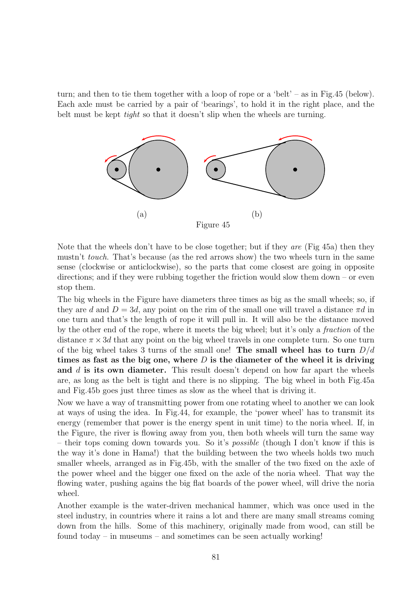turn; and then to tie them together with a loop of rope or a 'belt' – as in Fig.45 (below). Each axle must be carried by a pair of 'bearings', to hold it in the right place, and the belt must be kept *tight* so that it doesn't slip when the wheels are turning.



Note that the wheels don't have to be close together; but if they are (Fig 45a) then they mustn't touch. That's because (as the red arrows show) the two wheels turn in the same sense (clockwise or anticlockwise), so the parts that come closest are going in opposite directions; and if they were rubbing together the friction would slow them down – or even stop them.

The big wheels in the Figure have diameters three times as big as the small wheels; so, if they are d and  $D = 3d$ , any point on the rim of the small one will travel a distance  $\pi d$  in one turn and that's the length of rope it will pull in. It will also be the distance moved by the other end of the rope, where it meets the big wheel; but it's only a fraction of the distance  $\pi \times 3d$  that any point on the big wheel travels in one complete turn. So one turn of the big wheel takes 3 turns of the small one! The small wheel has to turn  $D/d$ times as fast as the big one, where  $D$  is the diameter of the wheel it is driving and d is its own diameter. This result doesn't depend on how far apart the wheels are, as long as the belt is tight and there is no slipping. The big wheel in both Fig.45a and Fig.45b goes just three times as slow as the wheel that is driving it.

Now we have a way of transmitting power from one rotating wheel to another we can look at ways of using the idea. In Fig.44, for example, the 'power wheel' has to transmit its energy (remember that power is the energy spent in unit time) to the noria wheel. If, in the Figure, the river is flowing away from you, then both wheels will turn the same way – their tops coming down towards you. So it's possible (though I don't know if this is the way it's done in Hama!) that the building between the two wheels holds two much smaller wheels, arranged as in Fig.45b, with the smaller of the two fixed on the axle of the power wheel and the bigger one fixed on the axle of the noria wheel. That way the flowing water, pushing agains the big flat boards of the power wheel, will drive the noria wheel.

Another example is the water-driven mechanical hammer, which was once used in the steel industry, in countries where it rains a lot and there are many small streams coming down from the hills. Some of this machinery, originally made from wood, can still be found today – in museums – and sometimes can be seen actually working!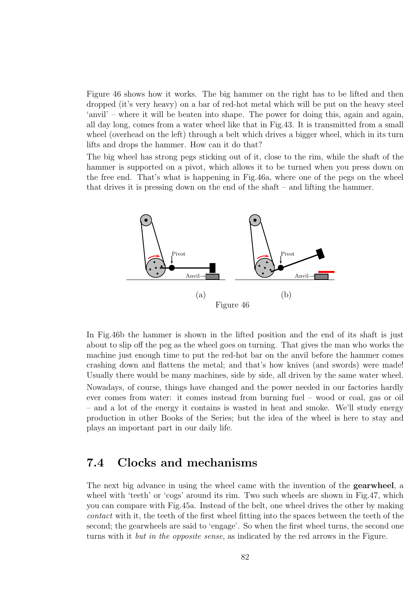Figure 46 shows how it works. The big hammer on the right has to be lifted and then dropped (it's very heavy) on a bar of red-hot metal which will be put on the heavy steel 'anvil' – where it will be beaten into shape. The power for doing this, again and again, all day long, comes from a water wheel like that in Fig.43. It is transmitted from a small wheel (overhead on the left) through a belt which drives a bigger wheel, which in its turn lifts and drops the hammer. How can it do that?

The big wheel has strong pegs sticking out of it, close to the rim, while the shaft of the hammer is supported on a pivot, which allows it to be turned when you press down on the free end. That's what is happening in Fig.46a, where one of the pegs on the wheel that drives it is pressing down on the end of the shaft – and lifting the hammer.



In Fig.46b the hammer is shown in the lifted position and the end of its shaft is just about to slip off the peg as the wheel goes on turning. That gives the man who works the machine just enough time to put the red-hot bar on the anvil before the hammer comes crashing down and flattens the metal; and that's how knives (and swords) were made! Usually there would be many machines, side by side, all driven by the same water wheel. Nowadays, of course, things have changed and the power needed in our factories hardly ever comes from water: it comes instead from burning fuel – wood or coal, gas or oil – and a lot of the energy it contains is wasted in heat and smoke. We'll study energy production in other Books of the Series; but the idea of the wheel is here to stay and plays an important part in our daily life.

### 7.4 Clocks and mechanisms

The next big advance in using the wheel came with the invention of the gearwheel, a wheel with 'teeth' or 'cogs' around its rim. Two such wheels are shown in Fig.47, which you can compare with Fig.45a. Instead of the belt, one wheel drives the other by making contact with it, the teeth of the first wheel fitting into the spaces between the teeth of the second; the gearwheels are said to 'engage'. So when the first wheel turns, the second one turns with it but in the opposite sense, as indicated by the red arrows in the Figure.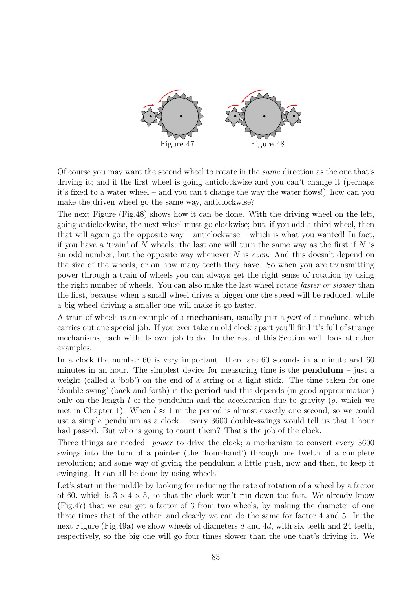

Of course you may want the second wheel to rotate in the same direction as the one that's driving it; and if the first wheel is going anticlockwise and you can't change it (perhaps it's fixed to a water wheel – and you can't change the way the water flows!) how can you make the driven wheel go the same way, anticlockwise?

The next Figure (Fig.48) shows how it can be done. With the driving wheel on the left, going anticlockwise, the next wheel must go clockwise; but, if you add a third wheel, then that will again go the opposite way – anticlockwise – which is what you wanted! In fact, if you have a 'train' of N wheels, the last one will turn the same way as the first if N is an odd number, but the opposite way whenever  $N$  is *even*. And this doesn't depend on the size of the wheels, or on how many teeth they have. So when you are transmitting power through a train of wheels you can always get the right sense of rotation by using the right number of wheels. You can also make the last wheel rotate *faster or slower* than the first, because when a small wheel drives a bigger one the speed will be reduced, while a big wheel driving a smaller one will make it go faster.

A train of wheels is an example of a **mechanism**, usually just a *part* of a machine, which carries out one special job. If you ever take an old clock apart you'll find it's full of strange mechanisms, each with its own job to do. In the rest of this Section we'll look at other examples.

In a clock the number 60 is very important: there are 60 seconds in a minute and 60 minutes in an hour. The simplest device for measuring time is the **pendulum** – just a weight (called a 'bob') on the end of a string or a light stick. The time taken for one 'double-swing' (back and forth) is the period and this depends (in good approximation) only on the length  $l$  of the pendulum and the acceleration due to gravity  $(g, \text{ which we})$ met in Chapter 1). When  $l \approx 1$  m the period is almost exactly one second; so we could use a simple pendulum as a clock – every 3600 double-swings would tell us that 1 hour had passed. But who is going to count them? That's the job of the clock.

Three things are needed: *power* to drive the clock; a mechanism to convert every 3600 swings into the turn of a pointer (the 'hour-hand') through one twelth of a complete revolution; and some way of giving the pendulum a little push, now and then, to keep it swinging. It can all be done by using wheels.

Let's start in the middle by looking for reducing the rate of rotation of a wheel by a factor of 60, which is  $3 \times 4 \times 5$ , so that the clock won't run down too fast. We already know (Fig.47) that we can get a factor of 3 from two wheels, by making the diameter of one three times that of the other; and clearly we can do the same for factor 4 and 5. In the next Figure (Fig.49a) we show wheels of diameters d and 4d, with six teeth and 24 teeth, respectively, so the big one will go four times slower than the one that's driving it. We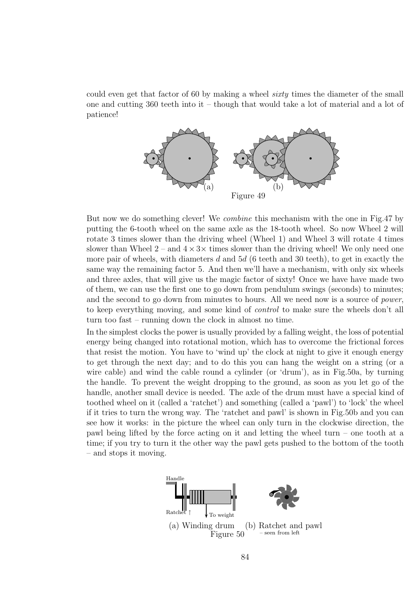could even get that factor of 60 by making a wheel sixty times the diameter of the small one and cutting 360 teeth into it – though that would take a lot of material and a lot of patience!



But now we do something clever! We combine this mechanism with the one in Fig.47 by putting the 6-tooth wheel on the same axle as the 18-tooth wheel. So now Wheel 2 will rotate 3 times slower than the driving wheel (Wheel 1) and Wheel 3 will rotate 4 times slower than Wheel  $2$  – and  $4 \times 3 \times$  times slower than the driving wheel! We only need one more pair of wheels, with diameters d and  $5d$  (6 teeth and 30 teeth), to get in exactly the same way the remaining factor 5. And then we'll have a mechanism, with only six wheels and three axles, that will give us the magic factor of sixty! Once we have have made two of them, we can use the first one to go down from pendulum swings (seconds) to minutes; and the second to go down from minutes to hours. All we need now is a source of *power*, to keep everything moving, and some kind of control to make sure the wheels don't all turn too fast – running down the clock in almost no time.

In the simplest clocks the power is usually provided by a falling weight, the loss of potential energy being changed into rotational motion, which has to overcome the frictional forces that resist the motion. You have to 'wind up' the clock at night to give it enough energy to get through the next day; and to do this you can hang the weight on a string (or a wire cable) and wind the cable round a cylinder (or 'drum'), as in Fig.50a, by turning the handle. To prevent the weight dropping to the ground, as soon as you let go of the handle, another small device is needed. The axle of the drum must have a special kind of toothed wheel on it (called a 'ratchet') and something (called a 'pawl') to 'lock' the wheel if it tries to turn the wrong way. The 'ratchet and pawl' is shown in Fig.50b and you can see how it works: in the picture the wheel can only turn in the clockwise direction, the pawl being lifted by the force acting on it and letting the wheel turn – one tooth at a time; if you try to turn it the other way the pawl gets pushed to the bottom of the tooth – and stops it moving.

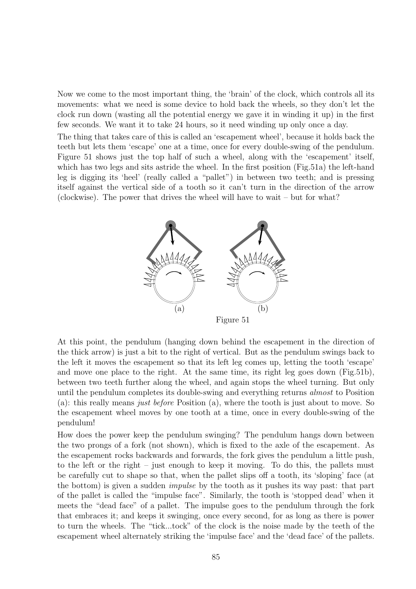Now we come to the most important thing, the 'brain' of the clock, which controls all its movements: what we need is some device to hold back the wheels, so they don't let the clock run down (wasting all the potential energy we gave it in winding it up) in the first few seconds. We want it to take 24 hours, so it need winding up only once a day.

The thing that takes care of this is called an 'escapement wheel', because it holds back the teeth but lets them 'escape' one at a time, once for every double-swing of the pendulum. Figure 51 shows just the top half of such a wheel, along with the 'escapement' itself, which has two legs and sits astride the wheel. In the first position (Fig.51a) the left-hand leg is digging its 'heel' (really called a "pallet") in between two teeth; and is pressing itself against the vertical side of a tooth so it can't turn in the direction of the arrow (clockwise). The power that drives the wheel will have to wait – but for what?



At this point, the pendulum (hanging down behind the escapement in the direction of the thick arrow) is just a bit to the right of vertical. But as the pendulum swings back to the left it moves the escapement so that its left leg comes up, letting the tooth 'escape' and move one place to the right. At the same time, its right leg goes down (Fig.51b), between two teeth further along the wheel, and again stops the wheel turning. But only until the pendulum completes its double-swing and everything returns *almost* to Position (a): this really means just before Position (a), where the tooth is just about to move. So the escapement wheel moves by one tooth at a time, once in every double-swing of the pendulum!

How does the power keep the pendulum swinging? The pendulum hangs down between the two prongs of a fork (not shown), which is fixed to the axle of the escapement. As the escapement rocks backwards and forwards, the fork gives the pendulum a little push, to the left or the right – just enough to keep it moving. To do this, the pallets must be carefully cut to shape so that, when the pallet slips off a tooth, its 'sloping' face (at the bottom) is given a sudden impulse by the tooth as it pushes its way past: that part of the pallet is called the "impulse face". Similarly, the tooth is 'stopped dead' when it meets the "dead face" of a pallet. The impulse goes to the pendulum through the fork that embraces it; and keeps it swinging, once every second, for as long as there is power to turn the wheels. The "tick...tock" of the clock is the noise made by the teeth of the escapement wheel alternately striking the 'impulse face' and the 'dead face' of the pallets.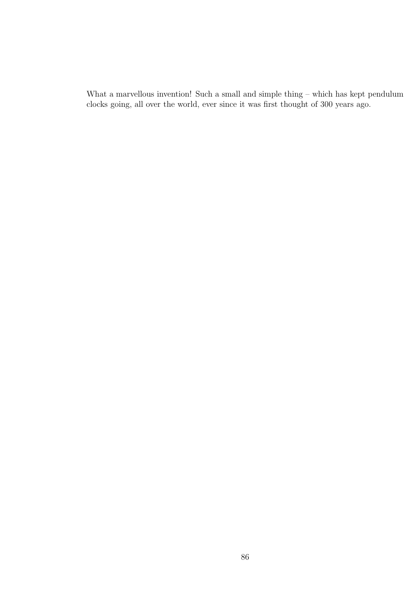What a marvellous invention! Such a small and simple thing – which has kept pendulum clocks going, all over the world, ever since it was first thought of 300 years ago.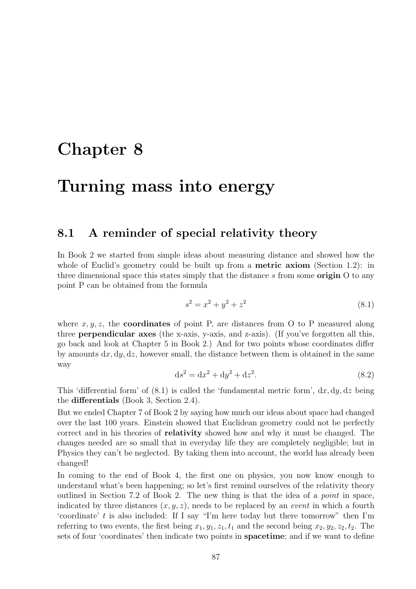## Chapter 8

## Turning mass into energy

### 8.1 A reminder of special relativity theory

In Book 2 we started from simple ideas about measuring distance and showed how the whole of Euclid's geometry could be built up from a **metric axiom** (Section 1.2): in three dimensional space this states simply that the distance s from some **origin**  $\overline{O}$  to any point P can be obtained from the formula

$$
s^2 = x^2 + y^2 + z^2 \tag{8.1}
$$

where  $x, y, z$ , the **coordinates** of point P, are distances from O to P measured along three perpendicular axes (the x-axis, y-axis, and z-axis). (If you've forgotten all this, go back and look at Chapter 5 in Book 2.) And for two points whose coordinates differ by amounts  $dx, dy, dz$ , however small, the distance between them is obtained in the same way

$$
ds^2 = dx^2 + dy^2 + dz^2.
$$
 (8.2)

This 'differential form' of  $(8.1)$  is called the 'fundamental metric form',  $dx, dy, dz$  being the differentials (Book 3, Section 2.4).

But we ended Chapter 7 of Book 2 by saying how much our ideas about space had changed over the last 100 years. Einstein showed that Euclidean geometry could not be perfectly correct and in his theories of relativity showed how and why it must be changed. The changes needed are so small that in everyday life they are completely negligible; but in Physics they can't be neglected. By taking them into account, the world has already been changed!

In coming to the end of Book 4, the first one on physics, you now know enough to understand what's been happening; so let's first remind ourselves of the relativity theory outlined in Section 7.2 of Book 2. The new thing is that the idea of a point in space, indicated by three distances  $(x, y, z)$ , needs to be replaced by an *event* in which a fourth 'coordinate' t is also included: If I say "I'm here today but there tomorrow" then I'm referring to two events, the first being  $x_1, y_1, z_1, t_1$  and the second being  $x_2, y_2, z_2, t_2$ . The sets of four 'coordinates' then indicate two points in spacetime; and if we want to define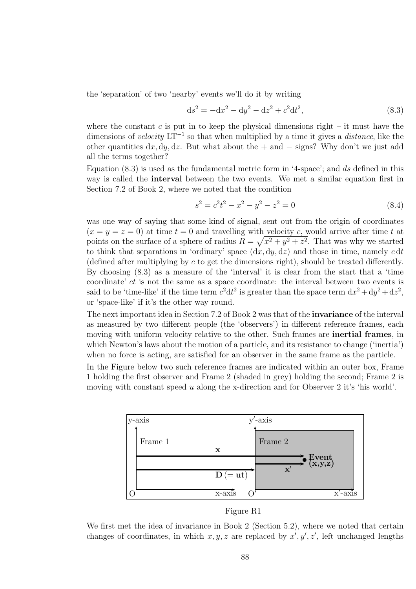the 'separation' of two 'nearby' events we'll do it by writing

$$
ds^{2} = -dx^{2} - dy^{2} - dz^{2} + c^{2}dt^{2},
$$
\n(8.3)

where the constant  $c$  is put in to keep the physical dimensions right – it must have the dimensions of velocity  $LT^{-1}$  so that when multiplied by a time it gives a *distance*, like the other quantities  $dx, dy, dz$ . But what about the + and – signs? Why don't we just add all the terms together?

Equation  $(8.3)$  is used as the fundamental metric form in '4-space'; and ds defined in this way is called the interval between the two events. We met a similar equation first in Section 7.2 of Book 2, where we noted that the condition

$$
s^2 = c^2 t^2 - x^2 - y^2 - z^2 = 0
$$
\n(8.4)

was one way of saying that some kind of signal, sent out from the origin of coordinates  $(x = y = z = 0)$  at time  $t = 0$  and travelling with velocity c, would arrive after time t at points on the surface of a sphere of radius  $R = \sqrt{x^2 + y^2 + z^2}$ . That was why we started to think that separations in 'ordinary' space  $(dx, dy, dz)$  and those in time, namely c dt (defined after multiplying by c to get the dimensions right), should be treated differently. By choosing (8.3) as a measure of the 'interval' it is clear from the start that a 'time coordinate' ct is not the same as a space coordinate: the interval between two events is said to be 'time-like' if the time term  $c^2 dt^2$  is greater than the space term  $dx^2 + dy^2 + dz^2$ , or 'space-like' if it's the other way round.

The next important idea in Section 7.2 of Book 2 was that of the **invariance** of the interval as measured by two different people (the 'observers') in different reference frames, each moving with uniform velocity relative to the other. Such frames are inertial frames, in which Newton's laws about the motion of a particle, and its resistance to change ('inertia') when no force is acting, are satisfied for an observer in the same frame as the particle.

In the Figure below two such reference frames are indicated within an outer box, Frame 1 holding the first observer and Frame 2 (shaded in grey) holding the second; Frame 2 is moving with constant speed u along the x-direction and for Observer 2 it's 'his world'.



Figure R1

We first met the idea of invariance in Book 2 (Section 5.2), where we noted that certain changes of coordinates, in which  $x, y, z$  are replaced by  $x', y', z'$ , left unchanged lengths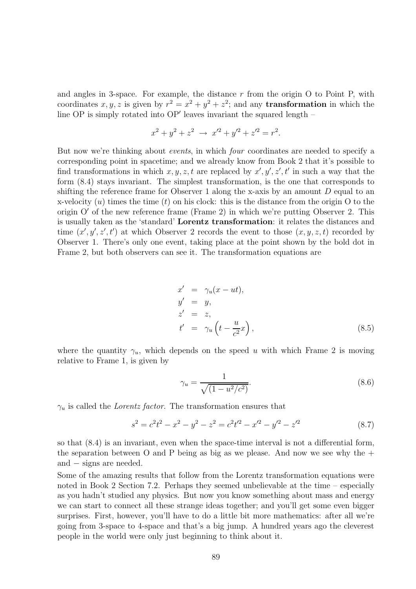and angles in 3-space. For example, the distance  $r$  from the origin O to Point P, with coordinates x, y, z is given by  $r^2 = x^2 + y^2 + z^2$ ; and any **transformation** in which the line OP is simply rotated into OP' leaves invariant the squared length –

$$
x^{2} + y^{2} + z^{2} \rightarrow x'^{2} + y'^{2} + z'^{2} = r^{2}.
$$

But now we're thinking about *events*, in which *four* coordinates are needed to specify a corresponding point in spacetime; and we already know from Book 2 that it's possible to find transformations in which  $x, y, z, t$  are replaced by  $x', y', z', t'$  in such a way that the form (8.4) stays invariant. The simplest transformation, is the one that corresponds to shifting the reference frame for Observer 1 along the x-axis by an amount  $D$  equal to an x-velocity  $(u)$  times the time  $(t)$  on his clock: this is the distance from the origin O to the origin O′ of the new reference frame (Frame 2) in which we're putting Observer 2. This is usually taken as the 'standard' Lorentz transformation: it relates the distances and time  $(x', y', z', t')$  at which Observer 2 records the event to those  $(x, y, z, t)$  recorded by Observer 1. There's only one event, taking place at the point shown by the bold dot in Frame 2, but both observers can see it. The transformation equations are

$$
x' = \gamma_u(x - ut),
$$
  
\n
$$
y' = y,
$$
  
\n
$$
z' = z,
$$
  
\n
$$
t' = \gamma_u \left( t - \frac{u}{c^2} x \right),
$$
\n(8.5)

where the quantity  $\gamma_u$ , which depends on the speed u with which Frame 2 is moving relative to Frame 1, is given by

$$
\gamma_u = \frac{1}{\sqrt{(1 - u^2/c^2)}}.\tag{8.6}
$$

 $\gamma_u$  is called the *Lorentz factor*. The transformation ensures that

$$
s^{2} = c^{2}t^{2} - x^{2} - y^{2} - z^{2} = c^{2}t^{2} - x^{2} - y^{2} - z^{2}
$$
\n(8.7)

so that (8.4) is an invariant, even when the space-time interval is not a differential form, the separation between O and P being as big as we please. And now we see why the  $+$ and – signs are needed.

Some of the amazing results that follow from the Lorentz transformation equations were noted in Book 2 Section 7.2. Perhaps they seemed unbelievable at the time – especially as you hadn't studied any physics. But now you know something about mass and energy we can start to connect all these strange ideas together; and you'll get some even bigger surprises. First, however, you'll have to do a little bit more mathematics: after all we're going from 3-space to 4-space and that's a big jump. A hundred years ago the cleverest people in the world were only just beginning to think about it.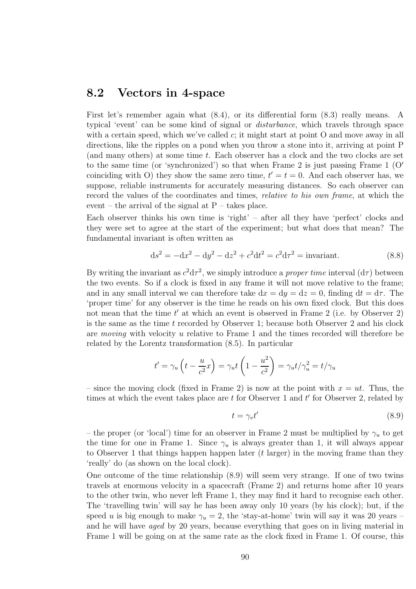#### 8.2 Vectors in 4-space

First let's remember again what (8.4), or its differential form (8.3) really means. A typical 'event' can be some kind of signal or disturbance, which travels through space with a certain speed, which we've called  $c$ ; it might start at point O and move away in all directions, like the ripples on a pond when you throw a stone into it, arriving at point P (and many others) at some time t. Each observer has a clock and the two clocks are set to the same time (or 'synchronized') so that when Frame 2 is just passing Frame 1  $(O'$ coinciding with O) they show the same zero time,  $t' = t = 0$ . And each observer has, we suppose, reliable instruments for accurately measuring distances. So each observer can record the values of the coordinates and times, *relative to his own frame*, at which the event – the arrival of the signal at  $P$  – takes place.

Each observer thinks his own time is 'right' – after all they have 'perfect' clocks and they were set to agree at the start of the experiment; but what does that mean? The fundamental invariant is often written as

$$
ds^{2} = -dx^{2} - dy^{2} - dz^{2} + c^{2}dt^{2} = c^{2}d\tau^{2} = \text{invariant.}
$$
 (8.8)

By writing the invariant as  $c^2 d\tau^2$ , we simply introduce a *proper time* interval  $(d\tau)$  between the two events. So if a clock is fixed in any frame it will not move relative to the frame; and in any small interval we can therefore take  $dx = dy = dz = 0$ , finding  $dt = d\tau$ . The 'proper time' for any observer is the time he reads on his own fixed clock. But this does not mean that the time  $t'$  at which an event is observed in Frame 2 (i.e. by Observer 2) is the same as the time  $t$  recorded by Observer 1; because both Observer 2 and his clock are moving with velocity u relative to Frame 1 and the times recorded will therefore be related by the Lorentz transformation (8.5). In particular

$$
t' = \gamma_u \left( t - \frac{u}{c^2} x \right) = \gamma_u t \left( 1 - \frac{u^2}{c^2} \right) = \gamma_u t / \gamma_u^2 = t / \gamma_u
$$

– since the moving clock (fixed in Frame 2) is now at the point with  $x = ut$ . Thus, the times at which the event takes place are  $t$  for Observer 1 and  $t'$  for Observer 2, related by

$$
t = \gamma_v t' \tag{8.9}
$$

– the proper (or 'local') time for an observer in Frame 2 must be multiplied by  $\gamma_u$  to get the time for one in Frame 1. Since  $\gamma_u$  is always greater than 1, it will always appear to Observer 1 that things happen happen later (t larger) in the moving frame than they 'really' do (as shown on the local clock).

One outcome of the time relationship (8.9) will seem very strange. If one of two twins travels at enormous velocity in a spacecraft (Frame 2) and returns home after 10 years to the other twin, who never left Frame 1, they may find it hard to recognise each other. The 'travelling twin' will say he has been away only 10 years (by his clock); but, if the speed u is big enough to make  $\gamma_u = 2$ , the 'stay-at-home' twin will say it was 20 years – and he will have aged by 20 years, because everything that goes on in living material in Frame 1 will be going on at the same rate as the clock fixed in Frame 1. Of course, this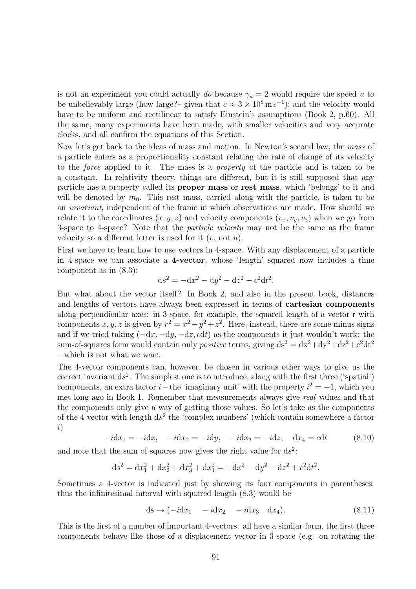is not an experiment you could actually do because  $\gamma_u = 2$  would require the speed u to be unbelievably large (how large?– given that  $c \approx 3 \times 10^8 \,\mathrm{m\,s^{-1}}$ ); and the velocity would have to be uniform and rectilinear to satisfy Einstein's assumptions (Book 2, p.60). All the same, many experiments have been made, with smaller velocities and very accurate clocks, and all confirm the equations of this Section.

Now let's get back to the ideas of mass and motion. In Newton's second law, the mass of a particle enters as a proportionality constant relating the rate of change of its velocity to the force applied to it. The mass is a property of the particle and is taken to be a constant. In relativity theory, things are different, but it is still supposed that any particle has a property called its proper mass or rest mass, which 'belongs' to it and will be denoted by  $m_0$ . This rest mass, carried along with the particle, is taken to be an invariant, independent of the frame in which observations are made. How should we relate it to the coordinates  $(x, y, z)$  and velocity components  $(v_x, v_y, v_z)$  when we go from 3-space to 4-space? Note that the particle velocity may not be the same as the frame velocity so a different letter is used for it  $(v, \text{not } u)$ .

First we have to learn how to use vectors in 4-space. With any displacement of a particle in 4-space we can associate a 4-vector, whose 'length' squared now includes a time component as in (8.3):

$$
ds^2 = -dx^2 - dy^2 - dz^2 + c^2 dt^2.
$$

But what about the vector itself? In Book 2, and also in the present book, distances and lengths of vectors have always been expressed in terms of cartesian components along perpendicular axes: in 3-space, for example, the squared length of a vector r with components x, y, z is given by  $r^2 = x^2 + y^2 + z^2$ . Here, instead, there are some minus signs and if we tried taking  $(-dx, -dy, -dz, cdt)$  as the components it just wouldn't work: the sum-of-squares form would contain only *positive* terms, giving  $ds^2 = dx^2 + dy^2 + dz^2 + c^2 dt^2$ – which is not what we want.

The 4-vector components can, however, be chosen in various other ways to give us the correct invariant  $ds^2$ . The simplest one is to introduce, along with the first three ('spatial') components, an extra factor  $i$  – the 'imaginary unit' with the property  $i^2 = -1$ , which you met long ago in Book 1. Remember that measurements always give real values and that the components only give a way of getting those values. So let's take as the components of the 4-vector with length  $ds^2$  the 'complex numbers' (which contain somewhere a factor i)

$$
-i dx_1 = -i dx
$$
,  $-i dx_2 = -i dy$ ,  $-i dx_3 = -i dz$ ,  $dx_4 = c dt$  (8.10)

and note that the sum of squares now gives the right value for  $ds^2$ :

$$
ds^{2} = dx_{1}^{2} + dx_{2}^{2} + dx_{3}^{2} + dx_{4}^{2} = -dx^{2} - dy^{2} - dz^{2} + c^{2}dt^{2}.
$$

Sometimes a 4-vector is indicated just by showing its four components in parentheses: thus the infinitesimal interval with squared length (8.3) would be

$$
ds \to (-idx_1 - idx_2 - idx_3 dx_4). \tag{8.11}
$$

This is the first of a number of important 4-vectors: all have a similar form, the first three components behave like those of a displacement vector in 3-space (e.g. on rotating the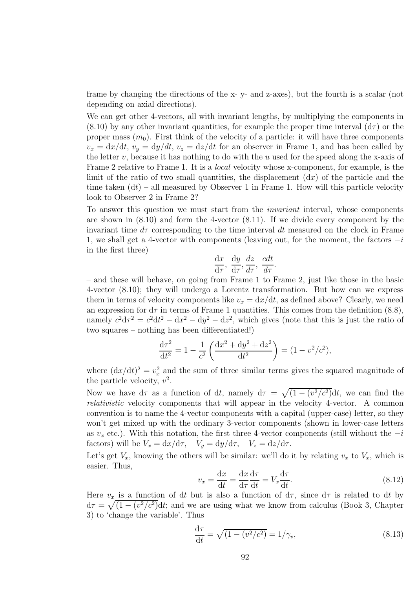frame by changing the directions of the x- y- and z-axes), but the fourth is a scalar (not depending on axial directions).

We can get other 4-vectors, all with invariant lengths, by multiplying the components in  $(8.10)$  by any other invariant quantities, for example the proper time interval  $(d\tau)$  or the proper mass  $(m_0)$ . First think of the velocity of a particle: it will have three components  $v_x = dx/dt$ ,  $v_y = dy/dt$ ,  $v_z = dz/dt$  for an observer in Frame 1, and has been called by the letter v, because it has nothing to do with the u used for the speed along the x-axis of Frame 2 relative to Frame 1. It is a local velocity whose x-component, for example, is the limit of the ratio of two small quantities, the displacement  $(dx)$  of the particle and the time taken  $(dt)$  – all measured by Observer 1 in Frame 1. How will this particle velocity look to Observer 2 in Frame 2?

To answer this question we must start from the invariant interval, whose components are shown in (8.10) and form the 4-vector (8.11). If we divide every component by the invariant time  $d\tau$  corresponding to the time interval dt measured on the clock in Frame 1, we shall get a 4-vector with components (leaving out, for the moment, the factors  $-i$ in the first three)

$$
\frac{\mathrm{d}x}{\mathrm{d}\tau}, \frac{\mathrm{d}y}{\mathrm{d}\tau}, \frac{dz}{d\tau}, \frac{cdt}{d\tau}.
$$

– and these will behave, on going from Frame 1 to Frame 2, just like those in the basic 4-vector (8.10); they will undergo a Lorentz transformation. But how can we express them in terms of velocity components like  $v_x = dx/dt$ , as defined above? Clearly, we need an expression for  $d\tau$  in terms of Frame 1 quantities. This comes from the definition (8.8), namely  $c^2 d\tau^2 = c^2 dt^2 - dx^2 - dy^2 - dz^2$ , which gives (note that this is just the ratio of two squares – nothing has been differentiated!)

$$
\frac{\mathrm{d}\tau^2}{\mathrm{d}t^2} = 1 - \frac{1}{c^2} \left( \frac{\mathrm{d}x^2 + \mathrm{d}y^2 + \mathrm{d}z^2}{\mathrm{d}t^2} \right) = (1 - v^2/c^2),
$$

where  $(\mathrm{d}x/\mathrm{d}t)^2 = v_x^2$  and the sum of three similar terms gives the squared magnitude of the particle velocity,  $v^2$ .

Now we have  $d\tau$  as a function of dt, namely  $d\tau = \sqrt{(1 - (v^2/c^2))}dt$ , we can find the relativistic velocity components that will appear in the velocity 4-vector. A common convention is to name the 4-vector components with a capital (upper-case) letter, so they won't get mixed up with the ordinary 3-vector components (shown in lower-case letters as  $v_x$  etc.). With this notation, the first three 4-vector components (still without the  $-i$ factors) will be  $V_x = dx/d\tau$ ,  $V_y = dy/d\tau$ ,  $V_z = dz/d\tau$ .

Let's get  $V_x$ , knowing the others will be similar: we'll do it by relating  $v_x$  to  $V_x$ , which is easier. Thus,

$$
v_x = \frac{\mathrm{d}x}{\mathrm{d}t} = \frac{\mathrm{d}x}{\mathrm{d}\tau} \frac{\mathrm{d}\tau}{\mathrm{d}t} = V_x \frac{\mathrm{d}\tau}{\mathrm{d}t}.
$$
\n(8.12)

Here  $v_x$  is a function of dt but is also a function of  $d\tau$ , since  $d\tau$  is related to dt by  $d\tau = \sqrt{(1-(v^2/c^2)}dt$ ; and we are using what we know from calculus (Book 3, Chapter 3) to 'change the variable'. Thus

$$
\frac{d\tau}{dt} = \sqrt{(1 - (v^2/c^2))} = 1/\gamma_v,
$$
\n(8.13)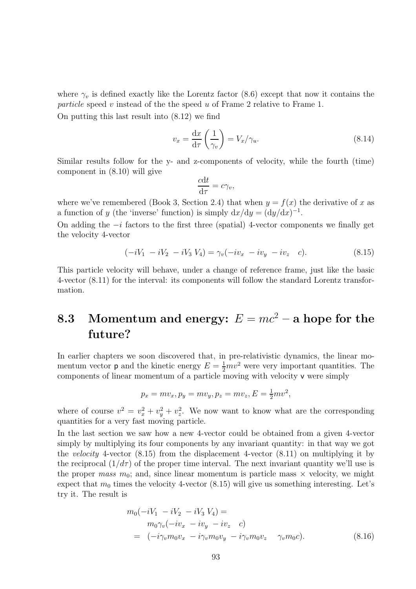where  $\gamma_v$  is defined exactly like the Lorentz factor (8.6) except that now it contains the particle speed v instead of the the speed u of Frame 2 relative to Frame 1.

On putting this last result into (8.12) we find

$$
v_x = \frac{\mathrm{d}x}{\mathrm{d}\tau} \left(\frac{1}{\gamma_v}\right) = V_x/\gamma_u.
$$
\n(8.14)

Similar results follow for the y- and z-components of velocity, while the fourth (time) component in (8.10) will give

$$
\frac{cdt}{d\tau} = c\gamma_v,
$$

where we've remembered (Book 3, Section 2.4) that when  $y = f(x)$  the derivative of x as a function of y (the 'inverse' function) is simply  $dx/dy = (dy/dx)^{-1}$ .

On adding the  $-i$  factors to the first three (spatial) 4-vector components we finally get the velocity 4-vector

$$
(-iV_1 - iV_2 - iV_3 V_4) = \gamma_v(-iv_x - iv_y - iv_z c).
$$
 (8.15)

This particle velocity will behave, under a change of reference frame, just like the basic 4-vector (8.11) for the interval: its components will follow the standard Lorentz transformation.

### 8.3 Momentum and energy:  $E = mc^2 - a$  hope for the future?

In earlier chapters we soon discovered that, in pre-relativistic dynamics, the linear momentum vector **p** and the kinetic energy  $E = \frac{1}{2}mv^2$  were very important quantities. The components of linear momentum of a particle moving with velocity v were simply

$$
p_x = mv_x, p_y = mv_y, p_z = mv_z, E = \frac{1}{2}mv^2,
$$

where of course  $v^2 = v_x^2 + v_y^2 + v_z^2$ . We now want to know what are the corresponding quantities for a very fast moving particle.

In the last section we saw how a new 4-vector could be obtained from a given 4-vector simply by multiplying its four components by any invariant quantity: in that way we got the velocity 4-vector (8.15) from the displacement 4-vector (8.11) on multiplying it by the reciprocal  $(1/d\tau)$  of the proper time interval. The next invariant quantity we'll use is the proper mass  $m_0$ ; and, since linear momentum is particle mass  $\times$  velocity, we might expect that  $m_0$  times the velocity 4-vector (8.15) will give us something interesting. Let's try it. The result is

$$
m_0(-iV_1 - iV_2 - iV_3 V_4) =
$$
  
\n
$$
m_0\gamma_v(-iv_x - iv_y - iv_z c)
$$
  
\n
$$
= (-i\gamma_v m_0 v_x - i\gamma_v m_0 v_y - i\gamma_v m_0 v_z \gamma_v m_0 c).
$$
\n(8.16)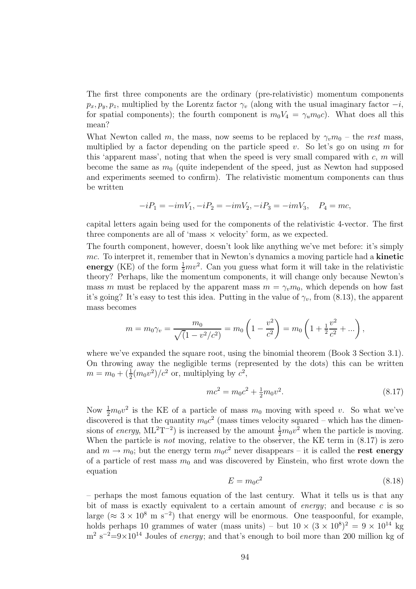The first three components are the ordinary (pre-relativistic) momentum components  $p_x, p_y, p_z$ , multiplied by the Lorentz factor  $\gamma_v$  (along with the usual imaginary factor  $-i$ , for spatial components); the fourth component is  $m_0V_4 = \gamma_u m_0c$ . What does all this mean?

What Newton called m, the mass, now seems to be replaced by  $\gamma_v m_0$  – the rest mass, multiplied by a factor depending on the particle speed  $v$ . So let's go on using  $m$  for this 'apparent mass', noting that when the speed is very small compared with  $c, m$  will become the same as  $m_0$  (quite independent of the speed, just as Newton had supposed and experiments seemed to confirm). The relativistic momentum components can thus be written

$$
-iP_1 = -imV_1, -iP_2 = -imV_2, -iP_3 = -imV_3, \quad P_4 = mc,
$$

capital letters again being used for the components of the relativistic 4-vector. The first three components are all of 'mass  $\times$  velocity' form, as we expected.

The fourth component, however, doesn't look like anything we've met before: it's simply mc. To interpret it, remember that in Newton's dynamics a moving particle had a **kinetic** energy (KE) of the form  $\frac{1}{2}mv^2$ . Can you guess what form it will take in the relativistic theory? Perhaps, like the momentum components, it will change only because Newton's mass m must be replaced by the apparent mass  $m = \gamma_m m_0$ , which depends on how fast it's going? It's easy to test this idea. Putting in the value of  $\gamma_v$ , from (8.13), the apparent mass becomes

$$
m = m_0 \gamma_v = \frac{m_0}{\sqrt{(1 - v^2/c^2)}} = m_0 \left(1 - \frac{v^2}{c^2}\right) = m_0 \left(1 + \frac{1}{2}\frac{v^2}{c^2} + \dots\right),
$$

where we've expanded the square root, using the binomial theorem (Book 3 Section 3.1). On throwing away the negligible terms (represented by the dots) this can be written  $m = m_0 + \left(\frac{1}{2}(m_0 v^2)/c^2\right)$  or, multiplying by  $c^2$ ,

$$
mc^2 = m_0 c^2 + \frac{1}{2} m_0 v^2.
$$
\n(8.17)

Now  $\frac{1}{2}m_0v^2$  is the KE of a particle of mass  $m_0$  moving with speed v. So what we've discovered is that the quantity  $m_0c^2$  (mass times velocity squared – which has the dimensions of energy,  $ML^{2}T^{-2}$ ) is increased by the amount  $\frac{1}{2}m_{0}v^{2}$  when the particle is moving. When the particle is *not* moving, relative to the observer, the KE term in  $(8.17)$  is zero and  $m \to m_0$ ; but the energy term  $m_0c^2$  never disappears – it is called the **rest energy** of a particle of rest mass  $m_0$  and was discovered by Einstein, who first wrote down the equation

$$
E = m_0 c^2 \tag{8.18}
$$

– perhaps the most famous equation of the last century. What it tells us is that any bit of mass is exactly equivalent to a certain amount of *energy*; and because c is so large ( $\approx 3 \times 10^8$  m s<sup>-2</sup>) that energy will be enormous. One teaspoonful, for example, holds perhaps 10 grammes of water (mass units) – but  $10 \times (3 \times 10^8)^2 = 9 \times 10^{14}$  kg  $\text{m}^2 \text{ s}^{-2}$ =9×10<sup>14</sup> Joules of *energy*; and that's enough to boil more than 200 million kg of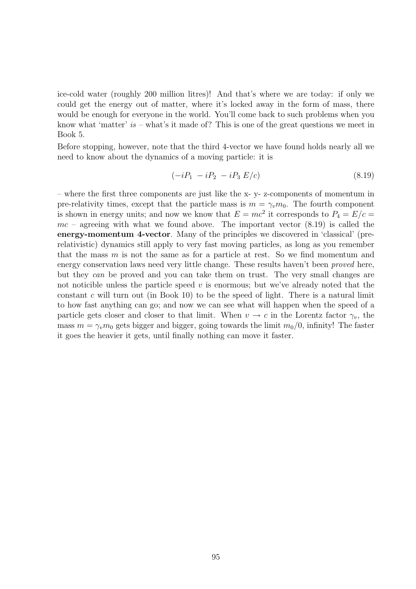ice-cold water (roughly 200 million litres)! And that's where we are today: if only we could get the energy out of matter, where it's locked away in the form of mass, there would be enough for everyone in the world. You'll come back to such problems when you know what 'matter' is – what's it made of? This is one of the great questions we meet in Book 5.

Before stopping, however, note that the third 4-vector we have found holds nearly all we need to know about the dynamics of a moving particle: it is

$$
(-iP_1 - iP_2 - iP_3 E/c) \tag{8.19}
$$

– where the first three components are just like the x- y- z-components of momentum in pre-relativity times, except that the particle mass is  $m = \gamma_v m_0$ . The fourth component is shown in energy units; and now we know that  $E = mc^2$  it corresponds to  $P_4 = E/c =$  $mc$  – agreeing with what we found above. The important vector  $(8.19)$  is called the energy-momentum 4-vector. Many of the principles we discovered in 'classical' (prerelativistic) dynamics still apply to very fast moving particles, as long as you remember that the mass  $m$  is not the same as for a particle at rest. So we find momentum and energy conservation laws need very little change. These results haven't been proved here, but they can be proved and you can take them on trust. The very small changes are not noticible unless the particle speed  $v$  is enormous; but we've already noted that the constant c will turn out (in Book 10) to be the speed of light. There is a natural limit to how fast anything can go; and now we can see what will happen when the speed of a particle gets closer and closer to that limit. When  $v \to c$  in the Lorentz factor  $\gamma_v$ , the mass  $m = \gamma_v m_0$  gets bigger and bigger, going towards the limit  $m_0/0$ , infinity! The faster it goes the heavier it gets, until finally nothing can move it faster.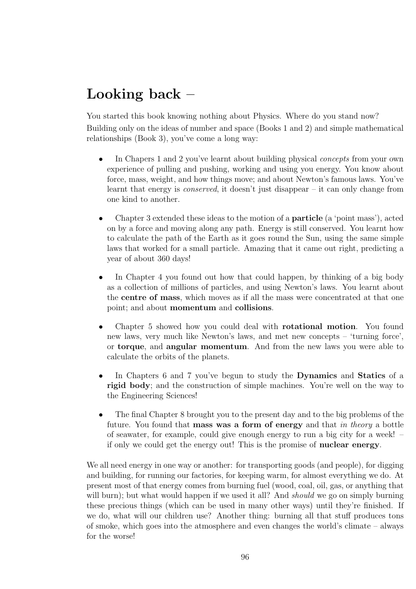## Looking back –

You started this book knowing nothing about Physics. Where do you stand now?

Building only on the ideas of number and space (Books 1 and 2) and simple mathematical relationships (Book 3), you've come a long way:

- In Chapers 1 and 2 you've learnt about building physical *concepts* from your own experience of pulling and pushing, working and using you energy. You know about force, mass, weight, and how things move; and about Newton's famous laws. You've learnt that energy is *conserved*, it doesn't just disappear – it can only change from one kind to another.
- Chapter 3 extended these ideas to the motion of a particle (a 'point mass'), acted on by a force and moving along any path. Energy is still conserved. You learnt how to calculate the path of the Earth as it goes round the Sun, using the same simple laws that worked for a small particle. Amazing that it came out right, predicting a year of about 360 days!
- In Chapter 4 you found out how that could happen, by thinking of a big body as a collection of millions of particles, and using Newton's laws. You learnt about the centre of mass, which moves as if all the mass were concentrated at that one point; and about momentum and collisions.
- Chapter 5 showed how you could deal with rotational motion. You found new laws, very much like Newton's laws, and met new concepts – 'turning force', or torque, and angular momentum. And from the new laws you were able to calculate the orbits of the planets.
- In Chapters 6 and 7 you've begun to study the **Dynamics** and **Statics** of a rigid body; and the construction of simple machines. You're well on the way to the Engineering Sciences!
- The final Chapter 8 brought you to the present day and to the big problems of the future. You found that mass was a form of energy and that in theory a bottle of seawater, for example, could give enough energy to run a big city for a week! – if only we could get the energy out! This is the promise of nuclear energy.

We all need energy in one way or another: for transporting goods (and people), for digging and building, for running our factories, for keeping warm, for almost everything we do. At present most of that energy comes from burning fuel (wood, coal, oil, gas, or anything that will burn); but what would happen if we used it all? And *should* we go on simply burning these precious things (which can be used in many other ways) until they're finished. If we do, what will our children use? Another thing: burning all that stuff produces tons of smoke, which goes into the atmosphere and even changes the world's climate – always for the worse!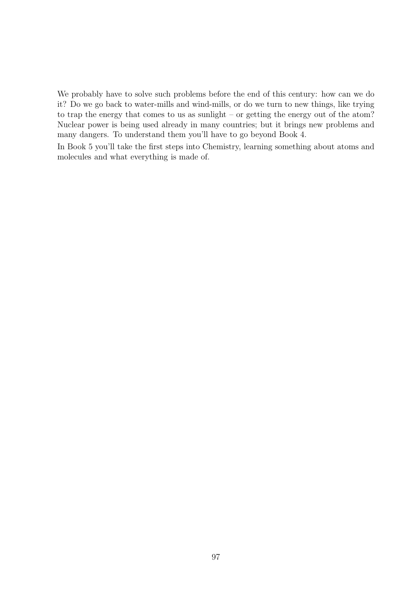We probably have to solve such problems before the end of this century: how can we do it? Do we go back to water-mills and wind-mills, or do we turn to new things, like trying to trap the energy that comes to us as sunlight – or getting the energy out of the atom? Nuclear power is being used already in many countries; but it brings new problems and many dangers. To understand them you'll have to go beyond Book 4.

In Book 5 you'll take the first steps into Chemistry, learning something about atoms and molecules and what everything is made of.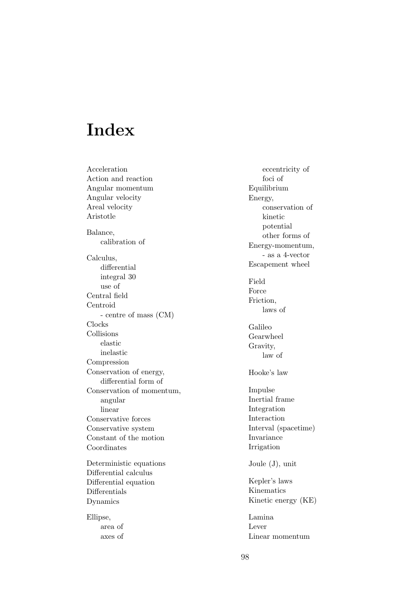# Index

Acceleration Action and reaction Angular momentum Angular velocity Areal velocity Aristotle Balance, calibration of Calculus, differential integral 30 use of Central field Centroid - centre of mass (CM) Clocks Collisions elastic inelastic Compression Conservation of energy, differential form of Conservation of momentum, angular linear Conservative forces Conservative system Constant of the motion Coordinates Deterministic equations Differential calculus Differential equation Differentials

Ellipse, area of axes of

Dynamics

eccentricity of foci of Equilibrium Energy, conservation of kinetic potential other forms of Energy-momentum, - as a 4-vector Escapement wheel Field Force Friction, laws of Galileo Gearwheel Gravity, law of Hooke's law Impulse Inertial frame Integration Interaction Interval (spacetime) Invariance Irrigation Joule (J), unit Kepler's laws Kinematics Kinetic energy (KE) Lamina Lever Linear momentum